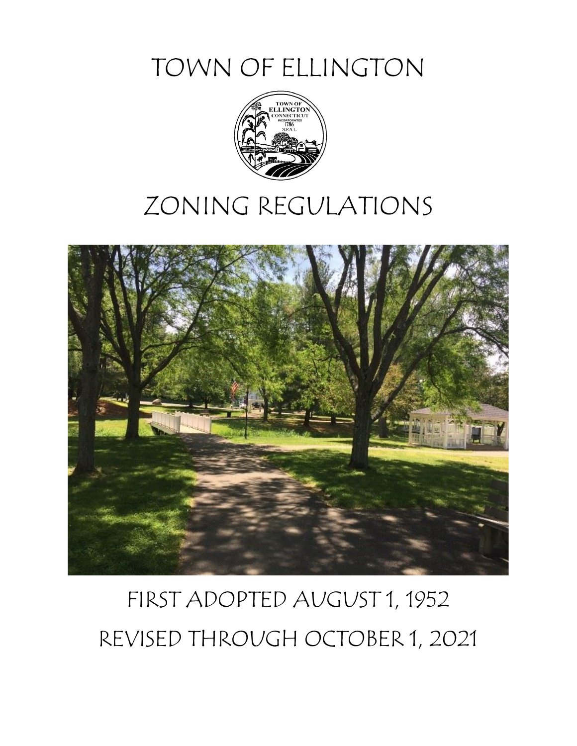TOWN OF ELLINGTON



# ZONING REGULATIONS



# FIRST ADOPTED AUGUST 1, 1952 REVISED THROUGH OCTOBER 1, 2021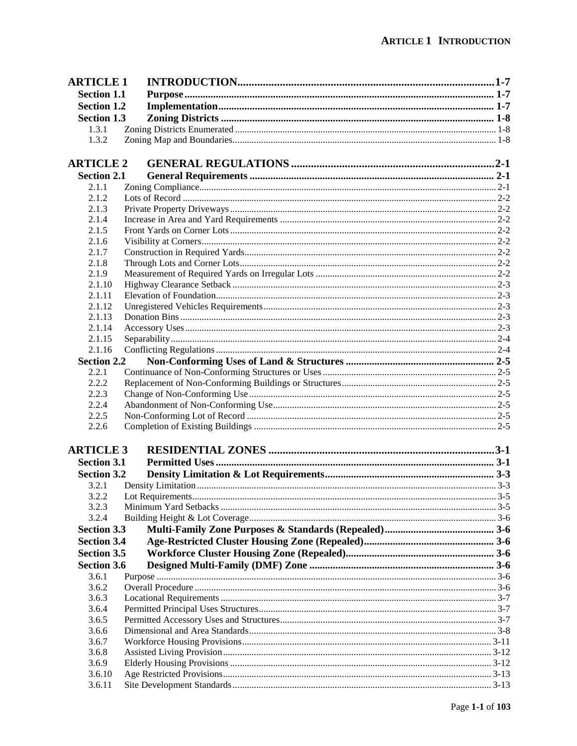| <b>ARTICLE 1</b>   |  |
|--------------------|--|
| <b>Section 1.1</b> |  |
| <b>Section 1.2</b> |  |
| <b>Section 1.3</b> |  |
| 1.3.1              |  |
| 1.3.2              |  |
|                    |  |
| <b>ARTICLE 2</b>   |  |
| <b>Section 2.1</b> |  |
| 2.1.1              |  |
| 2.1.2              |  |
| 2.1.3              |  |
| 2.1.4              |  |
| 2.1.5              |  |
| 2.1.6              |  |
| 2.1.7              |  |
| 2.1.8              |  |
| 2.1.9              |  |
| 2.1.10             |  |
| 2.1.11             |  |
| 2.1.12             |  |
| 2.1.13             |  |
| 2.1.14             |  |
| 2.1.15             |  |
| 2.1.16             |  |
| <b>Section 2.2</b> |  |
| 2.2.1              |  |
| 2.2.2              |  |
| 2.2.3              |  |
| 2.2.4              |  |
| 2.2.5              |  |
| 2.2.6              |  |
| <b>ARTICLE 3</b>   |  |
| <b>Section 3.1</b> |  |
|                    |  |
| <b>Section 3.2</b> |  |
| 3.2.1              |  |
| 3.2.2<br>3.2.3     |  |
| 3.2.4              |  |
| <b>Section 3.3</b> |  |
| <b>Section 3.4</b> |  |
|                    |  |
| <b>Section 3.5</b> |  |
| <b>Section 3.6</b> |  |
| 3.6.1              |  |
| 3.6.2              |  |
| 3.6.3              |  |
| 3.6.4<br>3.6.5     |  |
|                    |  |
| 3.6.6<br>3.6.7     |  |
| 3.6.8              |  |
| 3.6.9              |  |
| 3.6.10             |  |
| 3.6.11             |  |
|                    |  |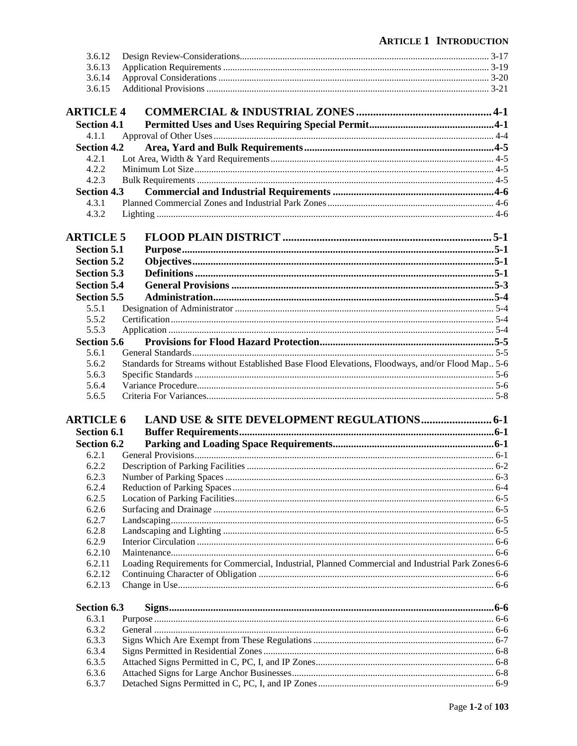| 3.6.12             |                                                                                                   |  |
|--------------------|---------------------------------------------------------------------------------------------------|--|
| 3.6.13             |                                                                                                   |  |
| 3.6.14             |                                                                                                   |  |
| 3.6.15             |                                                                                                   |  |
| <b>ARTICLE 4</b>   |                                                                                                   |  |
| <b>Section 4.1</b> |                                                                                                   |  |
| 4.1.1              |                                                                                                   |  |
| <b>Section 4.2</b> |                                                                                                   |  |
| 4.2.1              |                                                                                                   |  |
| 4.2.2              |                                                                                                   |  |
| 4.2.3              |                                                                                                   |  |
| <b>Section 4.3</b> |                                                                                                   |  |
| 4.3.1              |                                                                                                   |  |
| 4.3.2              |                                                                                                   |  |
| <b>ARTICLE 5</b>   |                                                                                                   |  |
| <b>Section 5.1</b> |                                                                                                   |  |
| <b>Section 5.2</b> |                                                                                                   |  |
| <b>Section 5.3</b> |                                                                                                   |  |
| <b>Section 5.4</b> |                                                                                                   |  |
| <b>Section 5.5</b> |                                                                                                   |  |
| 5.5.1              |                                                                                                   |  |
| 5.5.2              |                                                                                                   |  |
| 5.5.3              |                                                                                                   |  |
| <b>Section 5.6</b> |                                                                                                   |  |
| 5.6.1              |                                                                                                   |  |
| 5.6.2              | Standards for Streams without Established Base Flood Elevations, Floodways, and/or Flood Map. 5-6 |  |
| 5.6.3              |                                                                                                   |  |
| 5.6.4              |                                                                                                   |  |
| 5.6.5              |                                                                                                   |  |
| <b>ARTICLE 6</b>   |                                                                                                   |  |
| <b>Section 6.1</b> |                                                                                                   |  |
| <b>Section 6.2</b> |                                                                                                   |  |
| 6.2.1              |                                                                                                   |  |
| 6.2.2              |                                                                                                   |  |
| 6.2.3              |                                                                                                   |  |
| 6.2.4              |                                                                                                   |  |
| 6.2.5              |                                                                                                   |  |
| 6.2.6              |                                                                                                   |  |
| 6.2.7              |                                                                                                   |  |
| 6.2.8              |                                                                                                   |  |
| 6.2.9              |                                                                                                   |  |
| 6.2.10             |                                                                                                   |  |
| 6.2.11             | Loading Requirements for Commercial, Industrial, Planned Commercial and Industrial Park Zones 6-6 |  |
| 6.2.12             |                                                                                                   |  |
| 6.2.13             |                                                                                                   |  |
| Section 6.3        |                                                                                                   |  |
| 6.3.1              |                                                                                                   |  |
| 6.3.2              |                                                                                                   |  |
| 6.3.3<br>6.3.4     |                                                                                                   |  |
| 6.3.5              |                                                                                                   |  |
| 6.3.6              |                                                                                                   |  |
| 6.3.7              |                                                                                                   |  |
|                    |                                                                                                   |  |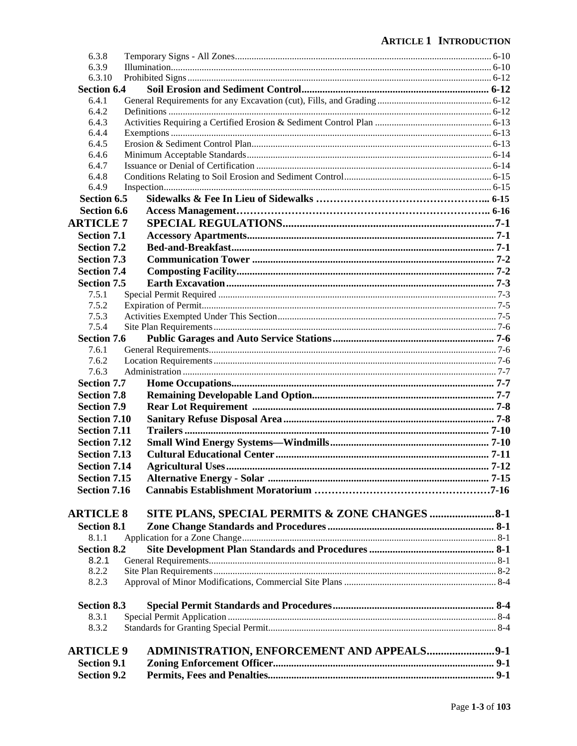| <b>Section 9.2</b>  |                                                |  |
|---------------------|------------------------------------------------|--|
| <b>Section 9.1</b>  |                                                |  |
| <b>ARTICLE 9</b>    | ADMINISTRATION, ENFORCEMENT AND APPEALS9-1     |  |
|                     |                                                |  |
| 8.3.2               |                                                |  |
| 8.3.1               |                                                |  |
| <b>Section 8.3</b>  |                                                |  |
|                     |                                                |  |
| 8.2.3               |                                                |  |
| 8.2.2               |                                                |  |
| 8.2.1               |                                                |  |
| <b>Section 8.2</b>  |                                                |  |
| 8.1.1               |                                                |  |
| <b>Section 8.1</b>  |                                                |  |
| <b>ARTICLE 8</b>    | SITE PLANS, SPECIAL PERMITS & ZONE CHANGES 8-1 |  |
|                     |                                                |  |
| <b>Section 7.16</b> |                                                |  |
| <b>Section 7.15</b> |                                                |  |
| <b>Section 7.14</b> |                                                |  |
| <b>Section 7.13</b> |                                                |  |
| <b>Section 7.12</b> |                                                |  |
| <b>Section 7.11</b> |                                                |  |
| <b>Section 7.10</b> |                                                |  |
| <b>Section 7.9</b>  |                                                |  |
| <b>Section 7.8</b>  |                                                |  |
|                     |                                                |  |
| <b>Section 7.7</b>  |                                                |  |
| 7.6.3               |                                                |  |
| 7.6.2               |                                                |  |
| 7.6.1               |                                                |  |
| <b>Section 7.6</b>  |                                                |  |
| 7.5.4               |                                                |  |
| 7.5.3               |                                                |  |
| 7.5.2               |                                                |  |
| 7.5.1               |                                                |  |
| <b>Section 7.5</b>  |                                                |  |
| <b>Section 7.4</b>  |                                                |  |
| <b>Section 7.3</b>  |                                                |  |
| <b>Section 7.2</b>  |                                                |  |
| <b>Section 7.1</b>  |                                                |  |
| <b>ARTICLE 7</b>    |                                                |  |
| <b>Section 6.6</b>  |                                                |  |
| <b>Section 6.5</b>  |                                                |  |
| 6.4.9               |                                                |  |
| 6.4.8               |                                                |  |
| 6.4.7               |                                                |  |
| 6.4.6               |                                                |  |
| 6.4.5               |                                                |  |
| 6.4.4               |                                                |  |
| 6.4.3               |                                                |  |
| 6.4.2               |                                                |  |
| 6.4.1               |                                                |  |
| <b>Section 6.4</b>  |                                                |  |
| 6.3.10              |                                                |  |
| 6.3.9               |                                                |  |
| 6.3.8               |                                                |  |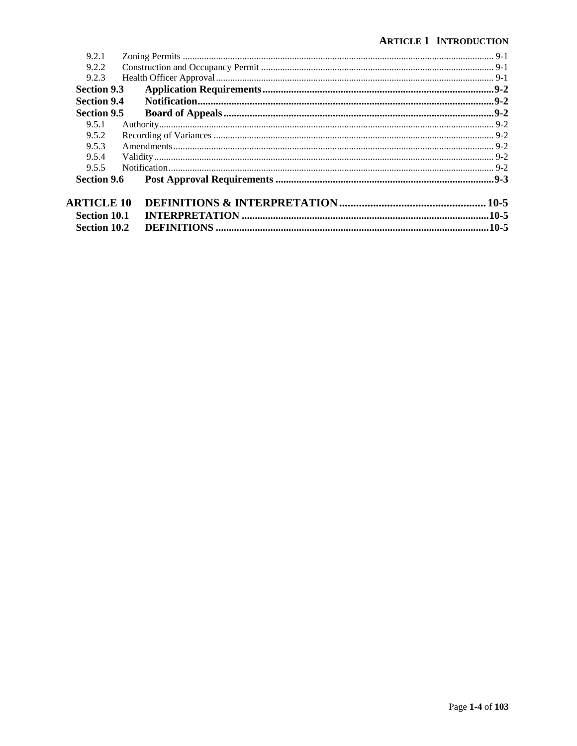| 9.2.1               |  |  |
|---------------------|--|--|
| 9.2.2               |  |  |
| 9.2.3               |  |  |
| <b>Section 9.3</b>  |  |  |
| <b>Section 9.4</b>  |  |  |
| <b>Section 9.5</b>  |  |  |
| 9.5.1               |  |  |
| 9.5.2               |  |  |
| 9.5.3               |  |  |
| 9.5.4               |  |  |
| 9.5.5               |  |  |
| <b>Section 9.6</b>  |  |  |
| <b>ARTICLE 10</b>   |  |  |
| <b>Section 10.1</b> |  |  |
| <b>Section 10.2</b> |  |  |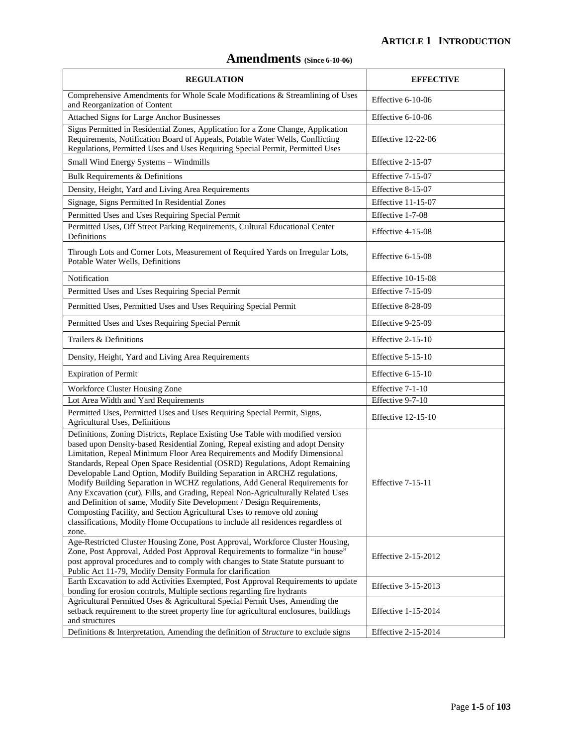# **Amendments (Since 6-10-06)**

| <b>REGULATION</b>                                                                                                                                                                                                                                                                                                                                                                                                                                                                                                                                                                                                                                                                                                                                                                                                                 | <b>EFFECTIVE</b>           |
|-----------------------------------------------------------------------------------------------------------------------------------------------------------------------------------------------------------------------------------------------------------------------------------------------------------------------------------------------------------------------------------------------------------------------------------------------------------------------------------------------------------------------------------------------------------------------------------------------------------------------------------------------------------------------------------------------------------------------------------------------------------------------------------------------------------------------------------|----------------------------|
| Comprehensive Amendments for Whole Scale Modifications & Streamlining of Uses<br>and Reorganization of Content                                                                                                                                                                                                                                                                                                                                                                                                                                                                                                                                                                                                                                                                                                                    | Effective 6-10-06          |
| <b>Attached Signs for Large Anchor Businesses</b>                                                                                                                                                                                                                                                                                                                                                                                                                                                                                                                                                                                                                                                                                                                                                                                 | Effective 6-10-06          |
| Signs Permitted in Residential Zones, Application for a Zone Change, Application<br>Requirements, Notification Board of Appeals, Potable Water Wells, Conflicting<br>Regulations, Permitted Uses and Uses Requiring Special Permit, Permitted Uses                                                                                                                                                                                                                                                                                                                                                                                                                                                                                                                                                                                | Effective 12-22-06         |
| Small Wind Energy Systems - Windmills                                                                                                                                                                                                                                                                                                                                                                                                                                                                                                                                                                                                                                                                                                                                                                                             | Effective 2-15-07          |
| Bulk Requirements & Definitions                                                                                                                                                                                                                                                                                                                                                                                                                                                                                                                                                                                                                                                                                                                                                                                                   | Effective 7-15-07          |
| Density, Height, Yard and Living Area Requirements                                                                                                                                                                                                                                                                                                                                                                                                                                                                                                                                                                                                                                                                                                                                                                                | Effective 8-15-07          |
| Signage, Signs Permitted In Residential Zones                                                                                                                                                                                                                                                                                                                                                                                                                                                                                                                                                                                                                                                                                                                                                                                     | Effective 11-15-07         |
| Permitted Uses and Uses Requiring Special Permit                                                                                                                                                                                                                                                                                                                                                                                                                                                                                                                                                                                                                                                                                                                                                                                  | Effective 1-7-08           |
| Permitted Uses, Off Street Parking Requirements, Cultural Educational Center<br>Definitions                                                                                                                                                                                                                                                                                                                                                                                                                                                                                                                                                                                                                                                                                                                                       | Effective 4-15-08          |
| Through Lots and Corner Lots, Measurement of Required Yards on Irregular Lots,<br>Potable Water Wells, Definitions                                                                                                                                                                                                                                                                                                                                                                                                                                                                                                                                                                                                                                                                                                                | Effective 6-15-08          |
| Notification                                                                                                                                                                                                                                                                                                                                                                                                                                                                                                                                                                                                                                                                                                                                                                                                                      | Effective $10-15-08$       |
| Permitted Uses and Uses Requiring Special Permit                                                                                                                                                                                                                                                                                                                                                                                                                                                                                                                                                                                                                                                                                                                                                                                  | Effective 7-15-09          |
| Permitted Uses, Permitted Uses and Uses Requiring Special Permit                                                                                                                                                                                                                                                                                                                                                                                                                                                                                                                                                                                                                                                                                                                                                                  | Effective 8-28-09          |
| Permitted Uses and Uses Requiring Special Permit                                                                                                                                                                                                                                                                                                                                                                                                                                                                                                                                                                                                                                                                                                                                                                                  | Effective 9-25-09          |
| Trailers & Definitions                                                                                                                                                                                                                                                                                                                                                                                                                                                                                                                                                                                                                                                                                                                                                                                                            | Effective 2-15-10          |
| Density, Height, Yard and Living Area Requirements                                                                                                                                                                                                                                                                                                                                                                                                                                                                                                                                                                                                                                                                                                                                                                                | Effective 5-15-10          |
| <b>Expiration of Permit</b>                                                                                                                                                                                                                                                                                                                                                                                                                                                                                                                                                                                                                                                                                                                                                                                                       | Effective 6-15-10          |
| Workforce Cluster Housing Zone                                                                                                                                                                                                                                                                                                                                                                                                                                                                                                                                                                                                                                                                                                                                                                                                    | Effective 7-1-10           |
| Lot Area Width and Yard Requirements                                                                                                                                                                                                                                                                                                                                                                                                                                                                                                                                                                                                                                                                                                                                                                                              | Effective 9-7-10           |
| Permitted Uses, Permitted Uses and Uses Requiring Special Permit, Signs,<br>Agricultural Uses, Definitions                                                                                                                                                                                                                                                                                                                                                                                                                                                                                                                                                                                                                                                                                                                        | <b>Effective 12-15-10</b>  |
| Definitions, Zoning Districts, Replace Existing Use Table with modified version<br>based upon Density-based Residential Zoning, Repeal existing and adopt Density<br>Limitation, Repeal Minimum Floor Area Requirements and Modify Dimensional<br>Standards, Repeal Open Space Residential (OSRD) Regulations, Adopt Remaining<br>Developable Land Option, Modify Building Separation in ARCHZ regulations,<br>Modify Building Separation in WCHZ regulations, Add General Requirements for<br>Any Excavation (cut), Fills, and Grading, Repeal Non-Agriculturally Related Uses<br>and Definition of same, Modify Site Development / Design Requirements,<br>Composting Facility, and Section Agricultural Uses to remove old zoning<br>classifications, Modify Home Occupations to include all residences regardless of<br>zone. | Effective 7-15-11          |
| Age-Restricted Cluster Housing Zone, Post Approval, Workforce Cluster Housing,<br>Zone, Post Approval, Added Post Approval Requirements to formalize "in house"<br>post approval procedures and to comply with changes to State Statute pursuant to<br>Public Act 11-79, Modify Density Formula for clarification                                                                                                                                                                                                                                                                                                                                                                                                                                                                                                                 | <b>Effective 2-15-2012</b> |
| Earth Excavation to add Activities Exempted, Post Approval Requirements to update<br>bonding for erosion controls, Multiple sections regarding fire hydrants                                                                                                                                                                                                                                                                                                                                                                                                                                                                                                                                                                                                                                                                      | Effective 3-15-2013        |
| Agricultural Permitted Uses & Agricultural Special Permit Uses, Amending the<br>setback requirement to the street property line for agricultural enclosures, buildings<br>and structures                                                                                                                                                                                                                                                                                                                                                                                                                                                                                                                                                                                                                                          | Effective 1-15-2014        |
| Definitions & Interpretation, Amending the definition of Structure to exclude signs                                                                                                                                                                                                                                                                                                                                                                                                                                                                                                                                                                                                                                                                                                                                               | Effective 2-15-2014        |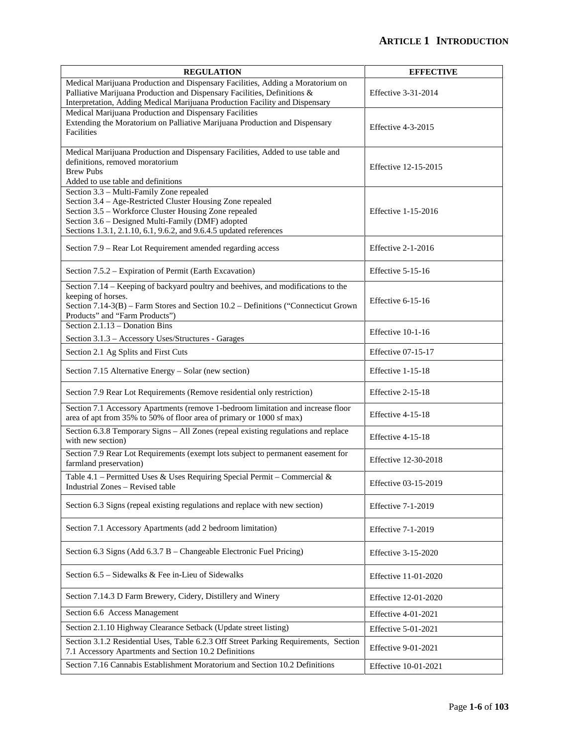| <b>REGULATION</b>                                                                                                                                                                                                                                                                          | <b>EFFECTIVE</b>           |
|--------------------------------------------------------------------------------------------------------------------------------------------------------------------------------------------------------------------------------------------------------------------------------------------|----------------------------|
| Medical Marijuana Production and Dispensary Facilities, Adding a Moratorium on<br>Palliative Marijuana Production and Dispensary Facilities, Definitions &<br>Interpretation, Adding Medical Marijuana Production Facility and Dispensary                                                  | Effective 3-31-2014        |
| Medical Marijuana Production and Dispensary Facilities<br>Extending the Moratorium on Palliative Marijuana Production and Dispensary<br>Facilities                                                                                                                                         | Effective 4-3-2015         |
| Medical Marijuana Production and Dispensary Facilities, Added to use table and<br>definitions, removed moratorium<br><b>Brew Pubs</b><br>Added to use table and definitions                                                                                                                | Effective 12-15-2015       |
| Section 3.3 - Multi-Family Zone repealed<br>Section 3.4 – Age-Restricted Cluster Housing Zone repealed<br>Section 3.5 - Workforce Cluster Housing Zone repealed<br>Section 3.6 - Designed Multi-Family (DMF) adopted<br>Sections 1.3.1, 2.1.10, 6.1, 9.6.2, and 9.6.4.5 updated references | Effective 1-15-2016        |
| Section 7.9 – Rear Lot Requirement amended regarding access                                                                                                                                                                                                                                | Effective 2-1-2016         |
| Section 7.5.2 – Expiration of Permit (Earth Excavation)                                                                                                                                                                                                                                    | Effective $5-15-16$        |
| Section 7.14 - Keeping of backyard poultry and beehives, and modifications to the<br>keeping of horses.<br>Section 7.14-3(B) - Farm Stores and Section 10.2 - Definitions ("Connecticut Grown<br>Products" and "Farm Products")                                                            | Effective $6-15-16$        |
| Section 2.1.13 - Donation Bins<br>Section 3.1.3 - Accessory Uses/Structures - Garages                                                                                                                                                                                                      | Effective 10-1-16          |
| Section 2.1 Ag Splits and First Cuts                                                                                                                                                                                                                                                       | <b>Effective 07-15-17</b>  |
| Section 7.15 Alternative Energy - Solar (new section)                                                                                                                                                                                                                                      | Effective 1-15-18          |
| Section 7.9 Rear Lot Requirements (Remove residential only restriction)                                                                                                                                                                                                                    | Effective 2-15-18          |
| Section 7.1 Accessory Apartments (remove 1-bedroom limitation and increase floor<br>area of apt from 35% to 50% of floor area of primary or 1000 sf max)                                                                                                                                   | Effective 4-15-18          |
| Section 6.3.8 Temporary Signs - All Zones (repeal existing regulations and replace<br>with new section)                                                                                                                                                                                    | Effective 4-15-18          |
| Section 7.9 Rear Lot Requirements (exempt lots subject to permanent easement for<br>farmland preservation)                                                                                                                                                                                 | Effective 12-30-2018       |
| Table 4.1 – Permitted Uses & Uses Requiring Special Permit – Commercial &<br>Industrial Zones – Revised table                                                                                                                                                                              | Effective 03-15-2019       |
| Section 6.3 Signs (repeal existing regulations and replace with new section)                                                                                                                                                                                                               | <b>Effective 7-1-2019</b>  |
| Section 7.1 Accessory Apartments (add 2 bedroom limitation)                                                                                                                                                                                                                                | Effective $7-1-2019$       |
| Section 6.3 Signs (Add 6.3.7 B - Changeable Electronic Fuel Pricing)                                                                                                                                                                                                                       | Effective 3-15-2020        |
| Section 6.5 – Sidewalks & Fee in-Lieu of Sidewalks                                                                                                                                                                                                                                         | Effective 11-01-2020       |
| Section 7.14.3 D Farm Brewery, Cidery, Distillery and Winery                                                                                                                                                                                                                               | Effective 12-01-2020       |
| Section 6.6 Access Management                                                                                                                                                                                                                                                              | <b>Effective 4-01-2021</b> |
| Section 2.1.10 Highway Clearance Setback (Update street listing)                                                                                                                                                                                                                           | Effective 5-01-2021        |
| Section 3.1.2 Residential Uses, Table 6.2.3 Off Street Parking Requirements, Section<br>7.1 Accessory Apartments and Section 10.2 Definitions                                                                                                                                              | Effective 9-01-2021        |
| Section 7.16 Cannabis Establishment Moratorium and Section 10.2 Definitions                                                                                                                                                                                                                | Effective 10-01-2021       |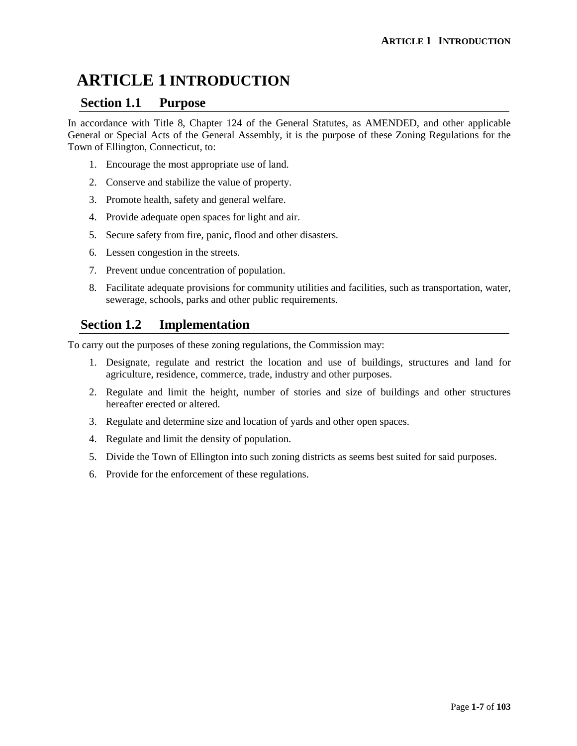### **Section 1.1 Purpose**

In accordance with Title 8, Chapter 124 of the General Statutes, as AMENDED, and other applicable General or Special Acts of the General Assembly, it is the purpose of these Zoning Regulations for the Town of Ellington, Connecticut, to:

- 1. Encourage the most appropriate use of land.
- 2. Conserve and stabilize the value of property.
- 3. Promote health, safety and general welfare.
- 4. Provide adequate open spaces for light and air.
- 5. Secure safety from fire, panic, flood and other disasters.
- 6. Lessen congestion in the streets.
- 7. Prevent undue concentration of population.
- 8. Facilitate adequate provisions for community utilities and facilities, such as transportation, water, sewerage, schools, parks and other public requirements.

# **Section 1.2 Implementation**

To carry out the purposes of these zoning regulations, the Commission may:

- 1. Designate, regulate and restrict the location and use of buildings, structures and land for agriculture, residence, commerce, trade, industry and other purposes.
- 2. Regulate and limit the height, number of stories and size of buildings and other structures hereafter erected or altered.
- 3. Regulate and determine size and location of yards and other open spaces.
- 4. Regulate and limit the density of population.
- 5. Divide the Town of Ellington into such zoning districts as seems best suited for said purposes.
- 6. Provide for the enforcement of these regulations.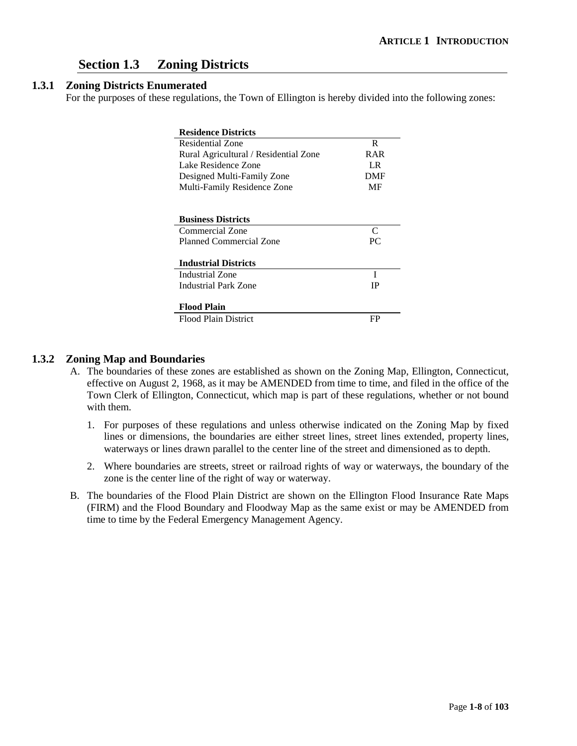# **Section 1.3 Zoning Districts**

#### **1.3.1 Zoning Districts Enumerated**

For the purposes of these regulations, the Town of Ellington is hereby divided into the following zones:

| <b>Residence Districts</b>            |            |
|---------------------------------------|------------|
| Residential Zone                      | R          |
| Rural Agricultural / Residential Zone | R A R      |
| Lake Residence Zone                   | I R        |
| Designed Multi-Family Zone            | <b>DMF</b> |
| Multi-Family Residence Zone           | MF         |
|                                       |            |
|                                       |            |
| <b>Business Districts</b>             |            |
| Commercial Zone                       | C          |
| <b>Planned Commercial Zone</b>        | PC.        |
|                                       |            |
| <b>Industrial Districts</b>           |            |
| Industrial Zone                       | T          |
| Industrial Park Zone                  | IP         |
|                                       |            |
| <b>Flood Plain</b>                    |            |
| <b>Flood Plain District</b>           | FP         |

#### **1.3.2 Zoning Map and Boundaries**

- A. The boundaries of these zones are established as shown on the Zoning Map, Ellington, Connecticut, effective on August 2, 1968, as it may be AMENDED from time to time, and filed in the office of the Town Clerk of Ellington, Connecticut, which map is part of these regulations, whether or not bound with them.
	- 1. For purposes of these regulations and unless otherwise indicated on the Zoning Map by fixed lines or dimensions, the boundaries are either street lines, street lines extended, property lines, waterways or lines drawn parallel to the center line of the street and dimensioned as to depth.
	- 2. Where boundaries are streets, street or railroad rights of way or waterways, the boundary of the zone is the center line of the right of way or waterway.
- B. The boundaries of the Flood Plain District are shown on the Ellington Flood Insurance Rate Maps (FIRM) and the Flood Boundary and Floodway Map as the same exist or may be AMENDED from time to time by the Federal Emergency Management Agency.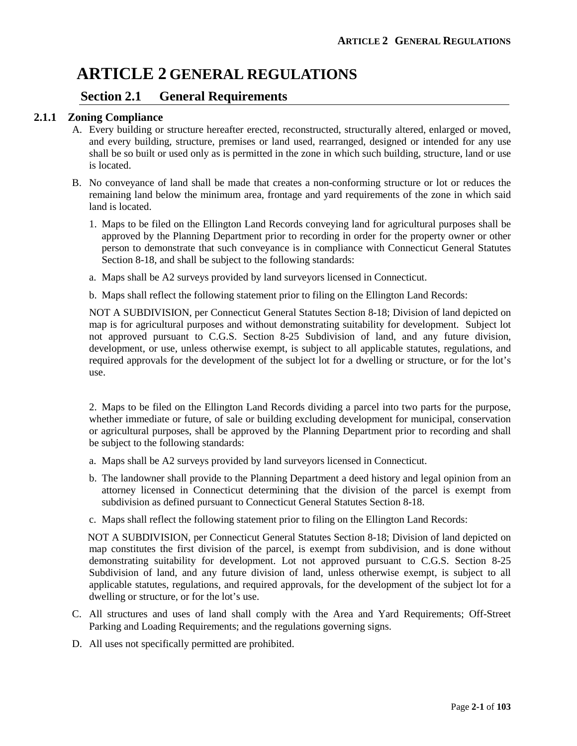# **ARTICLE 2 GENERAL REGULATIONS**

### **Section 2.1 General Requirements**

#### **2.1.1 Zoning Compliance**

- A. Every building or structure hereafter erected, reconstructed, structurally altered, enlarged or moved, and every building, structure, premises or land used, rearranged, designed or intended for any use shall be so built or used only as is permitted in the zone in which such building, structure, land or use is located.
- B. No conveyance of land shall be made that creates a non-conforming structure or lot or reduces the remaining land below the minimum area, frontage and yard requirements of the zone in which said land is located.
	- 1. Maps to be filed on the Ellington Land Records conveying land for agricultural purposes shall be approved by the Planning Department prior to recording in order for the property owner or other person to demonstrate that such conveyance is in compliance with Connecticut General Statutes Section 8-18, and shall be subject to the following standards:
	- a. Maps shall be A2 surveys provided by land surveyors licensed in Connecticut.
	- b. Maps shall reflect the following statement prior to filing on the Ellington Land Records:

NOT A SUBDIVISION, per Connecticut General Statutes Section 8-18; Division of land depicted on map is for agricultural purposes and without demonstrating suitability for development. Subject lot not approved pursuant to C.G.S. Section 8-25 Subdivision of land, and any future division, development, or use, unless otherwise exempt, is subject to all applicable statutes, regulations, and required approvals for the development of the subject lot for a dwelling or structure, or for the lot's use.

2. Maps to be filed on the Ellington Land Records dividing a parcel into two parts for the purpose, whether immediate or future, of sale or building excluding development for municipal, conservation or agricultural purposes, shall be approved by the Planning Department prior to recording and shall be subject to the following standards:

- a. Maps shall be A2 surveys provided by land surveyors licensed in Connecticut.
- b. The landowner shall provide to the Planning Department a deed history and legal opinion from an attorney licensed in Connecticut determining that the division of the parcel is exempt from subdivision as defined pursuant to Connecticut General Statutes Section 8-18.
- c. Maps shall reflect the following statement prior to filing on the Ellington Land Records:

 NOT A SUBDIVISION, per Connecticut General Statutes Section 8-18; Division of land depicted on map constitutes the first division of the parcel, is exempt from subdivision, and is done without demonstrating suitability for development. Lot not approved pursuant to C.G.S. Section 8-25 Subdivision of land, and any future division of land, unless otherwise exempt, is subject to all applicable statutes, regulations, and required approvals, for the development of the subject lot for a dwelling or structure, or for the lot's use.

- C. All structures and uses of land shall comply with the Area and Yard Requirements; Off-Street Parking and Loading Requirements; and the regulations governing signs.
- D. All uses not specifically permitted are prohibited.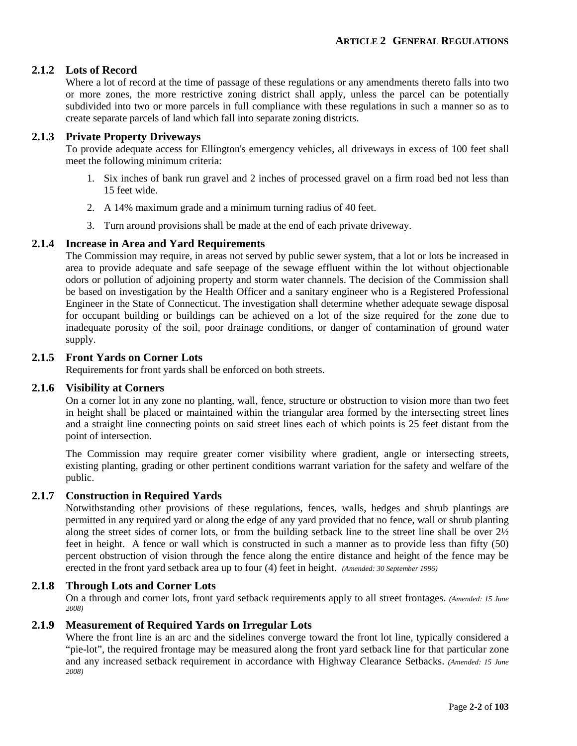#### **2.1.2 Lots of Record**

Where a lot of record at the time of passage of these regulations or any amendments thereto falls into two or more zones, the more restrictive zoning district shall apply, unless the parcel can be potentially subdivided into two or more parcels in full compliance with these regulations in such a manner so as to create separate parcels of land which fall into separate zoning districts.

#### **2.1.3 Private Property Driveways**

To provide adequate access for Ellington's emergency vehicles, all driveways in excess of 100 feet shall meet the following minimum criteria:

- 1. Six inches of bank run gravel and 2 inches of processed gravel on a firm road bed not less than 15 feet wide.
- 2. A 14% maximum grade and a minimum turning radius of 40 feet.
- 3. Turn around provisions shall be made at the end of each private driveway.

#### **2.1.4 Increase in Area and Yard Requirements**

The Commission may require, in areas not served by public sewer system, that a lot or lots be increased in area to provide adequate and safe seepage of the sewage effluent within the lot without objectionable odors or pollution of adjoining property and storm water channels. The decision of the Commission shall be based on investigation by the Health Officer and a sanitary engineer who is a Registered Professional Engineer in the State of Connecticut. The investigation shall determine whether adequate sewage disposal for occupant building or buildings can be achieved on a lot of the size required for the zone due to inadequate porosity of the soil, poor drainage conditions, or danger of contamination of ground water supply.

#### **2.1.5 Front Yards on Corner Lots**

Requirements for front yards shall be enforced on both streets.

#### **2.1.6 Visibility at Corners**

On a corner lot in any zone no planting, wall, fence, structure or obstruction to vision more than two feet in height shall be placed or maintained within the triangular area formed by the intersecting street lines and a straight line connecting points on said street lines each of which points is 25 feet distant from the point of intersection.

The Commission may require greater corner visibility where gradient, angle or intersecting streets, existing planting, grading or other pertinent conditions warrant variation for the safety and welfare of the public.

#### **2.1.7 Construction in Required Yards**

Notwithstanding other provisions of these regulations, fences, walls, hedges and shrub plantings are permitted in any required yard or along the edge of any yard provided that no fence, wall or shrub planting along the street sides of corner lots, or from the building setback line to the street line shall be over 2½ feet in height. A fence or wall which is constructed in such a manner as to provide less than fifty (50) percent obstruction of vision through the fence along the entire distance and height of the fence may be erected in the front yard setback area up to four (4) feet in height. *(Amended: 30 September 1996)*

#### **2.1.8 Through Lots and Corner Lots**

On a through and corner lots, front yard setback requirements apply to all street frontages. *(Amended: 15 June 2008)*

#### **2.1.9 Measurement of Required Yards on Irregular Lots**

Where the front line is an arc and the sidelines converge toward the front lot line, typically considered a "pie-lot", the required frontage may be measured along the front yard setback line for that particular zone and any increased setback requirement in accordance with Highway Clearance Setbacks. *(Amended: 15 June 2008)*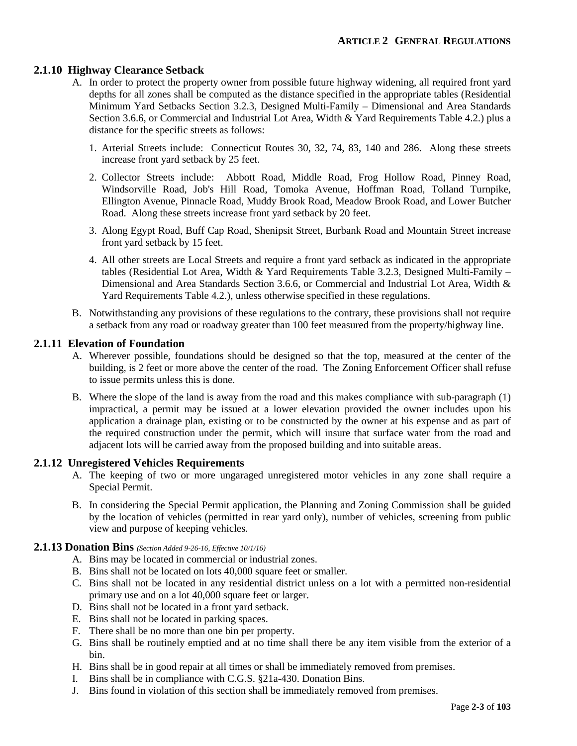#### **2.1.10 Highway Clearance Setback**

- A. In order to protect the property owner from possible future highway widening, all required front yard depths for all zones shall be computed as the distance specified in the appropriate tables (Residential Minimum Yard Setbacks Section 3.2.3, Designed Multi-Family – Dimensional and Area Standards Section 3.6.6, or Commercial and Industrial Lot Area, Width & Yard Requirements Table 4.2.) plus a distance for the specific streets as follows:
	- 1. Arterial Streets include: Connecticut Routes 30, 32, 74, 83, 140 and 286. Along these streets increase front yard setback by 25 feet.
	- 2. Collector Streets include: Abbott Road, Middle Road, Frog Hollow Road, Pinney Road, Windsorville Road, Job's Hill Road, Tomoka Avenue, Hoffman Road, Tolland Turnpike, Ellington Avenue, Pinnacle Road, Muddy Brook Road, Meadow Brook Road, and Lower Butcher Road. Along these streets increase front yard setback by 20 feet.
	- 3. Along Egypt Road, Buff Cap Road, Shenipsit Street, Burbank Road and Mountain Street increase front yard setback by 15 feet.
	- 4. All other streets are Local Streets and require a front yard setback as indicated in the appropriate tables (Residential Lot Area, Width & Yard Requirements Table 3.2.3, Designed Multi-Family – Dimensional and Area Standards Section 3.6.6, or Commercial and Industrial Lot Area, Width & Yard Requirements Table 4.2.), unless otherwise specified in these regulations.
- B. Notwithstanding any provisions of these regulations to the contrary, these provisions shall not require a setback from any road or roadway greater than 100 feet measured from the property/highway line.

#### **2.1.11 Elevation of Foundation**

- A. Wherever possible, foundations should be designed so that the top, measured at the center of the building, is 2 feet or more above the center of the road. The Zoning Enforcement Officer shall refuse to issue permits unless this is done.
- B. Where the slope of the land is away from the road and this makes compliance with sub-paragraph (1) impractical, a permit may be issued at a lower elevation provided the owner includes upon his application a drainage plan, existing or to be constructed by the owner at his expense and as part of the required construction under the permit, which will insure that surface water from the road and adjacent lots will be carried away from the proposed building and into suitable areas.

#### **2.1.12 Unregistered Vehicles Requirements**

- A. The keeping of two or more ungaraged unregistered motor vehicles in any zone shall require a Special Permit.
- B. In considering the Special Permit application, the Planning and Zoning Commission shall be guided by the location of vehicles (permitted in rear yard only), number of vehicles, screening from public view and purpose of keeping vehicles.

#### **2.1.13 Donation Bins** *(Section Added 9-26-16, Effective 10/1/16)*

- A. Bins may be located in commercial or industrial zones.
- B. Bins shall not be located on lots 40,000 square feet or smaller.
- C. Bins shall not be located in any residential district unless on a lot with a permitted non-residential primary use and on a lot 40,000 square feet or larger.
- D. Bins shall not be located in a front yard setback.
- E. Bins shall not be located in parking spaces.
- F. There shall be no more than one bin per property.
- G. Bins shall be routinely emptied and at no time shall there be any item visible from the exterior of a bin.
- H. Bins shall be in good repair at all times or shall be immediately removed from premises.
- I. Bins shall be in compliance with C.G.S. §21a-430. Donation Bins.
- J. Bins found in violation of this section shall be immediately removed from premises.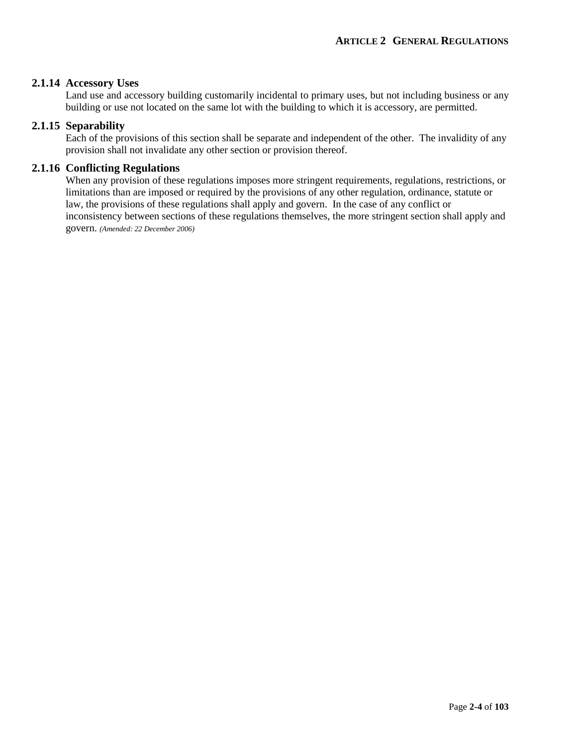#### **2.1.14 Accessory Uses**

Land use and accessory building customarily incidental to primary uses, but not including business or any building or use not located on the same lot with the building to which it is accessory, are permitted.

#### **2.1.15 Separability**

Each of the provisions of this section shall be separate and independent of the other. The invalidity of any provision shall not invalidate any other section or provision thereof.

#### **2.1.16 Conflicting Regulations**

When any provision of these regulations imposes more stringent requirements, regulations, restrictions, or limitations than are imposed or required by the provisions of any other regulation, ordinance, statute or law, the provisions of these regulations shall apply and govern. In the case of any conflict or inconsistency between sections of these regulations themselves, the more stringent section shall apply and govern. *(Amended: 22 December 2006)*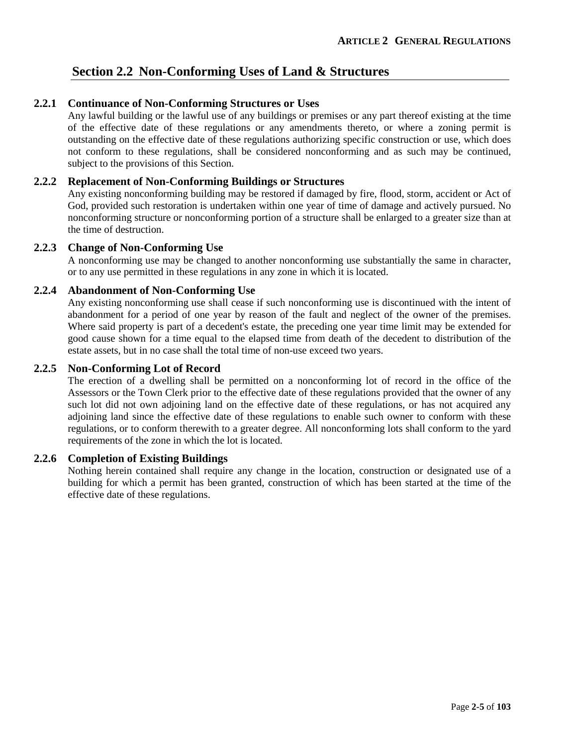# **Section 2.2 Non-Conforming Uses of Land & Structures**

#### **2.2.1 Continuance of Non-Conforming Structures or Uses**

Any lawful building or the lawful use of any buildings or premises or any part thereof existing at the time of the effective date of these regulations or any amendments thereto, or where a zoning permit is outstanding on the effective date of these regulations authorizing specific construction or use, which does not conform to these regulations, shall be considered nonconforming and as such may be continued, subject to the provisions of this Section.

#### **2.2.2 Replacement of Non-Conforming Buildings or Structures**

Any existing nonconforming building may be restored if damaged by fire, flood, storm, accident or Act of God, provided such restoration is undertaken within one year of time of damage and actively pursued. No nonconforming structure or nonconforming portion of a structure shall be enlarged to a greater size than at the time of destruction.

#### **2.2.3 Change of Non-Conforming Use**

A nonconforming use may be changed to another nonconforming use substantially the same in character, or to any use permitted in these regulations in any zone in which it is located.

#### **2.2.4 Abandonment of Non-Conforming Use**

Any existing nonconforming use shall cease if such nonconforming use is discontinued with the intent of abandonment for a period of one year by reason of the fault and neglect of the owner of the premises. Where said property is part of a decedent's estate, the preceding one year time limit may be extended for good cause shown for a time equal to the elapsed time from death of the decedent to distribution of the estate assets, but in no case shall the total time of non-use exceed two years.

#### **2.2.5 Non-Conforming Lot of Record**

The erection of a dwelling shall be permitted on a nonconforming lot of record in the office of the Assessors or the Town Clerk prior to the effective date of these regulations provided that the owner of any such lot did not own adjoining land on the effective date of these regulations, or has not acquired any adjoining land since the effective date of these regulations to enable such owner to conform with these regulations, or to conform therewith to a greater degree. All nonconforming lots shall conform to the yard requirements of the zone in which the lot is located.

#### **2.2.6 Completion of Existing Buildings**

Nothing herein contained shall require any change in the location, construction or designated use of a building for which a permit has been granted, construction of which has been started at the time of the effective date of these regulations.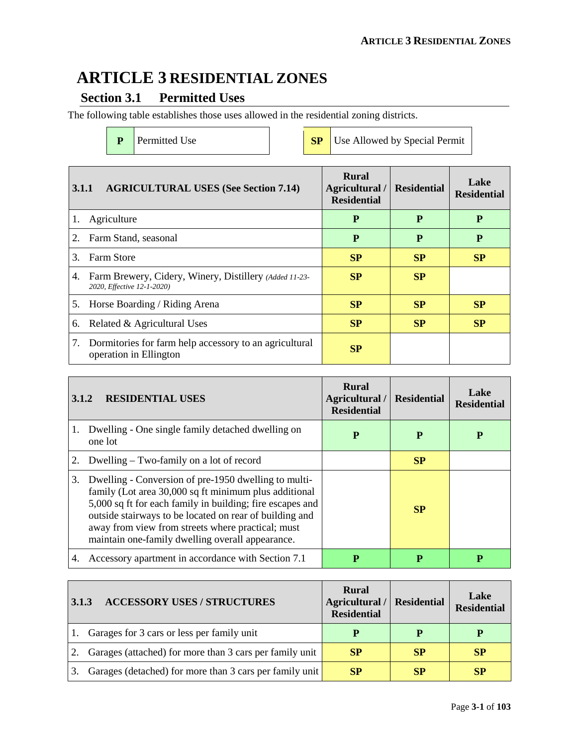# **ARTICLE 3 RESIDENTIAL ZONES**

# **Section 3.1 Permitted Uses**

The following table establishes those uses allowed in the residential zoning districts.

**P** Permitted Use **SP** Use Allowed by Special Permit

| 3.1.1 | <b>AGRICULTURAL USES (See Section 7.14)</b>                                          | <b>Rural</b><br>Agricultural /<br><b>Residential</b> | <b>Residential</b> | Lake<br><b>Residential</b> |
|-------|--------------------------------------------------------------------------------------|------------------------------------------------------|--------------------|----------------------------|
|       | Agriculture                                                                          | P                                                    | P                  | P                          |
| 2.    | Farm Stand, seasonal                                                                 | P                                                    | P                  | P                          |
| 3.    | <b>Farm Store</b>                                                                    | <b>SP</b>                                            | SP                 | SP                         |
| 4.    | Farm Brewery, Cidery, Winery, Distillery (Added 11-23-<br>2020, Effective 12-1-2020) | <b>SP</b>                                            | SP                 |                            |
| 5.    | Horse Boarding / Riding Arena                                                        | <b>SP</b>                                            | SP                 | SP                         |
| 6.    | Related & Agricultural Uses                                                          | <b>SP</b>                                            | <b>SP</b>          | <b>SP</b>                  |
| 7.    | Dormitories for farm help accessory to an agricultural<br>operation in Ellington     | SP                                                   |                    |                            |

| 3.1.2 | <b>RESIDENTIAL USES</b>                                                                                                                                                                                                                                                                                                                        | <b>Rural</b><br>Agricultural /<br><b>Residential</b> | <b>Residential</b> | Lake<br><b>Residential</b> |
|-------|------------------------------------------------------------------------------------------------------------------------------------------------------------------------------------------------------------------------------------------------------------------------------------------------------------------------------------------------|------------------------------------------------------|--------------------|----------------------------|
| 1.    | Dwelling - One single family detached dwelling on<br>one lot                                                                                                                                                                                                                                                                                   | P                                                    | P                  | P                          |
| 2.    | Dwelling – Two-family on a lot of record                                                                                                                                                                                                                                                                                                       |                                                      | SP                 |                            |
| 3.    | Dwelling - Conversion of pre-1950 dwelling to multi-<br>family (Lot area 30,000 sq ft minimum plus additional<br>5,000 sq ft for each family in building; fire escapes and<br>outside stairways to be located on rear of building and<br>away from view from streets where practical; must<br>maintain one-family dwelling overall appearance. |                                                      | <b>SP</b>          |                            |
| 4.    | Accessory apartment in accordance with Section 7.1                                                                                                                                                                                                                                                                                             | P                                                    | P                  | P                          |

| 3.1.3          | <b>ACCESSORY USES / STRUCTURES</b>                      | <b>Rural</b><br>Agricultural / Residential<br><b>Residential</b> |           | Lake<br><b>Residential</b> |
|----------------|---------------------------------------------------------|------------------------------------------------------------------|-----------|----------------------------|
| $\mathbf{1}$ . | Garages for 3 cars or less per family unit              | P                                                                | P         |                            |
| 2.             | Garages (attached) for more than 3 cars per family unit | <b>SP</b>                                                        | <b>SP</b> | <b>SP</b>                  |
|                | Garages (detached) for more than 3 cars per family unit | <b>SP</b>                                                        | SP        | SP                         |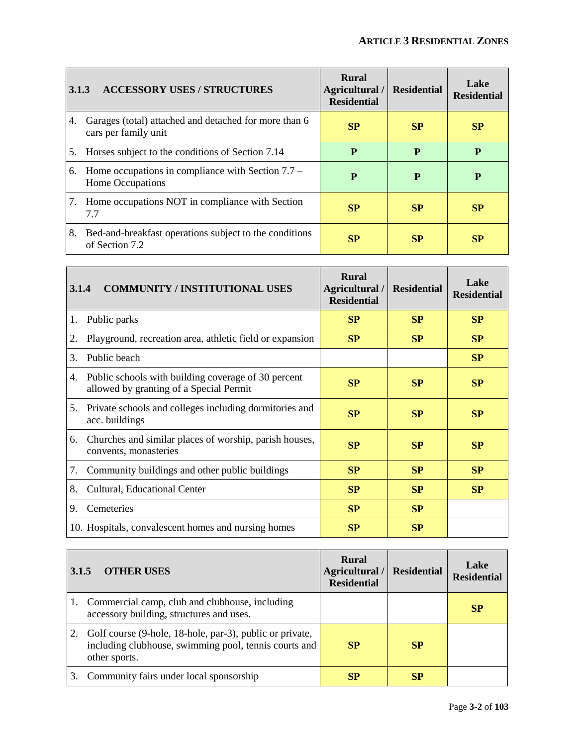| 3.1.3 | <b>ACCESSORY USES / STRUCTURES</b>                                            | Rural<br>Agricultural /<br><b>Residential</b> | <b>Residential</b> | Lake<br><b>Residential</b> |
|-------|-------------------------------------------------------------------------------|-----------------------------------------------|--------------------|----------------------------|
| 4.    | Garages (total) attached and detached for more than 6<br>cars per family unit | <b>SP</b>                                     | SP                 | SP                         |
| 5.    | Horses subject to the conditions of Section 7.14                              | P                                             | P                  | P                          |
| 6.    | Home occupations in compliance with Section $7.7 -$<br>Home Occupations       | P                                             | P                  | P                          |
|       | 7. Home occupations NOT in compliance with Section<br>7.7                     | <b>SP</b>                                     | <b>SP</b>          | <b>SP</b>                  |
| 8.    | Bed-and-breakfast operations subject to the conditions<br>of Section 7.2      | SP                                            | <b>SP</b>          | SP                         |

| 3.1.4 | <b>COMMUNITY / INSTITUTIONAL USES</b>                                                          | <b>Rural</b><br>Agricultural /<br><b>Residential</b> | <b>Residential</b> | Lake<br><b>Residential</b> |
|-------|------------------------------------------------------------------------------------------------|------------------------------------------------------|--------------------|----------------------------|
| 1.    | Public parks                                                                                   | SP                                                   | SP                 | SP                         |
| 2.    | Playground, recreation area, athletic field or expansion                                       | <b>SP</b>                                            | SP                 | SP                         |
| 3.    | Public beach                                                                                   |                                                      |                    | SP                         |
| 4.    | Public schools with building coverage of 30 percent<br>allowed by granting of a Special Permit | SP                                                   | SP                 | SP                         |
| 5.    | Private schools and colleges including dormitories and<br>acc. buildings                       | SP                                                   | SP                 | SP                         |
| 6.    | Churches and similar places of worship, parish houses,<br>convents, monasteries                | SP                                                   | SP                 | SP                         |
| 7.    | Community buildings and other public buildings                                                 | SP                                                   | SP                 | SP                         |
| 8.    | Cultural, Educational Center                                                                   | SP                                                   | SP                 | SP                         |
| 9.    | Cemeteries                                                                                     | SP                                                   | SP                 |                            |
|       | 10. Hospitals, convalescent homes and nursing homes                                            | <b>SP</b>                                            | SP                 |                            |

| 3.1.5 | <b>OTHER USES</b>                                                                                                                     | Rural<br>Agricultural /<br><b>Residential</b> | <b>Residential</b> | Lake<br><b>Residential</b> |
|-------|---------------------------------------------------------------------------------------------------------------------------------------|-----------------------------------------------|--------------------|----------------------------|
|       | 1. Commercial camp, club and clubhouse, including<br>accessory building, structures and uses.                                         |                                               |                    | <b>SP</b>                  |
|       | 2. Golf course (9-hole, 18-hole, par-3), public or private,<br>including clubhouse, swimming pool, tennis courts and<br>other sports. |                                               | <b>SP</b>          |                            |
| 3.    | Community fairs under local sponsorship                                                                                               | SP                                            | SP                 |                            |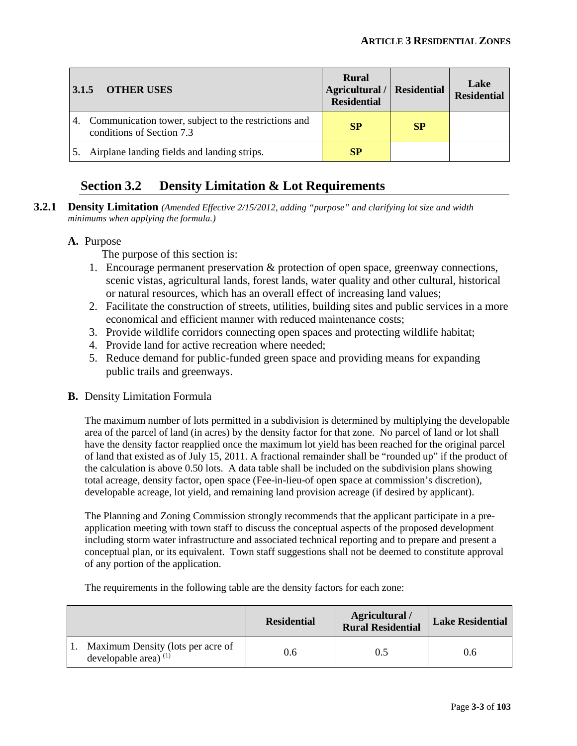| 3.1.5 | <b>OTHER USES</b>                                                                 | <b>Rural</b><br>Agricultural / Residential<br><b>Residential</b> |           | Lake<br><b>Residential</b> |
|-------|-----------------------------------------------------------------------------------|------------------------------------------------------------------|-----------|----------------------------|
| 4.    | Communication tower, subject to the restrictions and<br>conditions of Section 7.3 | <b>SP</b>                                                        | <b>SP</b> |                            |
|       | Airplane landing fields and landing strips.                                       | SP                                                               |           |                            |

# **Section 3.2 Density Limitation & Lot Requirements**

**3.2.1 Density Limitation** *(Amended Effective 2/15/2012, adding "purpose" and clarifying lot size and width minimums when applying the formula.)*

#### **A.** Purpose

The purpose of this section is:

- 1. Encourage permanent preservation & protection of open space, greenway connections, scenic vistas, agricultural lands, forest lands, water quality and other cultural, historical or natural resources, which has an overall effect of increasing land values;
- 2. Facilitate the construction of streets, utilities, building sites and public services in a more economical and efficient manner with reduced maintenance costs;
- 3. Provide wildlife corridors connecting open spaces and protecting wildlife habitat;
- 4. Provide land for active recreation where needed;
- 5. Reduce demand for public-funded green space and providing means for expanding public trails and greenways.
- **B.** Density Limitation Formula

The maximum number of lots permitted in a subdivision is determined by multiplying the developable area of the parcel of land (in acres) by the density factor for that zone. No parcel of land or lot shall have the density factor reapplied once the maximum lot yield has been reached for the original parcel of land that existed as of July 15, 2011. A fractional remainder shall be "rounded up" if the product of the calculation is above 0.50 lots. A data table shall be included on the subdivision plans showing total acreage, density factor, open space (Fee-in-lieu-of open space at commission's discretion), developable acreage, lot yield, and remaining land provision acreage (if desired by applicant).

The Planning and Zoning Commission strongly recommends that the applicant participate in a preapplication meeting with town staff to discuss the conceptual aspects of the proposed development including storm water infrastructure and associated technical reporting and to prepare and present a conceptual plan, or its equivalent. Town staff suggestions shall not be deemed to constitute approval of any portion of the application.

The requirements in the following table are the density factors for each zone:

|                                                              | <b>Residential</b> | Agricultural /<br><b>Rural Residential</b> | <b>Lake Residential</b> |
|--------------------------------------------------------------|--------------------|--------------------------------------------|-------------------------|
| Maximum Density (lots per acre of<br>developable area) $(1)$ | 0.6                | 0.5                                        | 0.6                     |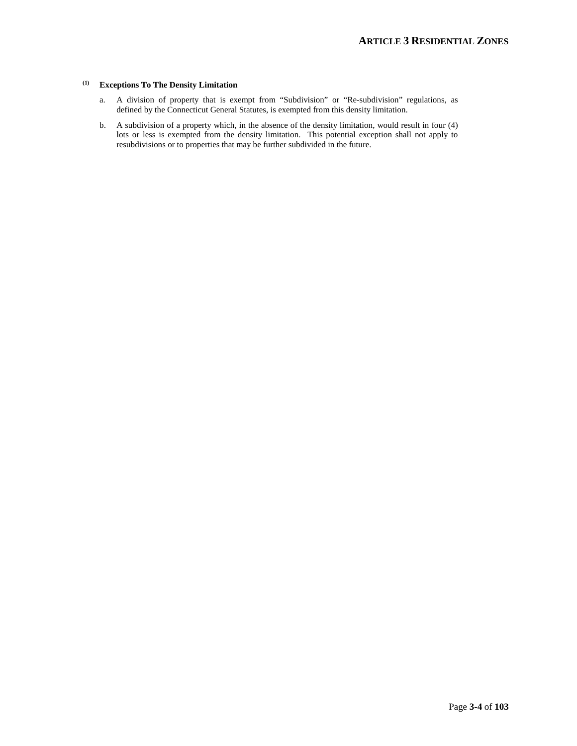#### **(1) Exceptions To The Density Limitation**

- a. A division of property that is exempt from "Subdivision" or "Re-subdivision" regulations, as defined by the Connecticut General Statutes, is exempted from this density limitation.
- b. A subdivision of a property which, in the absence of the density limitation, would result in four (4) lots or less is exempted from the density limitation. This potential exception shall not apply to resubdivisions or to properties that may be further subdivided in the future.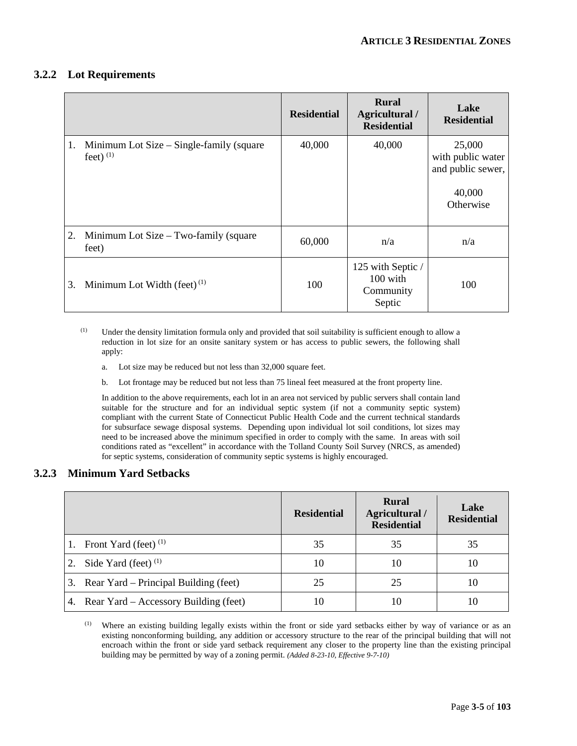#### **3.2.2 Lot Requirements**

|    |                                                         | <b>Residential</b> | <b>Rural</b><br>Agricultural /<br><b>Residential</b> | Lake<br><b>Residential</b>                                              |
|----|---------------------------------------------------------|--------------------|------------------------------------------------------|-------------------------------------------------------------------------|
| 1. | Minimum Lot Size – Single-family (square<br>feet) $(1)$ | 40,000             | 40,000                                               | 25,000<br>with public water<br>and public sewer,<br>40,000<br>Otherwise |
| 2. | Minimum Lot Size – Two-family (square<br>feet)          | 60,000             | n/a                                                  | n/a                                                                     |
| 3. | Minimum Lot Width (feet) $(1)$                          | 100                | 125 with Septic /<br>100 with<br>Community<br>Septic | 100                                                                     |

(1) Under the density limitation formula only and provided that soil suitability is sufficient enough to allow a reduction in lot size for an onsite sanitary system or has access to public sewers, the following shall apply:

- a. Lot size may be reduced but not less than 32,000 square feet.
- b. Lot frontage may be reduced but not less than 75 lineal feet measured at the front property line.

In addition to the above requirements, each lot in an area not serviced by public servers shall contain land suitable for the structure and for an individual septic system (if not a community septic system) compliant with the current State of Connecticut Public Health Code and the current technical standards for subsurface sewage disposal systems. Depending upon individual lot soil conditions, lot sizes may need to be increased above the minimum specified in order to comply with the same. In areas with soil conditions rated as "excellent" in accordance with the Tolland County Soil Survey (NRCS, as amended) for septic systems, consideration of community septic systems is highly encouraged.

#### **3.2.3 Minimum Yard Setbacks**

|    |                                          | <b>Residential</b> | <b>Rural</b><br>Agricultural /<br><b>Residential</b> | Lake<br><b>Residential</b> |
|----|------------------------------------------|--------------------|------------------------------------------------------|----------------------------|
| 1. | Front Yard (feet) $(1)$                  | 35                 | 35                                                   | 35                         |
|    | 2. Side Yard (feet) $(1)$                | 10                 | 10                                                   | 10                         |
|    | 3. Rear Yard – Principal Building (feet) | 25                 | 25                                                   | 10                         |
|    | 4. Rear Yard – Accessory Building (feet) | 10                 | 10                                                   | 10                         |

<sup>(1)</sup> Where an existing building legally exists within the front or side yard setbacks either by way of variance or as an existing nonconforming building, any addition or accessory structure to the rear of the principal building that will not encroach within the front or side yard setback requirement any closer to the property line than the existing principal building may be permitted by way of a zoning permit. *(Added 8-23-10, Effective 9-7-10)*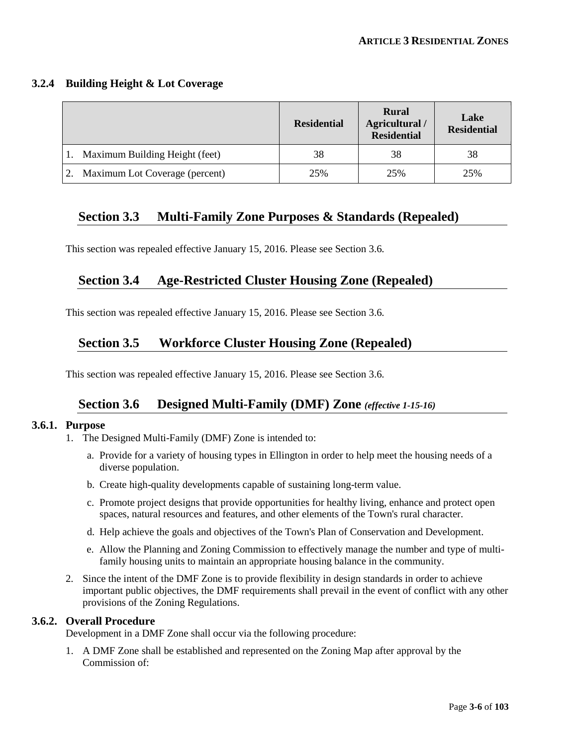#### **3.2.4 Building Height & Lot Coverage**

|                                | <b>Residential</b> | <b>Rural</b><br>Agricultural /<br><b>Residential</b> | Lake<br><b>Residential</b> |
|--------------------------------|--------------------|------------------------------------------------------|----------------------------|
| Maximum Building Height (feet) | 38                 | 38                                                   | 38                         |
| Maximum Lot Coverage (percent) | 25%                | 25%                                                  | 25%                        |

# **Section 3.3 Multi-Family Zone Purposes & Standards (Repealed)**

This section was repealed effective January 15, 2016. Please see Section 3.6.

# **Section 3.4 Age-Restricted Cluster Housing Zone (Repealed)**

This section was repealed effective January 15, 2016. Please see Section 3.6.

# **Section 3.5 Workforce Cluster Housing Zone (Repealed)**

This section was repealed effective January 15, 2016. Please see Section 3.6.

# **Section 3.6 Designed Multi-Family (DMF) Zone** *(effective 1-15-16)*

#### **3.6.1. Purpose**

- 1. The Designed Multi-Family (DMF) Zone is intended to:
	- a. Provide for a variety of housing types in Ellington in order to help meet the housing needs of a diverse population.
	- b. Create high-quality developments capable of sustaining long-term value.
	- c. Promote project designs that provide opportunities for healthy living, enhance and protect open spaces, natural resources and features, and other elements of the Town's rural character.
	- d. Help achieve the goals and objectives of the Town's Plan of Conservation and Development.
	- e. Allow the Planning and Zoning Commission to effectively manage the number and type of multifamily housing units to maintain an appropriate housing balance in the community.
- 2. Since the intent of the DMF Zone is to provide flexibility in design standards in order to achieve important public objectives, the DMF requirements shall prevail in the event of conflict with any other provisions of the Zoning Regulations.

#### **3.6.2. Overall Procedure**

Development in a DMF Zone shall occur via the following procedure:

1. A DMF Zone shall be established and represented on the Zoning Map after approval by the Commission of: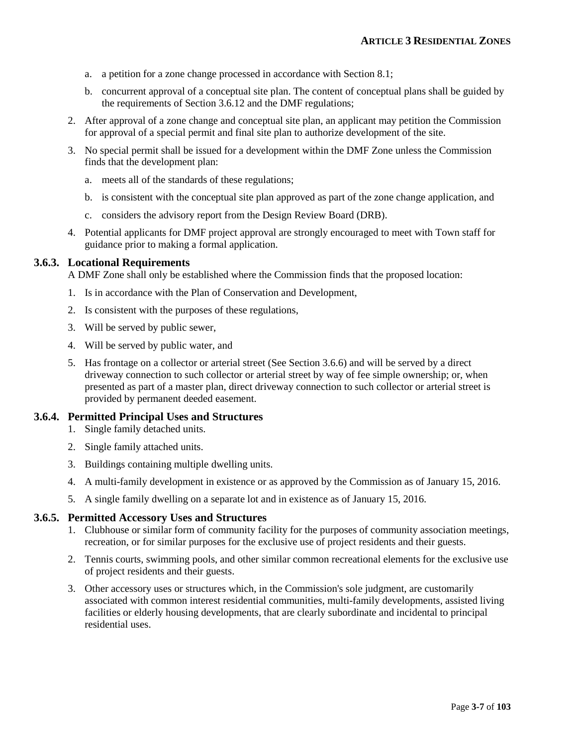- a. a petition for a zone change processed in accordance with Section 8.1;
- b. concurrent approval of a conceptual site plan. The content of conceptual plans shall be guided by the requirements of Section 3.6.12 and the DMF regulations;
- 2. After approval of a zone change and conceptual site plan, an applicant may petition the Commission for approval of a special permit and final site plan to authorize development of the site.
- 3. No special permit shall be issued for a development within the DMF Zone unless the Commission finds that the development plan:
	- a. meets all of the standards of these regulations;
	- b. is consistent with the conceptual site plan approved as part of the zone change application, and
	- c. considers the advisory report from the Design Review Board (DRB).
- 4. Potential applicants for DMF project approval are strongly encouraged to meet with Town staff for guidance prior to making a formal application.

#### **3.6.3. Locational Requirements**

A DMF Zone shall only be established where the Commission finds that the proposed location:

- 1. Is in accordance with the Plan of Conservation and Development,
- 2. Is consistent with the purposes of these regulations,
- 3. Will be served by public sewer,
- 4. Will be served by public water, and
- 5. Has frontage on a collector or arterial street (See Section 3.6.6) and will be served by a direct driveway connection to such collector or arterial street by way of fee simple ownership; or, when presented as part of a master plan, direct driveway connection to such collector or arterial street is provided by permanent deeded easement.

#### **3.6.4. Permitted Principal Uses and Structures**

- 1. Single family detached units.
- 2. Single family attached units.
- 3. Buildings containing multiple dwelling units.
- 4. A multi-family development in existence or as approved by the Commission as of January 15, 2016.
- 5. A single family dwelling on a separate lot and in existence as of January 15, 2016.

#### **3.6.5. Permitted Accessory Uses and Structures**

- 1. Clubhouse or similar form of community facility for the purposes of community association meetings, recreation, or for similar purposes for the exclusive use of project residents and their guests.
- 2. Tennis courts, swimming pools, and other similar common recreational elements for the exclusive use of project residents and their guests.
- 3. Other accessory uses or structures which, in the Commission's sole judgment, are customarily associated with common interest residential communities, multi-family developments, assisted living facilities or elderly housing developments, that are clearly subordinate and incidental to principal residential uses.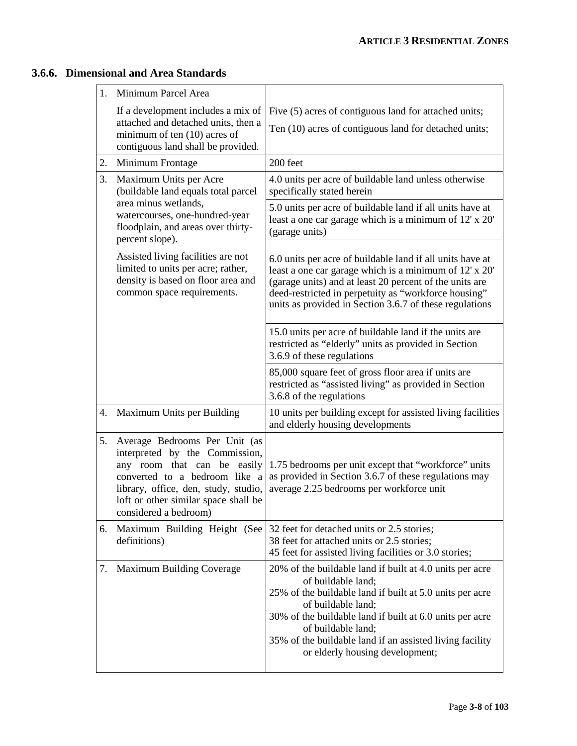# **3.6.6. Dimensional and Area Standards**

| 1. | Minimum Parcel Area                                                                                                                                                                                                                      |                                                                                                                                                                                                                                                                                                                                                   |
|----|------------------------------------------------------------------------------------------------------------------------------------------------------------------------------------------------------------------------------------------|---------------------------------------------------------------------------------------------------------------------------------------------------------------------------------------------------------------------------------------------------------------------------------------------------------------------------------------------------|
|    | If a development includes a mix of<br>attached and detached units, then a<br>minimum of ten (10) acres of<br>contiguous land shall be provided.                                                                                          | Five (5) acres of contiguous land for attached units;<br>Ten (10) acres of contiguous land for detached units;                                                                                                                                                                                                                                    |
| 2. | Minimum Frontage                                                                                                                                                                                                                         | 200 feet                                                                                                                                                                                                                                                                                                                                          |
| 3. | Maximum Units per Acre<br>(buildable land equals total parcel                                                                                                                                                                            | 4.0 units per acre of buildable land unless otherwise<br>specifically stated herein                                                                                                                                                                                                                                                               |
|    | area minus wetlands,<br>watercourses, one-hundred-year<br>floodplain, and areas over thirty-<br>percent slope).                                                                                                                          | 5.0 units per acre of buildable land if all units have at<br>least a one car garage which is a minimum of 12' x 20'<br>(garage units)                                                                                                                                                                                                             |
|    | Assisted living facilities are not<br>limited to units per acre; rather,<br>density is based on floor area and<br>common space requirements.                                                                                             | 6.0 units per acre of buildable land if all units have at<br>least a one car garage which is a minimum of 12' x 20'<br>(garage units) and at least 20 percent of the units are<br>deed-restricted in perpetuity as "workforce housing"<br>units as provided in Section 3.6.7 of these regulations                                                 |
|    |                                                                                                                                                                                                                                          | 15.0 units per acre of buildable land if the units are<br>restricted as "elderly" units as provided in Section<br>3.6.9 of these regulations                                                                                                                                                                                                      |
|    |                                                                                                                                                                                                                                          | 85,000 square feet of gross floor area if units are<br>restricted as "assisted living" as provided in Section<br>3.6.8 of the regulations                                                                                                                                                                                                         |
|    | 4. Maximum Units per Building                                                                                                                                                                                                            | 10 units per building except for assisted living facilities<br>and elderly housing developments                                                                                                                                                                                                                                                   |
| 5. | Average Bedrooms Per Unit (as<br>interpreted by the Commission,<br>any room that can be easily<br>converted to a bedroom like a<br>library, office, den, study, studio,<br>loft or other similar space shall be<br>considered a bedroom) | 1.75 bedrooms per unit except that "workforce" units<br>as provided in Section 3.6.7 of these regulations may<br>average 2.25 bedrooms per workforce unit                                                                                                                                                                                         |
| 6. | Maximum Building Height (See<br>definitions)                                                                                                                                                                                             | 32 feet for detached units or 2.5 stories;<br>38 feet for attached units or 2.5 stories;<br>45 feet for assisted living facilities or 3.0 stories;                                                                                                                                                                                                |
| 7. | <b>Maximum Building Coverage</b>                                                                                                                                                                                                         | 20% of the buildable land if built at 4.0 units per acre<br>of buildable land;<br>25% of the buildable land if built at 5.0 units per acre<br>of buildable land;<br>30% of the buildable land if built at 6.0 units per acre<br>of buildable land;<br>35% of the buildable land if an assisted living facility<br>or elderly housing development; |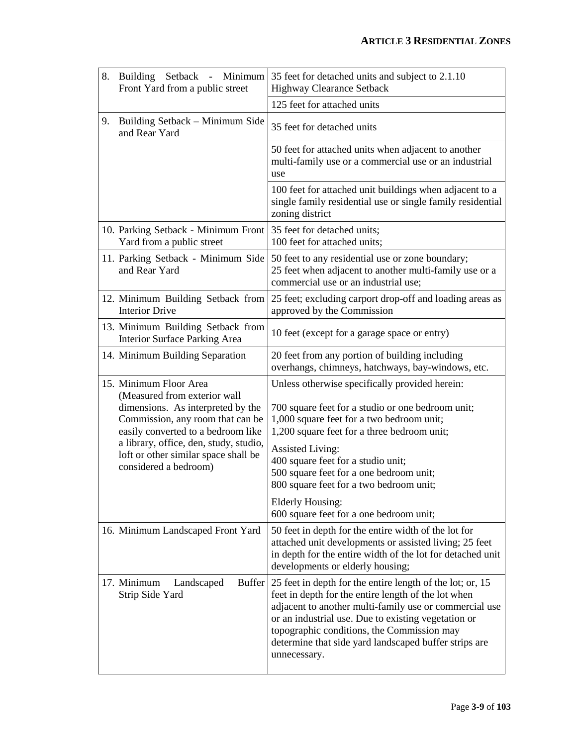| 8. | Building Setback - Minimum<br>Front Yard from a public street                                                                                 | 35 feet for detached units and subject to 2.1.10<br><b>Highway Clearance Setback</b>                                                                                                                                                                                                                                                                     |
|----|-----------------------------------------------------------------------------------------------------------------------------------------------|----------------------------------------------------------------------------------------------------------------------------------------------------------------------------------------------------------------------------------------------------------------------------------------------------------------------------------------------------------|
|    |                                                                                                                                               | 125 feet for attached units                                                                                                                                                                                                                                                                                                                              |
| 9. | Building Setback – Minimum Side<br>and Rear Yard                                                                                              | 35 feet for detached units                                                                                                                                                                                                                                                                                                                               |
|    |                                                                                                                                               | 50 feet for attached units when adjacent to another<br>multi-family use or a commercial use or an industrial<br>use                                                                                                                                                                                                                                      |
|    |                                                                                                                                               | 100 feet for attached unit buildings when adjacent to a<br>single family residential use or single family residential<br>zoning district                                                                                                                                                                                                                 |
|    | 10. Parking Setback - Minimum Front<br>Yard from a public street                                                                              | 35 feet for detached units;<br>100 feet for attached units;                                                                                                                                                                                                                                                                                              |
|    | 11. Parking Setback - Minimum Side<br>and Rear Yard                                                                                           | 50 feet to any residential use or zone boundary;<br>25 feet when adjacent to another multi-family use or a<br>commercial use or an industrial use;                                                                                                                                                                                                       |
|    | 12. Minimum Building Setback from<br><b>Interior Drive</b>                                                                                    | 25 feet; excluding carport drop-off and loading areas as<br>approved by the Commission                                                                                                                                                                                                                                                                   |
|    | 13. Minimum Building Setback from<br>Interior Surface Parking Area                                                                            | 10 feet (except for a garage space or entry)                                                                                                                                                                                                                                                                                                             |
|    | 14. Minimum Building Separation                                                                                                               | 20 feet from any portion of building including<br>overhangs, chimneys, hatchways, bay-windows, etc.                                                                                                                                                                                                                                                      |
|    | 15. Minimum Floor Area<br>(Measured from exterior wall<br>dimensions. As interpreted by the<br>Commission, any room that can be               | Unless otherwise specifically provided herein:<br>700 square feet for a studio or one bedroom unit;<br>1,000 square feet for a two bedroom unit;                                                                                                                                                                                                         |
|    | easily converted to a bedroom like<br>a library, office, den, study, studio,<br>loft or other similar space shall be<br>considered a bedroom) | 1,200 square feet for a three bedroom unit;<br><b>Assisted Living:</b><br>400 square feet for a studio unit;<br>500 square feet for a one bedroom unit;<br>800 square feet for a two bedroom unit;                                                                                                                                                       |
|    |                                                                                                                                               | Elderly Housing:<br>600 square feet for a one bedroom unit;                                                                                                                                                                                                                                                                                              |
|    | 16. Minimum Landscaped Front Yard                                                                                                             | 50 feet in depth for the entire width of the lot for<br>attached unit developments or assisted living; 25 feet<br>in depth for the entire width of the lot for detached unit<br>developments or elderly housing;                                                                                                                                         |
|    | <b>Buffer</b><br>17. Minimum<br>Landscaped<br>Strip Side Yard                                                                                 | 25 feet in depth for the entire length of the lot; or, 15<br>feet in depth for the entire length of the lot when<br>adjacent to another multi-family use or commercial use<br>or an industrial use. Due to existing vegetation or<br>topographic conditions, the Commission may<br>determine that side yard landscaped buffer strips are<br>unnecessary. |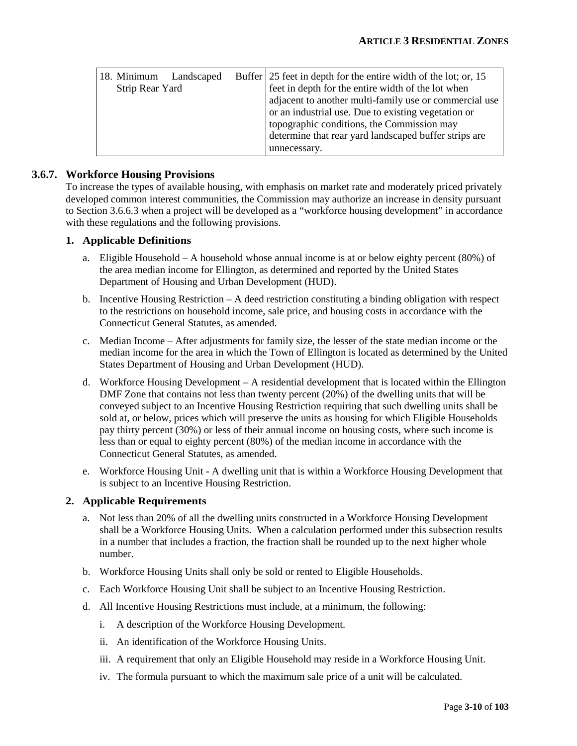| 18. Minimum     | Landscaped | Buffer 25 feet in depth for the entire width of the lot; or, 15 |
|-----------------|------------|-----------------------------------------------------------------|
| Strip Rear Yard |            | feet in depth for the entire width of the lot when              |
|                 |            | adjacent to another multi-family use or commercial use          |
|                 |            | or an industrial use. Due to existing vegetation or             |
|                 |            | topographic conditions, the Commission may                      |
|                 |            | determine that rear yard landscaped buffer strips are           |
|                 |            | unnecessary.                                                    |

#### **3.6.7. Workforce Housing Provisions**

To increase the types of available housing, with emphasis on market rate and moderately priced privately developed common interest communities, the Commission may authorize an increase in density pursuant to Section 3.6.6.3 when a project will be developed as a "workforce housing development" in accordance with these regulations and the following provisions.

#### **1. Applicable Definitions**

- a. Eligible Household A household whose annual income is at or below eighty percent (80%) of the area median income for Ellington, as determined and reported by the United States Department of Housing and Urban Development (HUD).
- b. Incentive Housing Restriction A deed restriction constituting a binding obligation with respect to the restrictions on household income, sale price, and housing costs in accordance with the Connecticut General Statutes, as amended.
- c. Median Income After adjustments for family size, the lesser of the state median income or the median income for the area in which the Town of Ellington is located as determined by the United States Department of Housing and Urban Development (HUD).
- d. Workforce Housing Development A residential development that is located within the Ellington DMF Zone that contains not less than twenty percent (20%) of the dwelling units that will be conveyed subject to an Incentive Housing Restriction requiring that such dwelling units shall be sold at, or below, prices which will preserve the units as housing for which Eligible Households pay thirty percent (30%) or less of their annual income on housing costs, where such income is less than or equal to eighty percent (80%) of the median income in accordance with the Connecticut General Statutes, as amended.
- e. Workforce Housing Unit A dwelling unit that is within a Workforce Housing Development that is subject to an Incentive Housing Restriction.

#### **2. Applicable Requirements**

- a. Not less than 20% of all the dwelling units constructed in a Workforce Housing Development shall be a Workforce Housing Units. When a calculation performed under this subsection results in a number that includes a fraction, the fraction shall be rounded up to the next higher whole number.
- b. Workforce Housing Units shall only be sold or rented to Eligible Households.
- c. Each Workforce Housing Unit shall be subject to an Incentive Housing Restriction.
- d. All Incentive Housing Restrictions must include, at a minimum, the following:
	- i. A description of the Workforce Housing Development.
	- ii. An identification of the Workforce Housing Units.
	- iii. A requirement that only an Eligible Household may reside in a Workforce Housing Unit.
	- iv. The formula pursuant to which the maximum sale price of a unit will be calculated.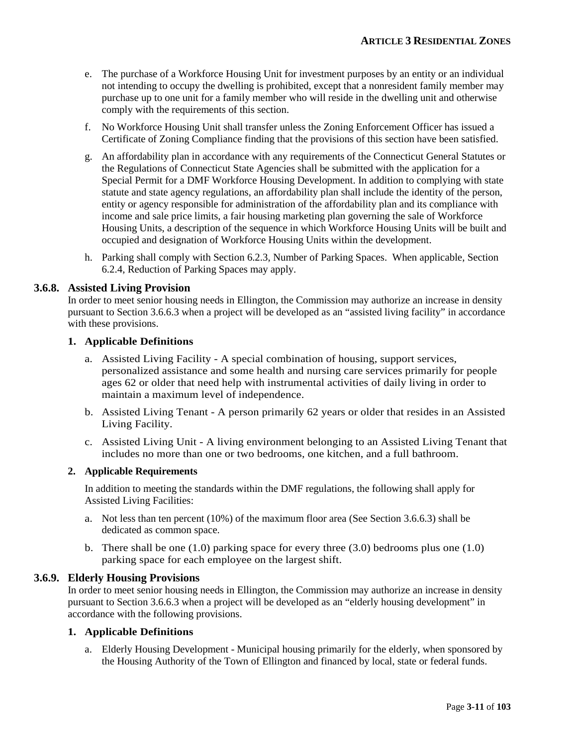- e. The purchase of a Workforce Housing Unit for investment purposes by an entity or an individual not intending to occupy the dwelling is prohibited, except that a nonresident family member may purchase up to one unit for a family member who will reside in the dwelling unit and otherwise comply with the requirements of this section.
- f. No Workforce Housing Unit shall transfer unless the Zoning Enforcement Officer has issued a Certificate of Zoning Compliance finding that the provisions of this section have been satisfied.
- g. An affordability plan in accordance with any requirements of the Connecticut General Statutes or the Regulations of Connecticut State Agencies shall be submitted with the application for a Special Permit for a DMF Workforce Housing Development. In addition to complying with state statute and state agency regulations, an affordability plan shall include the identity of the person, entity or agency responsible for administration of the affordability plan and its compliance with income and sale price limits, a fair housing marketing plan governing the sale of Workforce Housing Units, a description of the sequence in which Workforce Housing Units will be built and occupied and designation of Workforce Housing Units within the development.
- h. Parking shall comply with Section 6.2.3, Number of Parking Spaces. When applicable, Section 6.2.4, Reduction of Parking Spaces may apply.

#### **3.6.8. Assisted Living Provision**

In order to meet senior housing needs in Ellington, the Commission may authorize an increase in density pursuant to Section 3.6.6.3 when a project will be developed as an "assisted living facility" in accordance with these provisions.

#### **1. Applicable Definitions**

- a. Assisted Living Facility A special combination of housing, support services, personalized assistance and some health and nursing care services primarily for people ages 62 or older that need help with instrumental activities of daily living in order to maintain a maximum level of independence.
- b. Assisted Living Tenant A person primarily 62 years or older that resides in an Assisted Living Facility.
- c. Assisted Living Unit A living environment belonging to an Assisted Living Tenant that includes no more than one or two bedrooms, one kitchen, and a full bathroom.

#### **2. Applicable Requirements**

In addition to meeting the standards within the DMF regulations, the following shall apply for Assisted Living Facilities:

- a. Not less than ten percent (10%) of the maximum floor area (See Section 3.6.6.3) shall be dedicated as common space.
- b. There shall be one  $(1.0)$  parking space for every three  $(3.0)$  bedrooms plus one  $(1.0)$ parking space for each employee on the largest shift.

#### **3.6.9. Elderly Housing Provisions**

In order to meet senior housing needs in Ellington, the Commission may authorize an increase in density pursuant to Section 3.6.6.3 when a project will be developed as an "elderly housing development" in accordance with the following provisions.

#### **1. Applicable Definitions**

a. Elderly Housing Development - Municipal housing primarily for the elderly, when sponsored by the Housing Authority of the Town of Ellington and financed by local, state or federal funds.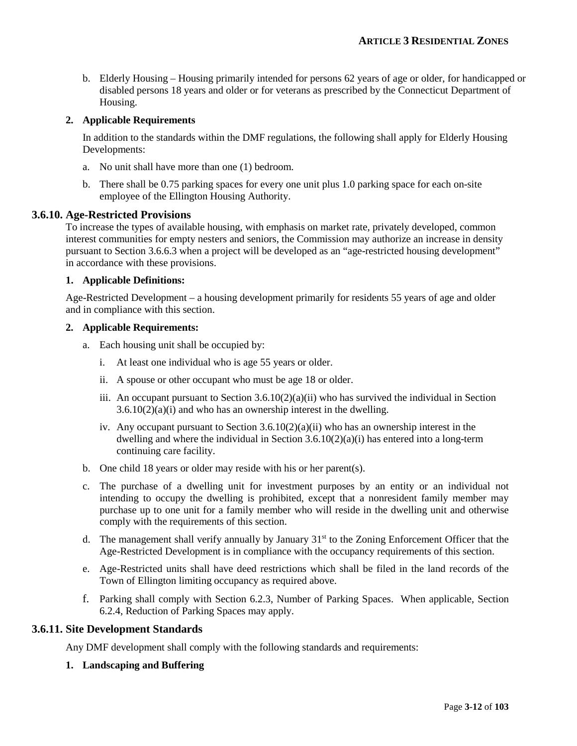b. Elderly Housing – Housing primarily intended for persons 62 years of age or older, for handicapped or disabled persons 18 years and older or for veterans as prescribed by the Connecticut Department of Housing.

#### **2. Applicable Requirements**

In addition to the standards within the DMF regulations, the following shall apply for Elderly Housing Developments:

- a. No unit shall have more than one (1) bedroom.
- b. There shall be 0.75 parking spaces for every one unit plus 1.0 parking space for each on-site employee of the Ellington Housing Authority.

#### **3.6.10. Age-Restricted Provisions**

To increase the types of available housing, with emphasis on market rate, privately developed, common interest communities for empty nesters and seniors, the Commission may authorize an increase in density pursuant to Section 3.6.6.3 when a project will be developed as an "age-restricted housing development" in accordance with these provisions.

#### **1. Applicable Definitions:**

Age-Restricted Development – a housing development primarily for residents 55 years of age and older and in compliance with this section.

#### **2. Applicable Requirements:**

- a. Each housing unit shall be occupied by:
	- i. At least one individual who is age 55 years or older.
	- ii. A spouse or other occupant who must be age 18 or older.
	- iii. An occupant pursuant to Section  $3.6.10(2)(a)(ii)$  who has survived the individual in Section  $3.6.10(2)(a)(i)$  and who has an ownership interest in the dwelling.
	- iv. Any occupant pursuant to Section  $3.6.10(2)(a)(ii)$  who has an ownership interest in the dwelling and where the individual in Section 3.6.10(2)(a)(i) has entered into a long-term continuing care facility.
- b. One child 18 years or older may reside with his or her parent(s).
- c. The purchase of a dwelling unit for investment purposes by an entity or an individual not intending to occupy the dwelling is prohibited, except that a nonresident family member may purchase up to one unit for a family member who will reside in the dwelling unit and otherwise comply with the requirements of this section.
- d. The management shall verify annually by January  $31<sup>st</sup>$  to the Zoning Enforcement Officer that the Age-Restricted Development is in compliance with the occupancy requirements of this section.
- e. Age-Restricted units shall have deed restrictions which shall be filed in the land records of the Town of Ellington limiting occupancy as required above.
- f. Parking shall comply with Section 6.2.3, Number of Parking Spaces. When applicable, Section 6.2.4, Reduction of Parking Spaces may apply.

#### **3.6.11. Site Development Standards**

Any DMF development shall comply with the following standards and requirements:

**1. Landscaping and Buffering**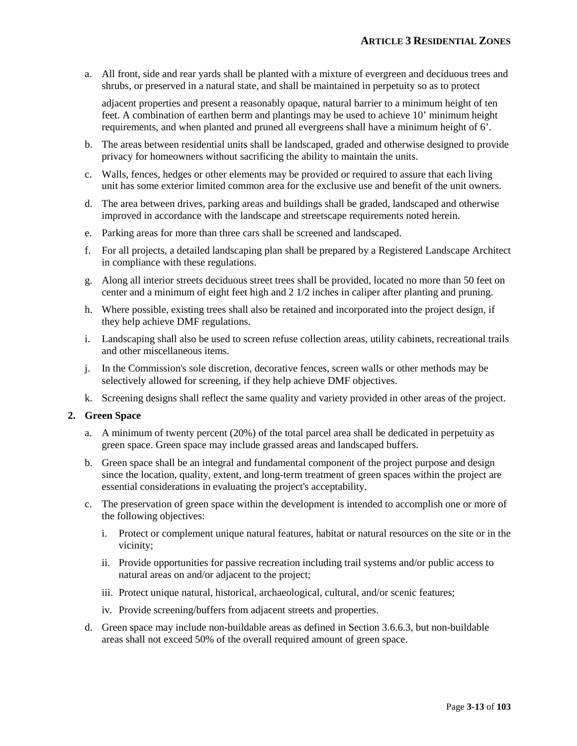a. All front, side and rear yards shall be planted with a mixture of evergreen and deciduous trees and shrubs, or preserved in a natural state, and shall be maintained in perpetuity so as to protect

adjacent properties and present a reasonably opaque, natural barrier to a minimum height of ten feet. A combination of earthen berm and plantings may be used to achieve 10' minimum height requirements, and when planted and pruned all evergreens shall have a minimum height of 6'.

- b. The areas between residential units shall be landscaped, graded and otherwise designed to provide privacy for homeowners without sacrificing the ability to maintain the units.
- c. Walls, fences, hedges or other elements may be provided or required to assure that each living unit has some exterior limited common area for the exclusive use and benefit of the unit owners.
- d. The area between drives, parking areas and buildings shall be graded, landscaped and otherwise improved in accordance with the landscape and streetscape requirements noted herein.
- e. Parking areas for more than three cars shall be screened and landscaped.
- f. For all projects, a detailed landscaping plan shall be prepared by a Registered Landscape Architect in compliance with these regulations.
- g. Along all interior streets deciduous street trees shall be provided, located no more than 50 feet on center and a minimum of eight feet high and 2 1/2 inches in caliper after planting and pruning.
- h. Where possible, existing trees shall also be retained and incorporated into the project design, if they help achieve DMF regulations.
- i. Landscaping shall also be used to screen refuse collection areas, utility cabinets, recreational trails and other miscellaneous items.
- j. In the Commission's sole discretion, decorative fences, screen walls or other methods may be selectively allowed for screening, if they help achieve DMF objectives.
- k. Screening designs shall reflect the same quality and variety provided in other areas of the project.

#### **2. Green Space**

- a. A minimum of twenty percent (20%) of the total parcel area shall be dedicated in perpetuity as green space. Green space may include grassed areas and landscaped buffers.
- b. Green space shall be an integral and fundamental component of the project purpose and design since the location, quality, extent, and long-term treatment of green spaces within the project are essential considerations in evaluating the project's acceptability.
- c. The preservation of green space within the development is intended to accomplish one or more of the following objectives:
	- i. Protect or complement unique natural features, habitat or natural resources on the site or in the vicinity;
	- ii. Provide opportunities for passive recreation including trail systems and/or public access to natural areas on and/or adjacent to the project;
	- iii. Protect unique natural, historical, archaeological, cultural, and/or scenic features;
	- iv. Provide screening/buffers from adjacent streets and properties.
- d. Green space may include non-buildable areas as defined in Section 3.6.6.3, but non-buildable areas shall not exceed 50% of the overall required amount of green space.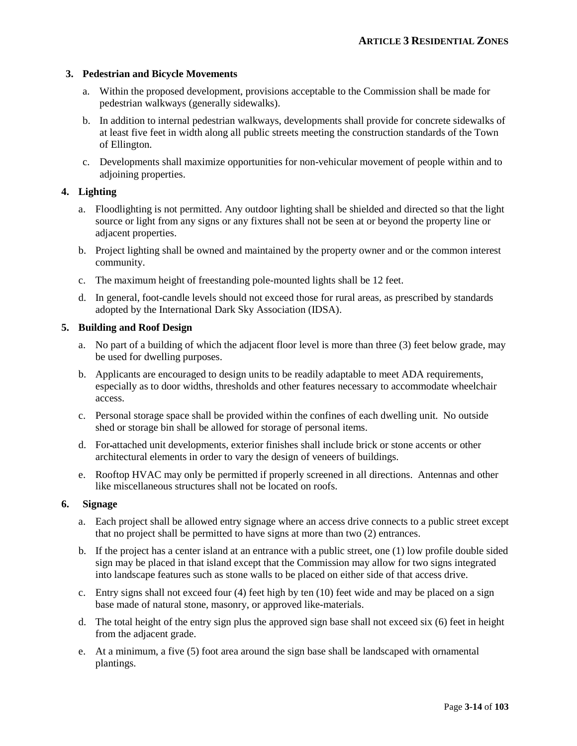#### **3. Pedestrian and Bicycle Movements**

- a. Within the proposed development, provisions acceptable to the Commission shall be made for pedestrian walkways (generally sidewalks).
- b. In addition to internal pedestrian walkways, developments shall provide for concrete sidewalks of at least five feet in width along all public streets meeting the construction standards of the Town of Ellington.
- c. Developments shall maximize opportunities for non-vehicular movement of people within and to adjoining properties.

#### **4. Lighting**

- a. Floodlighting is not permitted. Any outdoor lighting shall be shielded and directed so that the light source or light from any signs or any fixtures shall not be seen at or beyond the property line or adjacent properties.
- b. Project lighting shall be owned and maintained by the property owner and or the common interest community.
- c. The maximum height of freestanding pole-mounted lights shall be 12 feet.
- d. In general, foot-candle levels should not exceed those for rural areas, as prescribed by standards adopted by the International Dark Sky Association (IDSA).

#### **5. Building and Roof Design**

- a. No part of a building of which the adjacent floor level is more than three (3) feet below grade, may be used for dwelling purposes.
- b. Applicants are encouraged to design units to be readily adaptable to meet ADA requirements, especially as to door widths, thresholds and other features necessary to accommodate wheelchair access.
- c. Personal storage space shall be provided within the confines of each dwelling unit. No outside shed or storage bin shall be allowed for storage of personal items.
- d. For attached unit developments, exterior finishes shall include brick or stone accents or other architectural elements in order to vary the design of veneers of buildings.
- e. Rooftop HVAC may only be permitted if properly screened in all directions. Antennas and other like miscellaneous structures shall not be located on roofs.

#### **6. Signage**

- a. Each project shall be allowed entry signage where an access drive connects to a public street except that no project shall be permitted to have signs at more than two (2) entrances.
- b. If the project has a center island at an entrance with a public street, one (1) low profile double sided sign may be placed in that island except that the Commission may allow for two signs integrated into landscape features such as stone walls to be placed on either side of that access drive.
- c. Entry signs shall not exceed four (4) feet high by ten (10) feet wide and may be placed on a sign base made of natural stone, masonry, or approved like-materials.
- d. The total height of the entry sign plus the approved sign base shall not exceed six (6) feet in height from the adjacent grade.
- e. At a minimum, a five (5) foot area around the sign base shall be landscaped with ornamental plantings.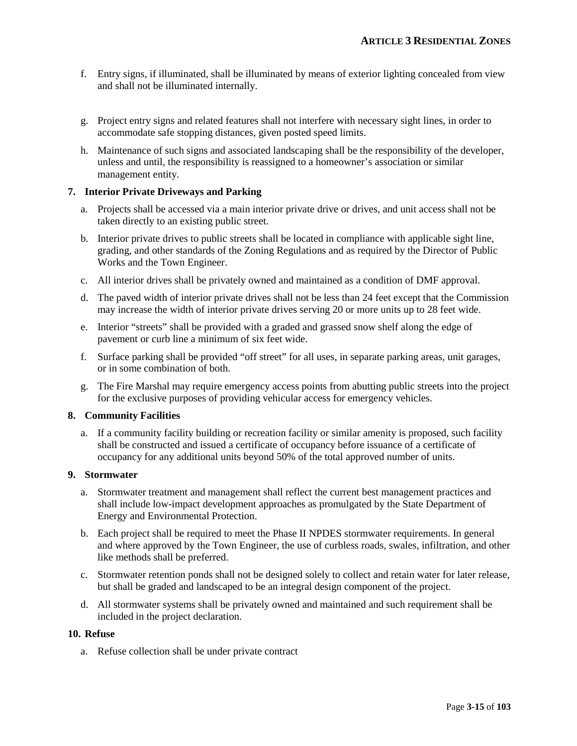- f. Entry signs, if illuminated, shall be illuminated by means of exterior lighting concealed from view and shall not be illuminated internally.
- g. Project entry signs and related features shall not interfere with necessary sight lines, in order to accommodate safe stopping distances, given posted speed limits.
- h. Maintenance of such signs and associated landscaping shall be the responsibility of the developer, unless and until, the responsibility is reassigned to a homeowner's association or similar management entity.

#### **7. Interior Private Driveways and Parking**

- a. Projects shall be accessed via a main interior private drive or drives, and unit access shall not be taken directly to an existing public street.
- b. Interior private drives to public streets shall be located in compliance with applicable sight line, grading, and other standards of the Zoning Regulations and as required by the Director of Public Works and the Town Engineer.
- c. All interior drives shall be privately owned and maintained as a condition of DMF approval.
- d. The paved width of interior private drives shall not be less than 24 feet except that the Commission may increase the width of interior private drives serving 20 or more units up to 28 feet wide.
- e. Interior "streets" shall be provided with a graded and grassed snow shelf along the edge of pavement or curb line a minimum of six feet wide.
- f. Surface parking shall be provided "off street" for all uses, in separate parking areas, unit garages, or in some combination of both.
- g. The Fire Marshal may require emergency access points from abutting public streets into the project for the exclusive purposes of providing vehicular access for emergency vehicles.

#### **8. Community Facilities**

a. If a community facility building or recreation facility or similar amenity is proposed, such facility shall be constructed and issued a certificate of occupancy before issuance of a certificate of occupancy for any additional units beyond 50% of the total approved number of units.

#### **9. Stormwater**

- a. Stormwater treatment and management shall reflect the current best management practices and shall include low-impact development approaches as promulgated by the State Department of Energy and Environmental Protection.
- b. Each project shall be required to meet the Phase II NPDES stormwater requirements. In general and where approved by the Town Engineer, the use of curbless roads, swales, infiltration, and other like methods shall be preferred.
- c. Stormwater retention ponds shall not be designed solely to collect and retain water for later release, but shall be graded and landscaped to be an integral design component of the project.
- d. All stormwater systems shall be privately owned and maintained and such requirement shall be included in the project declaration.

#### **10. Refuse**

a. Refuse collection shall be under private contract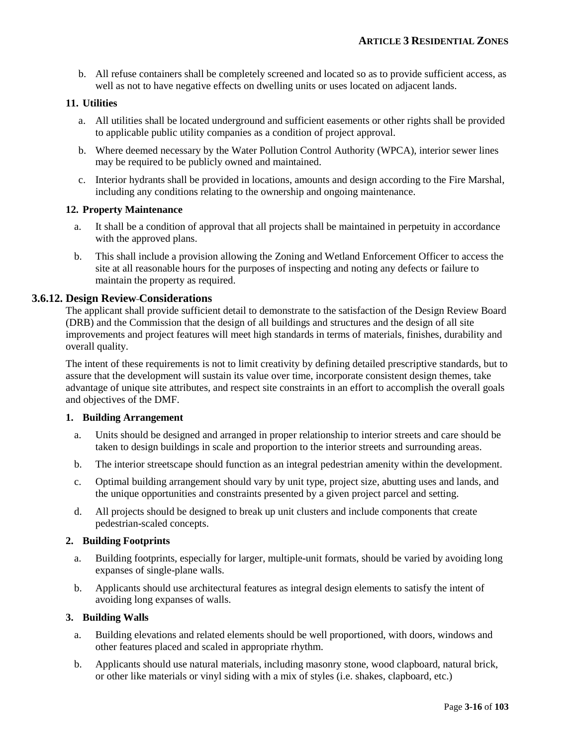b. All refuse containers shall be completely screened and located so as to provide sufficient access, as well as not to have negative effects on dwelling units or uses located on adjacent lands.

#### **11. Utilities**

- a. All utilities shall be located underground and sufficient easements or other rights shall be provided to applicable public utility companies as a condition of project approval.
- b. Where deemed necessary by the Water Pollution Control Authority (WPCA), interior sewer lines may be required to be publicly owned and maintained.
- c. Interior hydrants shall be provided in locations, amounts and design according to the Fire Marshal, including any conditions relating to the ownership and ongoing maintenance.

#### **12. Property Maintenance**

- a. It shall be a condition of approval that all projects shall be maintained in perpetuity in accordance with the approved plans.
- b. This shall include a provision allowing the Zoning and Wetland Enforcement Officer to access the site at all reasonable hours for the purposes of inspecting and noting any defects or failure to maintain the property as required.

#### **3.6.12. Design Review Considerations**

The applicant shall provide sufficient detail to demonstrate to the satisfaction of the Design Review Board (DRB) and the Commission that the design of all buildings and structures and the design of all site improvements and project features will meet high standards in terms of materials, finishes, durability and overall quality.

The intent of these requirements is not to limit creativity by defining detailed prescriptive standards, but to assure that the development will sustain its value over time, incorporate consistent design themes, take advantage of unique site attributes, and respect site constraints in an effort to accomplish the overall goals and objectives of the DMF.

#### **1. Building Arrangement**

- a. Units should be designed and arranged in proper relationship to interior streets and care should be taken to design buildings in scale and proportion to the interior streets and surrounding areas.
- b. The interior streetscape should function as an integral pedestrian amenity within the development.
- c. Optimal building arrangement should vary by unit type, project size, abutting uses and lands, and the unique opportunities and constraints presented by a given project parcel and setting.
- d. All projects should be designed to break up unit clusters and include components that create pedestrian-scaled concepts.

#### **2. Building Footprints**

- a. Building footprints, especially for larger, multiple-unit formats, should be varied by avoiding long expanses of single-plane walls.
- b. Applicants should use architectural features as integral design elements to satisfy the intent of avoiding long expanses of walls.

#### **3. Building Walls**

- a. Building elevations and related elements should be well proportioned, with doors, windows and other features placed and scaled in appropriate rhythm.
- b. Applicants should use natural materials, including masonry stone, wood clapboard, natural brick, or other like materials or vinyl siding with a mix of styles (i.e. shakes, clapboard, etc.)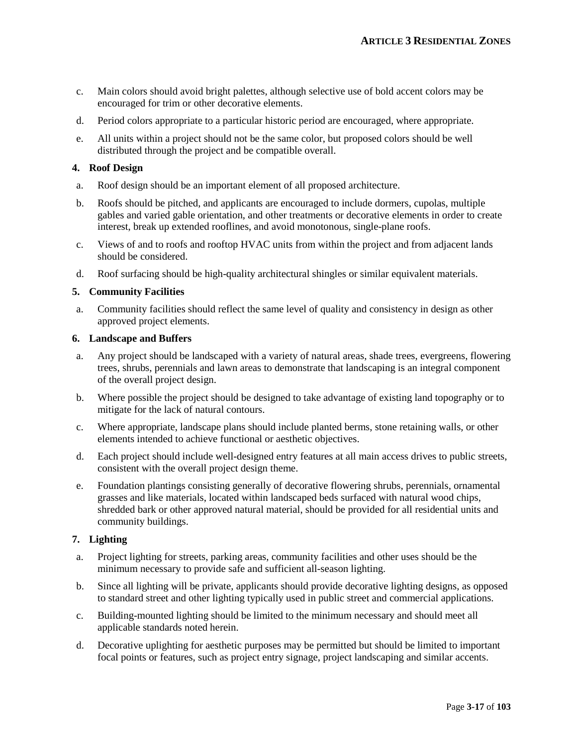- c. Main colors should avoid bright palettes, although selective use of bold accent colors may be encouraged for trim or other decorative elements.
- d. Period colors appropriate to a particular historic period are encouraged, where appropriate.
- e. All units within a project should not be the same color, but proposed colors should be well distributed through the project and be compatible overall.

#### **4. Roof Design**

- a. Roof design should be an important element of all proposed architecture.
- b. Roofs should be pitched, and applicants are encouraged to include dormers, cupolas, multiple gables and varied gable orientation, and other treatments or decorative elements in order to create interest, break up extended rooflines, and avoid monotonous, single-plane roofs.
- c. Views of and to roofs and rooftop HVAC units from within the project and from adjacent lands should be considered.
- d. Roof surfacing should be high-quality architectural shingles or similar equivalent materials.

#### **5. Community Facilities**

a. Community facilities should reflect the same level of quality and consistency in design as other approved project elements.

#### **6. Landscape and Buffers**

- a. Any project should be landscaped with a variety of natural areas, shade trees, evergreens, flowering trees, shrubs, perennials and lawn areas to demonstrate that landscaping is an integral component of the overall project design.
- b. Where possible the project should be designed to take advantage of existing land topography or to mitigate for the lack of natural contours.
- c. Where appropriate, landscape plans should include planted berms, stone retaining walls, or other elements intended to achieve functional or aesthetic objectives.
- d. Each project should include well-designed entry features at all main access drives to public streets, consistent with the overall project design theme.
- e. Foundation plantings consisting generally of decorative flowering shrubs, perennials, ornamental grasses and like materials, located within landscaped beds surfaced with natural wood chips, shredded bark or other approved natural material, should be provided for all residential units and community buildings.

#### **7. Lighting**

- a. Project lighting for streets, parking areas, community facilities and other uses should be the minimum necessary to provide safe and sufficient all-season lighting.
- b. Since all lighting will be private, applicants should provide decorative lighting designs, as opposed to standard street and other lighting typically used in public street and commercial applications.
- c. Building-mounted lighting should be limited to the minimum necessary and should meet all applicable standards noted herein.
- d. Decorative uplighting for aesthetic purposes may be permitted but should be limited to important focal points or features, such as project entry signage, project landscaping and similar accents.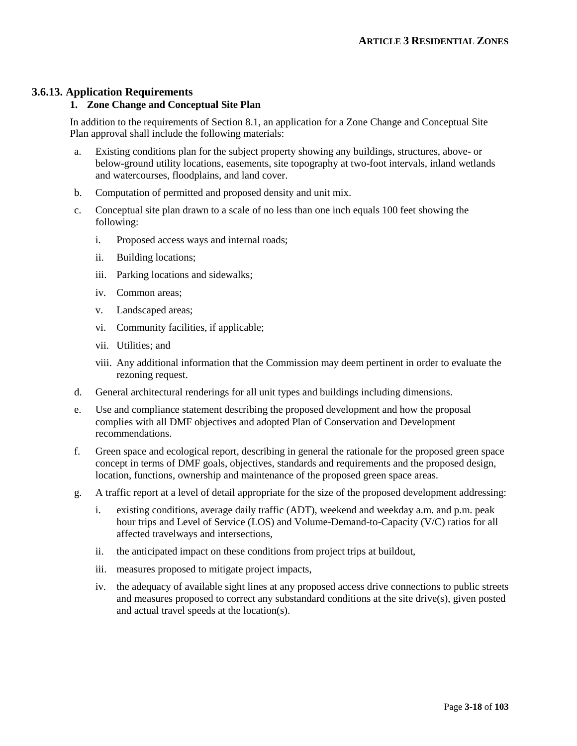#### **3.6.13. Application Requirements**

#### **1. Zone Change and Conceptual Site Plan**

In addition to the requirements of Section 8.1, an application for a Zone Change and Conceptual Site Plan approval shall include the following materials:

- a. Existing conditions plan for the subject property showing any buildings, structures, above- or below-ground utility locations, easements, site topography at two-foot intervals, inland wetlands and watercourses, floodplains, and land cover.
- b. Computation of permitted and proposed density and unit mix.
- c. Conceptual site plan drawn to a scale of no less than one inch equals 100 feet showing the following:
	- i. Proposed access ways and internal roads;
	- ii. Building locations;
	- iii. Parking locations and sidewalks;
	- iv. Common areas;
	- v. Landscaped areas;
	- vi. Community facilities, if applicable;
	- vii. Utilities; and
	- viii. Any additional information that the Commission may deem pertinent in order to evaluate the rezoning request.
- d. General architectural renderings for all unit types and buildings including dimensions.
- e. Use and compliance statement describing the proposed development and how the proposal complies with all DMF objectives and adopted Plan of Conservation and Development recommendations.
- f. Green space and ecological report, describing in general the rationale for the proposed green space concept in terms of DMF goals, objectives, standards and requirements and the proposed design, location, functions, ownership and maintenance of the proposed green space areas.
- g. A traffic report at a level of detail appropriate for the size of the proposed development addressing:
	- i. existing conditions, average daily traffic (ADT), weekend and weekday a.m. and p.m. peak hour trips and Level of Service (LOS) and Volume-Demand-to-Capacity (V/C) ratios for all affected travelways and intersections,
	- ii. the anticipated impact on these conditions from project trips at buildout,
	- iii. measures proposed to mitigate project impacts,
	- iv. the adequacy of available sight lines at any proposed access drive connections to public streets and measures proposed to correct any substandard conditions at the site drive(s), given posted and actual travel speeds at the location(s).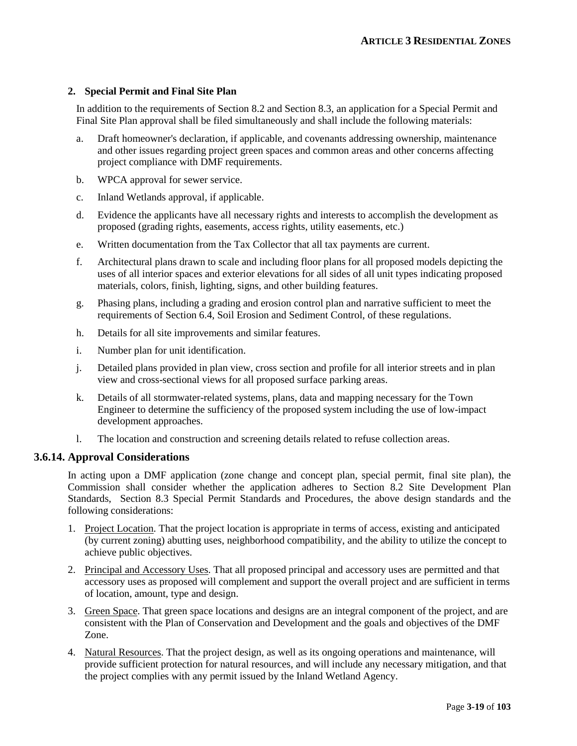#### **2. Special Permit and Final Site Plan**

In addition to the requirements of Section 8.2 and Section 8.3, an application for a Special Permit and Final Site Plan approval shall be filed simultaneously and shall include the following materials:

- a. Draft homeowner's declaration, if applicable, and covenants addressing ownership, maintenance and other issues regarding project green spaces and common areas and other concerns affecting project compliance with DMF requirements.
- b. WPCA approval for sewer service.
- c. Inland Wetlands approval, if applicable.
- d. Evidence the applicants have all necessary rights and interests to accomplish the development as proposed (grading rights, easements, access rights, utility easements, etc.)
- e. Written documentation from the Tax Collector that all tax payments are current.
- f. Architectural plans drawn to scale and including floor plans for all proposed models depicting the uses of all interior spaces and exterior elevations for all sides of all unit types indicating proposed materials, colors, finish, lighting, signs, and other building features.
- g. Phasing plans, including a grading and erosion control plan and narrative sufficient to meet the requirements of Section 6.4, Soil Erosion and Sediment Control, of these regulations.
- h. Details for all site improvements and similar features.
- i. Number plan for unit identification.
- j. Detailed plans provided in plan view, cross section and profile for all interior streets and in plan view and cross-sectional views for all proposed surface parking areas.
- k. Details of all stormwater-related systems, plans, data and mapping necessary for the Town Engineer to determine the sufficiency of the proposed system including the use of low-impact development approaches.
- l. The location and construction and screening details related to refuse collection areas.

#### **3.6.14. Approval Considerations**

In acting upon a DMF application (zone change and concept plan, special permit, final site plan), the Commission shall consider whether the application adheres to Section 8.2 Site Development Plan Standards, Section 8.3 Special Permit Standards and Procedures, the above design standards and the following considerations:

- 1. Project Location. That the project location is appropriate in terms of access, existing and anticipated (by current zoning) abutting uses, neighborhood compatibility, and the ability to utilize the concept to achieve public objectives.
- 2. Principal and Accessory Uses. That all proposed principal and accessory uses are permitted and that accessory uses as proposed will complement and support the overall project and are sufficient in terms of location, amount, type and design.
- 3. Green Space. That green space locations and designs are an integral component of the project, and are consistent with the Plan of Conservation and Development and the goals and objectives of the DMF Zone.
- 4. Natural Resources. That the project design, as well as its ongoing operations and maintenance, will provide sufficient protection for natural resources, and will include any necessary mitigation, and that the project complies with any permit issued by the Inland Wetland Agency.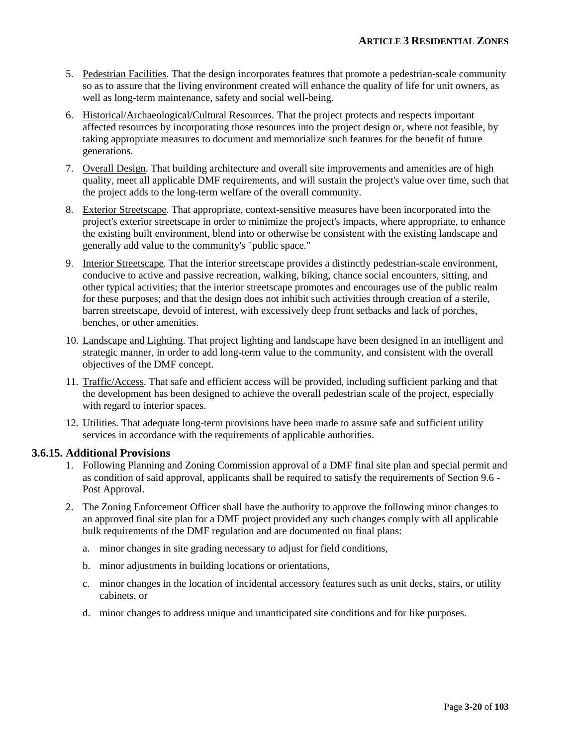- 5. Pedestrian Facilities. That the design incorporates features that promote a pedestrian-scale community so as to assure that the living environment created will enhance the quality of life for unit owners, as well as long-term maintenance, safety and social well-being.
- 6. Historical/Archaeological/Cultural Resources. That the project protects and respects important affected resources by incorporating those resources into the project design or, where not feasible, by taking appropriate measures to document and memorialize such features for the benefit of future generations.
- 7. Overall Design. That building architecture and overall site improvements and amenities are of high quality, meet all applicable DMF requirements, and will sustain the project's value over time, such that the project adds to the long-term welfare of the overall community.
- 8. Exterior Streetscape. That appropriate, context-sensitive measures have been incorporated into the project's exterior streetscape in order to minimize the project's impacts, where appropriate, to enhance the existing built environment, blend into or otherwise be consistent with the existing landscape and generally add value to the community's "public space."
- 9. Interior Streetscape. That the interior streetscape provides a distinctly pedestrian-scale environment, conducive to active and passive recreation, walking, biking, chance social encounters, sitting, and other typical activities; that the interior streetscape promotes and encourages use of the public realm for these purposes; and that the design does not inhibit such activities through creation of a sterile, barren streetscape, devoid of interest, with excessively deep front setbacks and lack of porches, benches, or other amenities.
- 10. Landscape and Lighting. That project lighting and landscape have been designed in an intelligent and strategic manner, in order to add long-term value to the community, and consistent with the overall objectives of the DMF concept.
- 11. Traffic/Access. That safe and efficient access will be provided, including sufficient parking and that the development has been designed to achieve the overall pedestrian scale of the project, especially with regard to interior spaces.
- 12. Utilities. That adequate long-term provisions have been made to assure safe and sufficient utility services in accordance with the requirements of applicable authorities.

#### **3.6.15. Additional Provisions**

- 1. Following Planning and Zoning Commission approval of a DMF final site plan and special permit and as condition of said approval, applicants shall be required to satisfy the requirements of Section 9.6 - Post Approval.
- 2. The Zoning Enforcement Officer shall have the authority to approve the following minor changes to an approved final site plan for a DMF project provided any such changes comply with all applicable bulk requirements of the DMF regulation and are documented on final plans:
	- a. minor changes in site grading necessary to adjust for field conditions,
	- b. minor adjustments in building locations or orientations,
	- c. minor changes in the location of incidental accessory features such as unit decks, stairs, or utility cabinets, or
	- d. minor changes to address unique and unanticipated site conditions and for like purposes.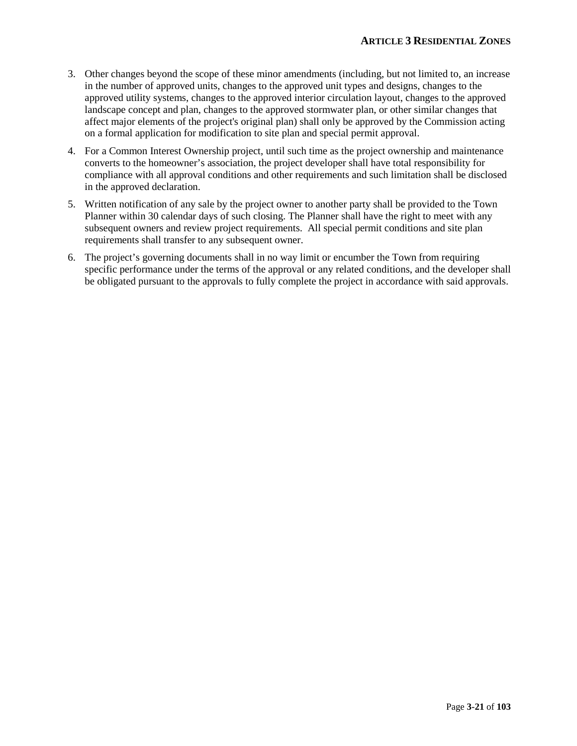- 3. Other changes beyond the scope of these minor amendments (including, but not limited to, an increase in the number of approved units, changes to the approved unit types and designs, changes to the approved utility systems, changes to the approved interior circulation layout, changes to the approved landscape concept and plan, changes to the approved stormwater plan, or other similar changes that affect major elements of the project's original plan) shall only be approved by the Commission acting on a formal application for modification to site plan and special permit approval.
- 4. For a Common Interest Ownership project, until such time as the project ownership and maintenance converts to the homeowner's association, the project developer shall have total responsibility for compliance with all approval conditions and other requirements and such limitation shall be disclosed in the approved declaration.
- 5. Written notification of any sale by the project owner to another party shall be provided to the Town Planner within 30 calendar days of such closing. The Planner shall have the right to meet with any subsequent owners and review project requirements. All special permit conditions and site plan requirements shall transfer to any subsequent owner.
- 6. The project's governing documents shall in no way limit or encumber the Town from requiring specific performance under the terms of the approval or any related conditions, and the developer shall be obligated pursuant to the approvals to fully complete the project in accordance with said approvals.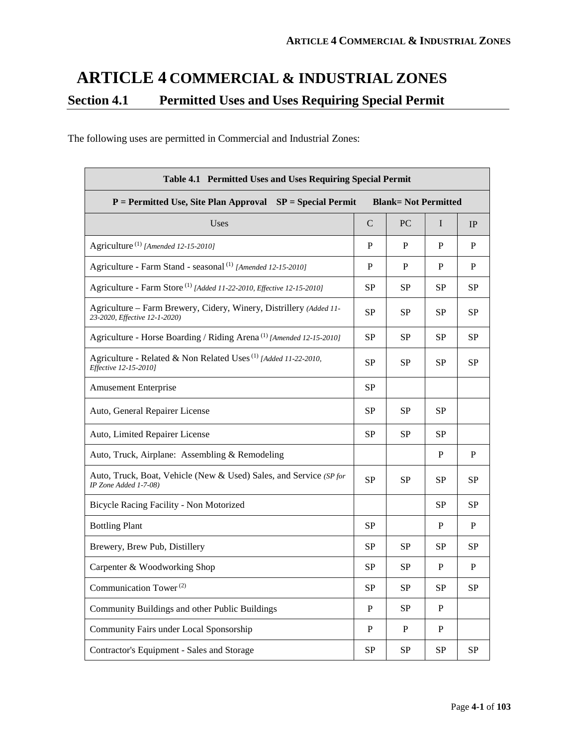# **ARTICLE 4 COMMERCIAL & INDUSTRIAL ZONES Section 4.1 Permitted Uses and Uses Requiring Special Permit**

The following uses are permitted in Commercial and Industrial Zones:

| Table 4.1 Permitted Uses and Uses Requiring Special Permit                                          |             |           |              |              |  |
|-----------------------------------------------------------------------------------------------------|-------------|-----------|--------------|--------------|--|
| $P = Permitted Use, Site Plan Approach SP = Special PermitBlank=Not Permitted$                      |             |           |              |              |  |
| Uses                                                                                                | $\mathbf C$ | <b>PC</b> | I            | IP           |  |
| Agriculture <sup>(1)</sup> [Amended 12-15-2010]                                                     | P           | P         | P            | P            |  |
| Agriculture - Farm Stand - seasonal <sup>(1)</sup> [Amended 12-15-2010]                             | P           | P         | P            | P            |  |
| Agriculture - Farm Store <sup>(1)</sup> [Added 11-22-2010, Effective 12-15-2010]                    | <b>SP</b>   | <b>SP</b> | <b>SP</b>    | <b>SP</b>    |  |
| Agriculture - Farm Brewery, Cidery, Winery, Distrillery (Added 11-<br>23-2020, Effective 12-1-2020) | <b>SP</b>   | <b>SP</b> | <b>SP</b>    | <b>SP</b>    |  |
| Agriculture - Horse Boarding / Riding Arena <sup>(1)</sup> [Amended 12-15-2010]                     | <b>SP</b>   | <b>SP</b> | <b>SP</b>    | <b>SP</b>    |  |
| Agriculture - Related & Non Related Uses <sup>(1)</sup> [Added 11-22-2010,<br>Effective 12-15-20101 | <b>SP</b>   | <b>SP</b> | <b>SP</b>    | <b>SP</b>    |  |
| <b>Amusement Enterprise</b>                                                                         | <b>SP</b>   |           |              |              |  |
| Auto, General Repairer License                                                                      | SP          | SP        | <b>SP</b>    |              |  |
| Auto, Limited Repairer License                                                                      |             | <b>SP</b> | <b>SP</b>    |              |  |
| Auto, Truck, Airplane: Assembling & Remodeling                                                      |             |           | P            | P            |  |
| Auto, Truck, Boat, Vehicle (New & Used) Sales, and Service (SP for<br>IP Zone Added 1-7-08)         |             | <b>SP</b> | SP           | <b>SP</b>    |  |
| Bicycle Racing Facility - Non Motorized                                                             |             |           | SP           | <b>SP</b>    |  |
| <b>Bottling Plant</b>                                                                               | <b>SP</b>   |           | P            | P            |  |
| Brewery, Brew Pub, Distillery                                                                       | <b>SP</b>   | <b>SP</b> | <b>SP</b>    | <b>SP</b>    |  |
| Carpenter & Woodworking Shop                                                                        |             | <b>SP</b> | $\mathbf{P}$ | $\, {\bf P}$ |  |
| Communication Tower <sup>(2)</sup>                                                                  |             | SP        | SP           | <b>SP</b>    |  |
| Community Buildings and other Public Buildings                                                      | P           | <b>SP</b> | P            |              |  |
| Community Fairs under Local Sponsorship                                                             | P           | P         | P            |              |  |
| Contractor's Equipment - Sales and Storage                                                          | SP          | SP        | SP           | SP           |  |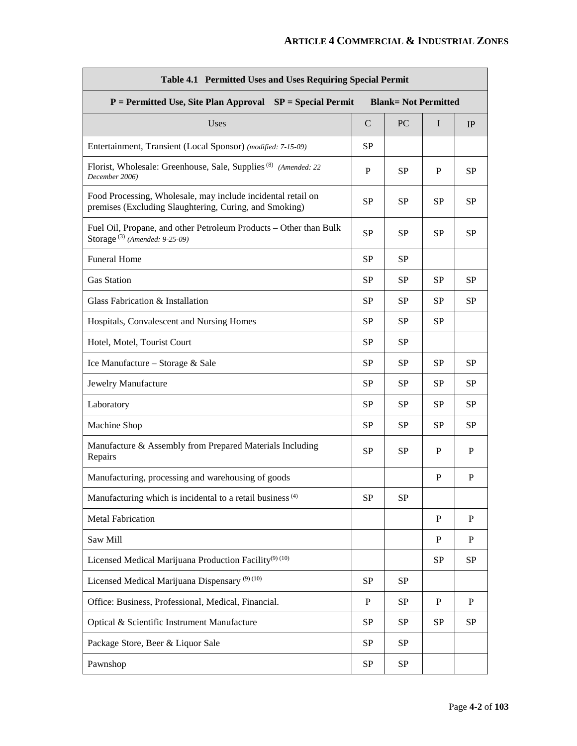| Table 4.1 Permitted Uses and Uses Requiring Special Permit                                                             |             |           |              |           |  |  |
|------------------------------------------------------------------------------------------------------------------------|-------------|-----------|--------------|-----------|--|--|
| $P = Permitted Use, Site Plan Approach SP = Special Permit$<br><b>Blank= Not Permitted</b>                             |             |           |              |           |  |  |
| Uses                                                                                                                   | $\mathbf C$ | <b>PC</b> | I            | IP        |  |  |
| Entertainment, Transient (Local Sponsor) (modified: 7-15-09)                                                           | <b>SP</b>   |           |              |           |  |  |
| Florist, Wholesale: Greenhouse, Sale, Supplies <sup>(8)</sup> (Amended: 22)<br>December 2006)                          | P           | <b>SP</b> | P            | SP        |  |  |
| Food Processing, Wholesale, may include incidental retail on<br>premises (Excluding Slaughtering, Curing, and Smoking) | <b>SP</b>   | <b>SP</b> | <b>SP</b>    | <b>SP</b> |  |  |
| Fuel Oil, Propane, and other Petroleum Products – Other than Bulk<br>Storage <sup>(3)</sup> (Amended: 9-25-09)         | <b>SP</b>   | <b>SP</b> | <b>SP</b>    | SP        |  |  |
| <b>Funeral Home</b>                                                                                                    | <b>SP</b>   | <b>SP</b> |              |           |  |  |
| <b>Gas Station</b>                                                                                                     | <b>SP</b>   | <b>SP</b> | <b>SP</b>    | <b>SP</b> |  |  |
| Glass Fabrication & Installation                                                                                       | SP          | <b>SP</b> | <b>SP</b>    | SP        |  |  |
| Hospitals, Convalescent and Nursing Homes                                                                              | <b>SP</b>   | <b>SP</b> | <b>SP</b>    |           |  |  |
| Hotel, Motel, Tourist Court                                                                                            | SP          | <b>SP</b> |              |           |  |  |
| Ice Manufacture – Storage & Sale                                                                                       | SP          | <b>SP</b> | <b>SP</b>    | SP        |  |  |
| Jewelry Manufacture                                                                                                    | <b>SP</b>   | <b>SP</b> | <b>SP</b>    | <b>SP</b> |  |  |
| Laboratory                                                                                                             | <b>SP</b>   | <b>SP</b> | <b>SP</b>    | <b>SP</b> |  |  |
| Machine Shop                                                                                                           | SP          | <b>SP</b> | <b>SP</b>    | SP        |  |  |
| Manufacture & Assembly from Prepared Materials Including<br>Repairs                                                    |             | <b>SP</b> | P            | P         |  |  |
| Manufacturing, processing and warehousing of goods                                                                     |             |           | P            | P         |  |  |
| Manufacturing which is incidental to a retail business <sup>(4)</sup>                                                  | <b>SP</b>   | <b>SP</b> |              |           |  |  |
| <b>Metal Fabrication</b>                                                                                               |             |           | $\mathbf{P}$ | P         |  |  |
| Saw Mill                                                                                                               |             |           | P            | P         |  |  |
| Licensed Medical Marijuana Production Facility <sup>(9)</sup> <sup>(10)</sup>                                          |             |           | <b>SP</b>    | <b>SP</b> |  |  |
| Licensed Medical Marijuana Dispensary <sup>(9)(10)</sup>                                                               | SP          | SP        |              |           |  |  |
| Office: Business, Professional, Medical, Financial.                                                                    | P           | SP        | P            | P         |  |  |
| Optical & Scientific Instrument Manufacture                                                                            | SP          | SP        | <b>SP</b>    | SP        |  |  |
| Package Store, Beer & Liquor Sale                                                                                      | SP          | SP        |              |           |  |  |
| Pawnshop                                                                                                               | SP          | SP        |              |           |  |  |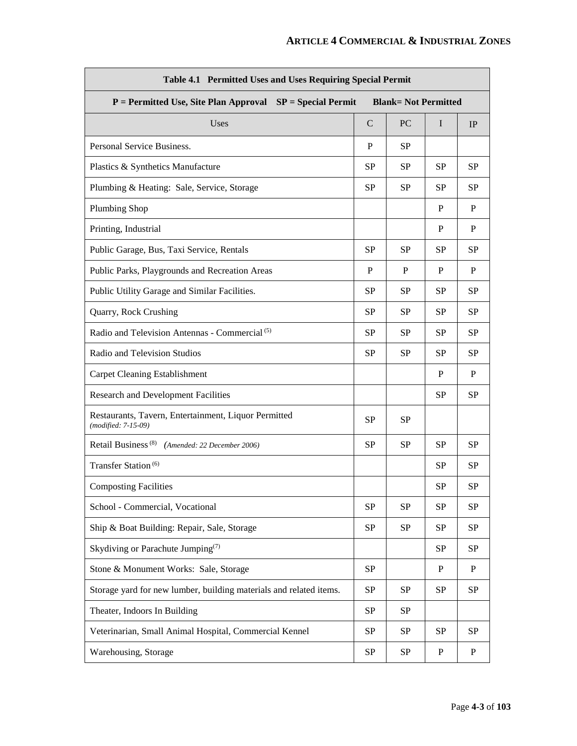| Table 4.1 Permitted Uses and Uses Requiring Special Permit                                |             |           |           |              |  |
|-------------------------------------------------------------------------------------------|-------------|-----------|-----------|--------------|--|
| $P = Permitted Use, Site Plan Approach SP = Special Permit$<br><b>Blank=Not Permitted</b> |             |           |           |              |  |
| Uses                                                                                      | $\mathbf C$ | PC        | I         | IP           |  |
| Personal Service Business.                                                                | P           | <b>SP</b> |           |              |  |
| Plastics & Synthetics Manufacture                                                         | <b>SP</b>   | <b>SP</b> | <b>SP</b> | SP           |  |
| Plumbing & Heating: Sale, Service, Storage                                                | <b>SP</b>   | <b>SP</b> | SP        | <b>SP</b>    |  |
| <b>Plumbing Shop</b>                                                                      |             |           | P         | P            |  |
| Printing, Industrial                                                                      |             |           | P         | P            |  |
| Public Garage, Bus, Taxi Service, Rentals                                                 | <b>SP</b>   | SP        | <b>SP</b> | <b>SP</b>    |  |
| Public Parks, Playgrounds and Recreation Areas                                            | P           | P         | P         | P            |  |
| Public Utility Garage and Similar Facilities.                                             | <b>SP</b>   | <b>SP</b> | <b>SP</b> | SP           |  |
| Quarry, Rock Crushing                                                                     | <b>SP</b>   | SP        | SP        | <b>SP</b>    |  |
| Radio and Television Antennas - Commercial <sup>(5)</sup>                                 | <b>SP</b>   | SP        | <b>SP</b> | <b>SP</b>    |  |
| Radio and Television Studios                                                              | <b>SP</b>   | <b>SP</b> | <b>SP</b> | SP           |  |
| <b>Carpet Cleaning Establishment</b>                                                      |             |           | P         | P            |  |
| <b>Research and Development Facilities</b>                                                |             |           | <b>SP</b> | <b>SP</b>    |  |
| Restaurants, Tavern, Entertainment, Liquor Permitted<br>(modified: 7-15-09)               | <b>SP</b>   | <b>SP</b> |           |              |  |
| Retail Business <sup>(8)</sup> (Amended: 22 December 2006)                                | <b>SP</b>   | <b>SP</b> | SP        | SP           |  |
| Transfer Station <sup>(6)</sup>                                                           |             |           | <b>SP</b> | SP           |  |
| <b>Composting Facilities</b>                                                              |             |           | <b>SP</b> | <b>SP</b>    |  |
| School - Commercial, Vocational                                                           | <b>SP</b>   | SP        | SP        | <b>SP</b>    |  |
| Ship & Boat Building: Repair, Sale, Storage                                               | <b>SP</b>   | <b>SP</b> | <b>SP</b> | <b>SP</b>    |  |
| Skydiving or Parachute Jumping <sup>(7)</sup>                                             |             |           | <b>SP</b> | <b>SP</b>    |  |
| Stone & Monument Works: Sale, Storage                                                     | SP          |           | P         | $\mathbf{P}$ |  |
| Storage yard for new lumber, building materials and related items.                        | SP          | <b>SP</b> | <b>SP</b> | SP           |  |
| Theater, Indoors In Building                                                              | <b>SP</b>   | SP        |           |              |  |
| Veterinarian, Small Animal Hospital, Commercial Kennel                                    | SP          | SP        | <b>SP</b> | SP           |  |
| Warehousing, Storage                                                                      | SP          | SP        | P         | $\mathbf P$  |  |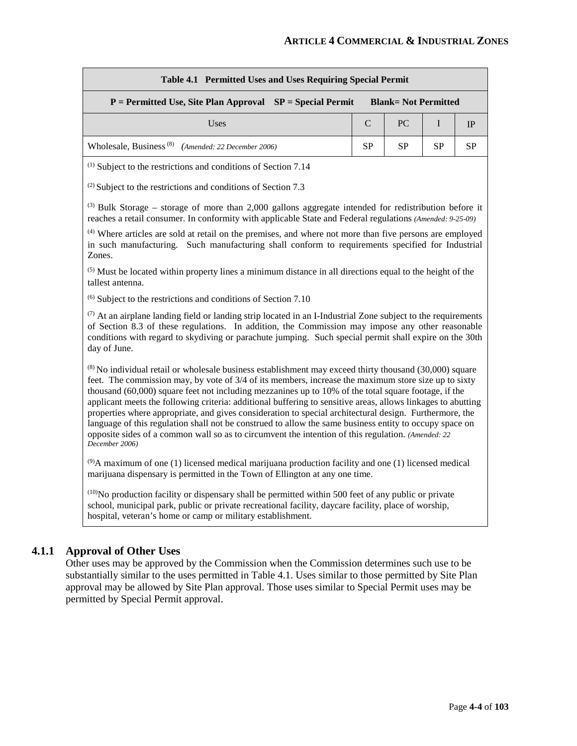| Table 4.1 Permitted Uses and Uses Requiring Special Permit                                |    |                    |           |    |  |
|-------------------------------------------------------------------------------------------|----|--------------------|-----------|----|--|
| $P = Permitted Use, Site Plan Approach SP = Special Permit$<br><b>Blank=Not Permitted</b> |    |                    |           |    |  |
| Uses                                                                                      |    | $C \mid PC \mid I$ |           | IP |  |
| Wholesale, Business <sup>(8)</sup> (Amended: 22 December 2006)                            | SP | <b>SP</b>          | <b>SP</b> | SP |  |

(1) Subject to the restrictions and conditions of Section 7.14

(2) Subject to the restrictions and conditions of Section 7.3

(3) Bulk Storage – storage of more than 2,000 gallons aggregate intended for redistribution before it reaches a retail consumer. In conformity with applicable State and Federal regulations *(Amended: 9-25-09)*

(4) Where articles are sold at retail on the premises, and where not more than five persons are employed in such manufacturing. Such manufacturing shall conform to requirements specified for Industrial Zones.

 $<sup>(5)</sup>$  Must be located within property lines a minimum distance in all directions equal to the height of the</sup> tallest antenna.

 $(6)$  Subject to the restrictions and conditions of Section 7.10

 $(7)$  At an airplane landing field or landing strip located in an I-Industrial Zone subject to the requirements of Section 8.3 of these regulations. In addition, the Commission may impose any other reasonable conditions with regard to skydiving or parachute jumping. Such special permit shall expire on the 30th day of June.

(8) No individual retail or wholesale business establishment may exceed thirty thousand (30,000) square feet. The commission may, by vote of 3/4 of its members, increase the maximum store size up to sixty thousand (60,000) square feet not including mezzanines up to 10% of the total square footage, if the applicant meets the following criteria: additional buffering to sensitive areas, allows linkages to abutting properties where appropriate, and gives consideration to special architectural design. Furthermore, the language of this regulation shall not be construed to allow the same business entity to occupy space on opposite sides of a common wall so as to circumvent the intention of this regulation. *(Amended: 22 December 2006)*

 $^{(9)}$ A maximum of one (1) licensed medical marijuana production facility and one (1) licensed medical marijuana dispensary is permitted in the Town of Ellington at any one time.

 $<sup>(10)</sup>$ No production facility or dispensary shall be permitted within 500 feet of any public or private</sup> school, municipal park, public or private recreational facility, daycare facility, place of worship, hospital, veteran's home or camp or military establishment.

#### **4.1.1 Approval of Other Uses**

Other uses may be approved by the Commission when the Commission determines such use to be substantially similar to the uses permitted in Table 4.1. Uses similar to those permitted by Site Plan approval may be allowed by Site Plan approval. Those uses similar to Special Permit uses may be permitted by Special Permit approval.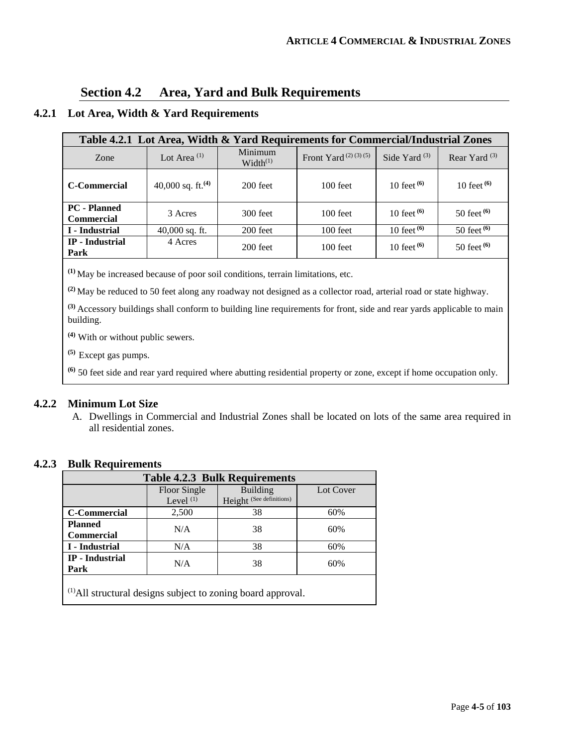## **Section 4.2 Area, Yard and Bulk Requirements**

### **4.2.1 Lot Area, Width & Yard Requirements**

| Table 4.2.1 Lot Area, Width & Yard Requirements for Commercial/Industrial Zones |                         |                                 |                              |                 |                 |  |
|---------------------------------------------------------------------------------|-------------------------|---------------------------------|------------------------------|-----------------|-----------------|--|
| Zone                                                                            | Lot Area <sup>(1)</sup> | Minimum<br>Width <sup>(1)</sup> | Front Yard $(2)$ $(3)$ $(5)$ | Side Yard $(3)$ | Rear Yard $(3)$ |  |
| <b>C</b> -Commercial                                                            | 40,000 sq. ft. $(4)$    | $200$ feet                      | $100$ feet                   | 10 feet $(6)$   | 10 feet $(6)$   |  |
| <b>PC</b> - Planned<br><b>Commercial</b>                                        | 3 Acres                 | 300 feet                        | $100$ feet                   | 10 feet $(6)$   | 50 feet $(6)$   |  |
| I - Industrial                                                                  | $40,000$ sq. ft.        | 200 feet                        | 100 feet                     | 10 feet $(6)$   | 50 feet $(6)$   |  |
| <b>IP</b> - Industrial<br>Park                                                  | 4 Acres                 | 200 feet                        | $100$ feet                   | 10 feet $(6)$   | 50 feet $(6)$   |  |

**(1)** May be increased because of poor soil conditions, terrain limitations, etc.

**(2)** May be reduced to 50 feet along any roadway not designed as a collector road, arterial road or state highway.

**(3)** Accessory buildings shall conform to building line requirements for front, side and rear yards applicable to main building.

**(4)** With or without public sewers.

**(5)** Except gas pumps.

**(6)** 50 feet side and rear yard required where abutting residential property or zone, except if home occupation only.

#### **4.2.2 Minimum Lot Size**

A. Dwellings in Commercial and Industrial Zones shall be located on lots of the same area required in all residential zones.

#### **4.2.3 Bulk Requirements**

| <b>Table 4.2.3 Bulk Requirements</b>                                    |                             |                                             |           |  |  |  |
|-------------------------------------------------------------------------|-----------------------------|---------------------------------------------|-----------|--|--|--|
|                                                                         | Floor Single<br>Level $(1)$ | <b>Building</b><br>Height (See definitions) | Lot Cover |  |  |  |
| <b>C-Commercial</b>                                                     | 2,500                       | 38                                          | 60%       |  |  |  |
| <b>Planned</b><br><b>Commercial</b>                                     | N/A                         | 38                                          | 60%       |  |  |  |
| I - Industrial                                                          | N/A                         | 38                                          | 60%       |  |  |  |
| <b>IP</b> - Industrial<br>N/A<br>38<br>60%<br>Park                      |                             |                                             |           |  |  |  |
| <sup>(1)</sup> All structural designs subject to zoning board approval. |                             |                                             |           |  |  |  |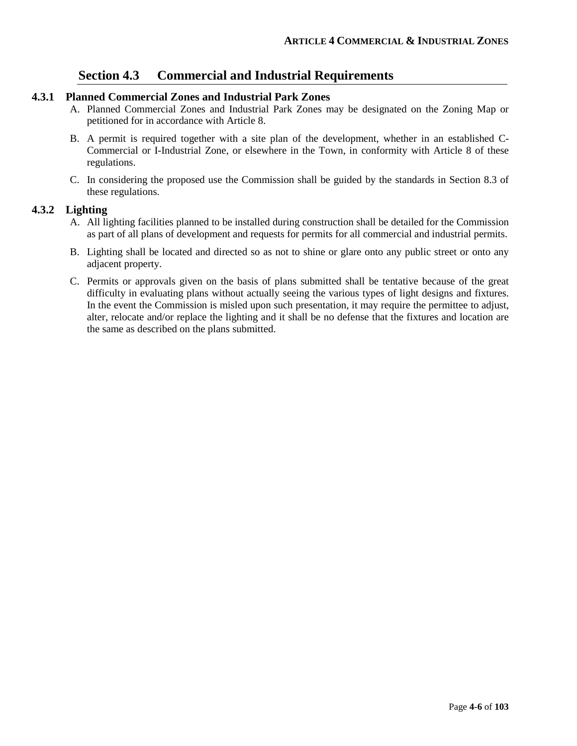## **Section 4.3 Commercial and Industrial Requirements**

#### **4.3.1 Planned Commercial Zones and Industrial Park Zones**

- A. Planned Commercial Zones and Industrial Park Zones may be designated on the Zoning Map or petitioned for in accordance with Article 8.
- B. A permit is required together with a site plan of the development, whether in an established C-Commercial or I-Industrial Zone, or elsewhere in the Town, in conformity with Article 8 of these regulations.
- C. In considering the proposed use the Commission shall be guided by the standards in Section 8.3 of these regulations.

#### **4.3.2 Lighting**

- A. All lighting facilities planned to be installed during construction shall be detailed for the Commission as part of all plans of development and requests for permits for all commercial and industrial permits.
- B. Lighting shall be located and directed so as not to shine or glare onto any public street or onto any adjacent property.
- C. Permits or approvals given on the basis of plans submitted shall be tentative because of the great difficulty in evaluating plans without actually seeing the various types of light designs and fixtures. In the event the Commission is misled upon such presentation, it may require the permittee to adjust, alter, relocate and/or replace the lighting and it shall be no defense that the fixtures and location are the same as described on the plans submitted.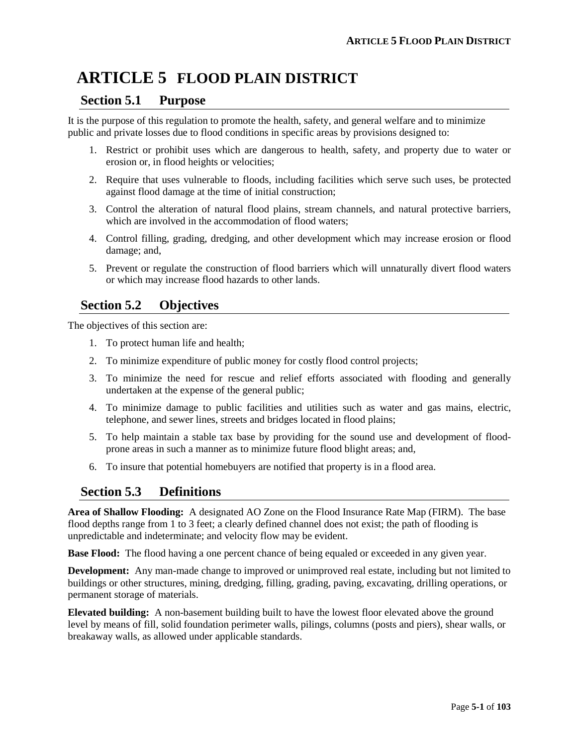# **ARTICLE 5 FLOOD PLAIN DISTRICT**

## **Section 5.1 Purpose**

It is the purpose of this regulation to promote the health, safety, and general welfare and to minimize public and private losses due to flood conditions in specific areas by provisions designed to:

- 1. Restrict or prohibit uses which are dangerous to health, safety, and property due to water or erosion or, in flood heights or velocities;
- 2. Require that uses vulnerable to floods, including facilities which serve such uses, be protected against flood damage at the time of initial construction;
- 3. Control the alteration of natural flood plains, stream channels, and natural protective barriers, which are involved in the accommodation of flood waters:
- 4. Control filling, grading, dredging, and other development which may increase erosion or flood damage; and,
- 5. Prevent or regulate the construction of flood barriers which will unnaturally divert flood waters or which may increase flood hazards to other lands.

## **Section 5.2 Objectives**

The objectives of this section are:

- 1. To protect human life and health;
- 2. To minimize expenditure of public money for costly flood control projects;
- 3. To minimize the need for rescue and relief efforts associated with flooding and generally undertaken at the expense of the general public;
- 4. To minimize damage to public facilities and utilities such as water and gas mains, electric, telephone, and sewer lines, streets and bridges located in flood plains;
- 5. To help maintain a stable tax base by providing for the sound use and development of floodprone areas in such a manner as to minimize future flood blight areas; and,
- 6. To insure that potential homebuyers are notified that property is in a flood area.

## **Section 5.3 Definitions**

**Area of Shallow Flooding:** A designated AO Zone on the Flood Insurance Rate Map (FIRM). The base flood depths range from 1 to 3 feet; a clearly defined channel does not exist; the path of flooding is unpredictable and indeterminate; and velocity flow may be evident.

**Base Flood:** The flood having a one percent chance of being equaled or exceeded in any given year.

**Development:** Any man-made change to improved or unimproved real estate, including but not limited to buildings or other structures, mining, dredging, filling, grading, paving, excavating, drilling operations, or permanent storage of materials.

**Elevated building:** A non-basement building built to have the lowest floor elevated above the ground level by means of fill, solid foundation perimeter walls, pilings, columns (posts and piers), shear walls, or breakaway walls, as allowed under applicable standards.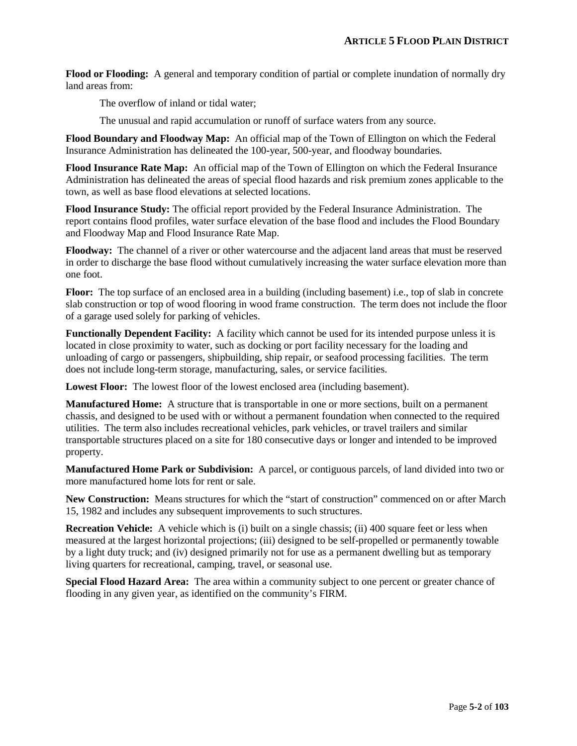**Flood or Flooding:** A general and temporary condition of partial or complete inundation of normally dry land areas from:

The overflow of inland or tidal water;

The unusual and rapid accumulation or runoff of surface waters from any source.

**Flood Boundary and Floodway Map:** An official map of the Town of Ellington on which the Federal Insurance Administration has delineated the 100-year, 500-year, and floodway boundaries.

**Flood Insurance Rate Map:** An official map of the Town of Ellington on which the Federal Insurance Administration has delineated the areas of special flood hazards and risk premium zones applicable to the town, as well as base flood elevations at selected locations.

**Flood Insurance Study:** The official report provided by the Federal Insurance Administration. The report contains flood profiles, water surface elevation of the base flood and includes the Flood Boundary and Floodway Map and Flood Insurance Rate Map.

**Floodway:** The channel of a river or other watercourse and the adjacent land areas that must be reserved in order to discharge the base flood without cumulatively increasing the water surface elevation more than one foot.

**Floor:** The top surface of an enclosed area in a building (including basement) i.e., top of slab in concrete slab construction or top of wood flooring in wood frame construction. The term does not include the floor of a garage used solely for parking of vehicles.

**Functionally Dependent Facility:** A facility which cannot be used for its intended purpose unless it is located in close proximity to water, such as docking or port facility necessary for the loading and unloading of cargo or passengers, shipbuilding, ship repair, or seafood processing facilities. The term does not include long-term storage, manufacturing, sales, or service facilities.

**Lowest Floor:** The lowest floor of the lowest enclosed area (including basement).

**Manufactured Home:** A structure that is transportable in one or more sections, built on a permanent chassis, and designed to be used with or without a permanent foundation when connected to the required utilities. The term also includes recreational vehicles, park vehicles, or travel trailers and similar transportable structures placed on a site for 180 consecutive days or longer and intended to be improved property.

**Manufactured Home Park or Subdivision:** A parcel, or contiguous parcels, of land divided into two or more manufactured home lots for rent or sale.

**New Construction:** Means structures for which the "start of construction" commenced on or after March 15, 1982 and includes any subsequent improvements to such structures.

**Recreation Vehicle:** A vehicle which is (i) built on a single chassis; (ii) 400 square feet or less when measured at the largest horizontal projections; (iii) designed to be self-propelled or permanently towable by a light duty truck; and (iv) designed primarily not for use as a permanent dwelling but as temporary living quarters for recreational, camping, travel, or seasonal use.

**Special Flood Hazard Area:** The area within a community subject to one percent or greater chance of flooding in any given year, as identified on the community's FIRM.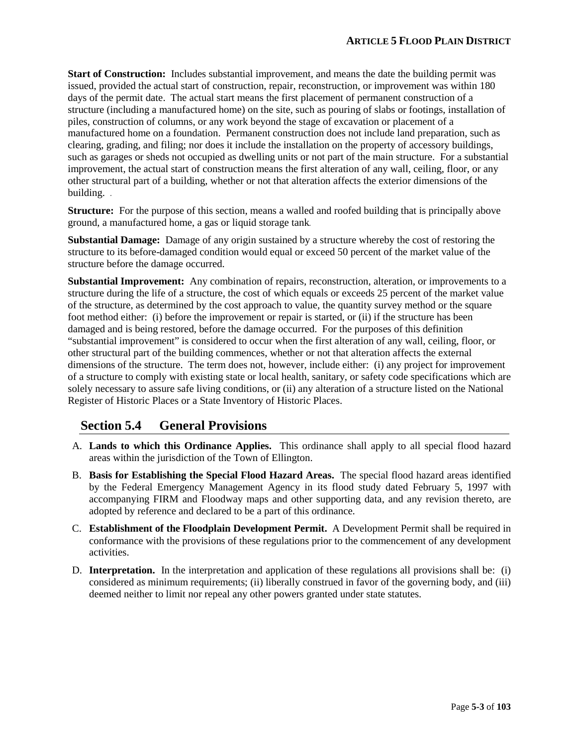**Start of Construction:** Includes substantial improvement, and means the date the building permit was issued, provided the actual start of construction, repair, reconstruction, or improvement was within 180 days of the permit date. The actual start means the first placement of permanent construction of a structure (including a manufactured home) on the site, such as pouring of slabs or footings, installation of piles, construction of columns, or any work beyond the stage of excavation or placement of a manufactured home on a foundation. Permanent construction does not include land preparation, such as clearing, grading, and filing; nor does it include the installation on the property of accessory buildings, such as garages or sheds not occupied as dwelling units or not part of the main structure. For a substantial improvement, the actual start of construction means the first alteration of any wall, ceiling, floor, or any other structural part of a building, whether or not that alteration affects the exterior dimensions of the building. *.*

**Structure:** For the purpose of this section, means a walled and roofed building that is principally above ground, a manufactured home, a gas or liquid storage tank*.* 

**Substantial Damage:** Damage of any origin sustained by a structure whereby the cost of restoring the structure to its before-damaged condition would equal or exceed 50 percent of the market value of the structure before the damage occurred.

**Substantial Improvement:** Any combination of repairs, reconstruction, alteration, or improvements to a structure during the life of a structure, the cost of which equals or exceeds 25 percent of the market value of the structure, as determined by the cost approach to value, the quantity survey method or the square foot method either: (i) before the improvement or repair is started, or (ii) if the structure has been damaged and is being restored, before the damage occurred. For the purposes of this definition "substantial improvement" is considered to occur when the first alteration of any wall, ceiling, floor, or other structural part of the building commences, whether or not that alteration affects the external dimensions of the structure. The term does not, however, include either: (i) any project for improvement of a structure to comply with existing state or local health, sanitary, or safety code specifications which are solely necessary to assure safe living conditions, or (ii) any alteration of a structure listed on the National Register of Historic Places or a State Inventory of Historic Places.

## **Section 5.4 General Provisions**

- A. **Lands to which this Ordinance Applies.** This ordinance shall apply to all special flood hazard areas within the jurisdiction of the Town of Ellington.
- B. **Basis for Establishing the Special Flood Hazard Areas.** The special flood hazard areas identified by the Federal Emergency Management Agency in its flood study dated February 5, 1997 with accompanying FIRM and Floodway maps and other supporting data, and any revision thereto, are adopted by reference and declared to be a part of this ordinance.
- C. **Establishment of the Floodplain Development Permit.** A Development Permit shall be required in conformance with the provisions of these regulations prior to the commencement of any development activities.
- D. **Interpretation.** In the interpretation and application of these regulations all provisions shall be: (i) considered as minimum requirements; (ii) liberally construed in favor of the governing body, and (iii) deemed neither to limit nor repeal any other powers granted under state statutes.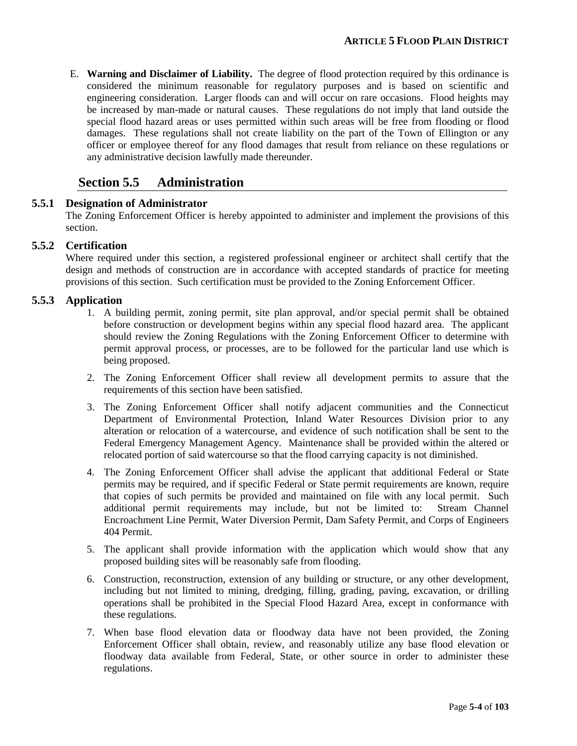E. **Warning and Disclaimer of Liability.** The degree of flood protection required by this ordinance is considered the minimum reasonable for regulatory purposes and is based on scientific and engineering consideration. Larger floods can and will occur on rare occasions. Flood heights may be increased by man-made or natural causes. These regulations do not imply that land outside the special flood hazard areas or uses permitted within such areas will be free from flooding or flood damages. These regulations shall not create liability on the part of the Town of Ellington or any officer or employee thereof for any flood damages that result from reliance on these regulations or any administrative decision lawfully made thereunder.

## **Section 5.5 Administration**

#### **5.5.1 Designation of Administrator**

The Zoning Enforcement Officer is hereby appointed to administer and implement the provisions of this section.

#### **5.5.2 Certification**

Where required under this section, a registered professional engineer or architect shall certify that the design and methods of construction are in accordance with accepted standards of practice for meeting provisions of this section. Such certification must be provided to the Zoning Enforcement Officer.

#### **5.5.3 Application**

- 1. A building permit, zoning permit, site plan approval, and/or special permit shall be obtained before construction or development begins within any special flood hazard area. The applicant should review the Zoning Regulations with the Zoning Enforcement Officer to determine with permit approval process, or processes, are to be followed for the particular land use which is being proposed.
- 2. The Zoning Enforcement Officer shall review all development permits to assure that the requirements of this section have been satisfied.
- 3. The Zoning Enforcement Officer shall notify adjacent communities and the Connecticut Department of Environmental Protection, Inland Water Resources Division prior to any alteration or relocation of a watercourse, and evidence of such notification shall be sent to the Federal Emergency Management Agency. Maintenance shall be provided within the altered or relocated portion of said watercourse so that the flood carrying capacity is not diminished.
- 4. The Zoning Enforcement Officer shall advise the applicant that additional Federal or State permits may be required, and if specific Federal or State permit requirements are known, require that copies of such permits be provided and maintained on file with any local permit. Such additional permit requirements may include, but not be limited to: Stream Channel Encroachment Line Permit, Water Diversion Permit, Dam Safety Permit, and Corps of Engineers 404 Permit.
- 5. The applicant shall provide information with the application which would show that any proposed building sites will be reasonably safe from flooding.
- 6. Construction, reconstruction, extension of any building or structure, or any other development, including but not limited to mining, dredging, filling, grading, paving, excavation, or drilling operations shall be prohibited in the Special Flood Hazard Area, except in conformance with these regulations.
- 7. When base flood elevation data or floodway data have not been provided, the Zoning Enforcement Officer shall obtain, review, and reasonably utilize any base flood elevation or floodway data available from Federal, State, or other source in order to administer these regulations.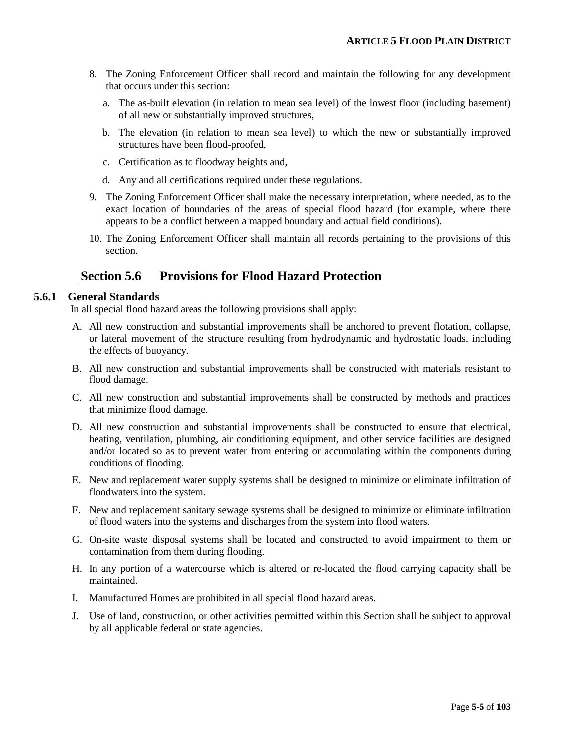- 8. The Zoning Enforcement Officer shall record and maintain the following for any development that occurs under this section:
	- a. The as-built elevation (in relation to mean sea level) of the lowest floor (including basement) of all new or substantially improved structures,
	- b. The elevation (in relation to mean sea level) to which the new or substantially improved structures have been flood-proofed,
	- c. Certification as to floodway heights and,
	- d. Any and all certifications required under these regulations.
- 9. The Zoning Enforcement Officer shall make the necessary interpretation, where needed, as to the exact location of boundaries of the areas of special flood hazard (for example, where there appears to be a conflict between a mapped boundary and actual field conditions).
- 10. The Zoning Enforcement Officer shall maintain all records pertaining to the provisions of this section.

## **Section 5.6 Provisions for Flood Hazard Protection**

#### **5.6.1 General Standards**

In all special flood hazard areas the following provisions shall apply:

- A. All new construction and substantial improvements shall be anchored to prevent flotation, collapse, or lateral movement of the structure resulting from hydrodynamic and hydrostatic loads, including the effects of buoyancy.
- B. All new construction and substantial improvements shall be constructed with materials resistant to flood damage.
- C. All new construction and substantial improvements shall be constructed by methods and practices that minimize flood damage.
- D. All new construction and substantial improvements shall be constructed to ensure that electrical, heating, ventilation, plumbing, air conditioning equipment, and other service facilities are designed and/or located so as to prevent water from entering or accumulating within the components during conditions of flooding.
- E. New and replacement water supply systems shall be designed to minimize or eliminate infiltration of floodwaters into the system.
- F. New and replacement sanitary sewage systems shall be designed to minimize or eliminate infiltration of flood waters into the systems and discharges from the system into flood waters.
- G. On-site waste disposal systems shall be located and constructed to avoid impairment to them or contamination from them during flooding.
- H. In any portion of a watercourse which is altered or re-located the flood carrying capacity shall be maintained.
- I. Manufactured Homes are prohibited in all special flood hazard areas.
- J. Use of land, construction, or other activities permitted within this Section shall be subject to approval by all applicable federal or state agencies.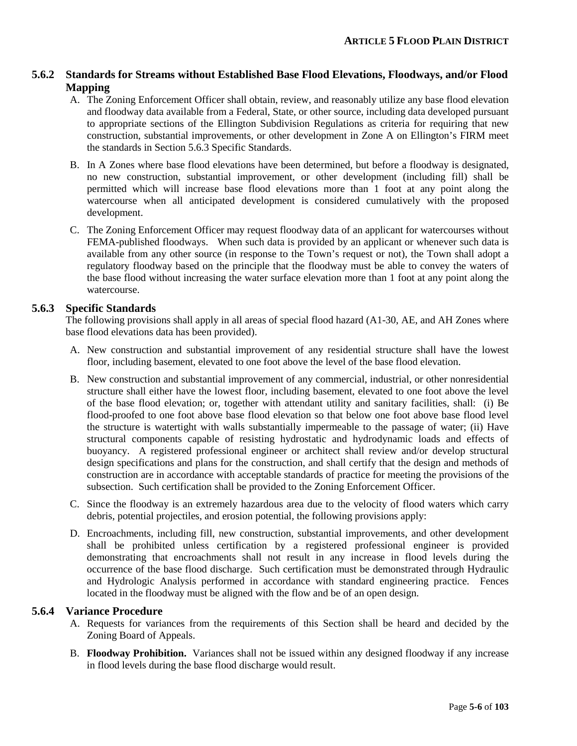#### **5.6.2 Standards for Streams without Established Base Flood Elevations, Floodways, and/or Flood Mapping**

- A. The Zoning Enforcement Officer shall obtain, review, and reasonably utilize any base flood elevation and floodway data available from a Federal, State, or other source, including data developed pursuant to appropriate sections of the Ellington Subdivision Regulations as criteria for requiring that new construction, substantial improvements, or other development in Zone A on Ellington's FIRM meet the standards in Section 5.6.3 Specific Standards.
- B. In A Zones where base flood elevations have been determined, but before a floodway is designated, no new construction, substantial improvement, or other development (including fill) shall be permitted which will increase base flood elevations more than 1 foot at any point along the watercourse when all anticipated development is considered cumulatively with the proposed development.
- C. The Zoning Enforcement Officer may request floodway data of an applicant for watercourses without FEMA-published floodways. When such data is provided by an applicant or whenever such data is available from any other source (in response to the Town's request or not), the Town shall adopt a regulatory floodway based on the principle that the floodway must be able to convey the waters of the base flood without increasing the water surface elevation more than 1 foot at any point along the watercourse.

#### **5.6.3 Specific Standards**

The following provisions shall apply in all areas of special flood hazard (A1-30, AE, and AH Zones where base flood elevations data has been provided).

- A. New construction and substantial improvement of any residential structure shall have the lowest floor, including basement, elevated to one foot above the level of the base flood elevation.
- B. New construction and substantial improvement of any commercial, industrial, or other nonresidential structure shall either have the lowest floor, including basement, elevated to one foot above the level of the base flood elevation; or, together with attendant utility and sanitary facilities, shall: (i) Be flood-proofed to one foot above base flood elevation so that below one foot above base flood level the structure is watertight with walls substantially impermeable to the passage of water; (ii) Have structural components capable of resisting hydrostatic and hydrodynamic loads and effects of buoyancy. A registered professional engineer or architect shall review and/or develop structural design specifications and plans for the construction, and shall certify that the design and methods of construction are in accordance with acceptable standards of practice for meeting the provisions of the subsection. Such certification shall be provided to the Zoning Enforcement Officer.
- C. Since the floodway is an extremely hazardous area due to the velocity of flood waters which carry debris, potential projectiles, and erosion potential, the following provisions apply:
- D. Encroachments, including fill, new construction, substantial improvements, and other development shall be prohibited unless certification by a registered professional engineer is provided demonstrating that encroachments shall not result in any increase in flood levels during the occurrence of the base flood discharge. Such certification must be demonstrated through Hydraulic and Hydrologic Analysis performed in accordance with standard engineering practice. Fences located in the floodway must be aligned with the flow and be of an open design.

#### **5.6.4 Variance Procedure**

- A. Requests for variances from the requirements of this Section shall be heard and decided by the Zoning Board of Appeals.
- B. **Floodway Prohibition.** Variances shall not be issued within any designed floodway if any increase in flood levels during the base flood discharge would result.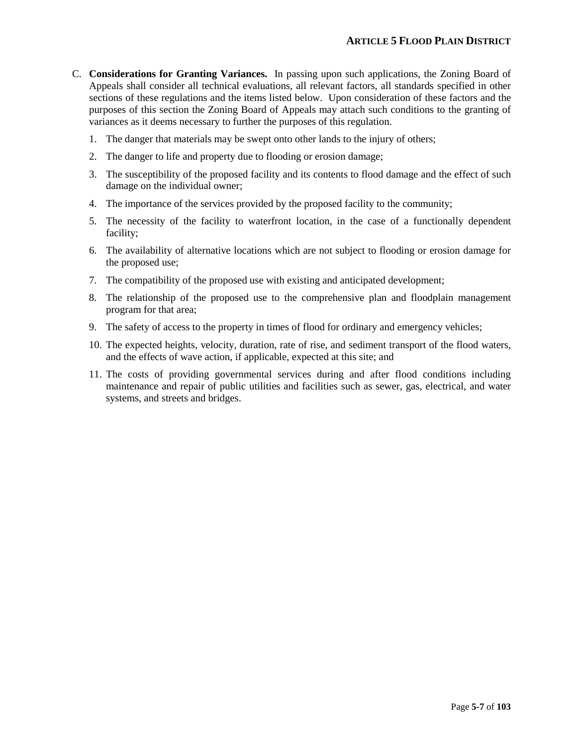- C. **Considerations for Granting Variances.** In passing upon such applications, the Zoning Board of Appeals shall consider all technical evaluations, all relevant factors, all standards specified in other sections of these regulations and the items listed below. Upon consideration of these factors and the purposes of this section the Zoning Board of Appeals may attach such conditions to the granting of variances as it deems necessary to further the purposes of this regulation.
	- 1. The danger that materials may be swept onto other lands to the injury of others;
	- 2. The danger to life and property due to flooding or erosion damage;
	- 3. The susceptibility of the proposed facility and its contents to flood damage and the effect of such damage on the individual owner;
	- 4. The importance of the services provided by the proposed facility to the community;
	- 5. The necessity of the facility to waterfront location, in the case of a functionally dependent facility;
	- 6. The availability of alternative locations which are not subject to flooding or erosion damage for the proposed use;
	- 7. The compatibility of the proposed use with existing and anticipated development;
	- 8. The relationship of the proposed use to the comprehensive plan and floodplain management program for that area;
	- 9. The safety of access to the property in times of flood for ordinary and emergency vehicles;
	- 10. The expected heights, velocity, duration, rate of rise, and sediment transport of the flood waters, and the effects of wave action, if applicable, expected at this site; and
	- 11. The costs of providing governmental services during and after flood conditions including maintenance and repair of public utilities and facilities such as sewer, gas, electrical, and water systems, and streets and bridges.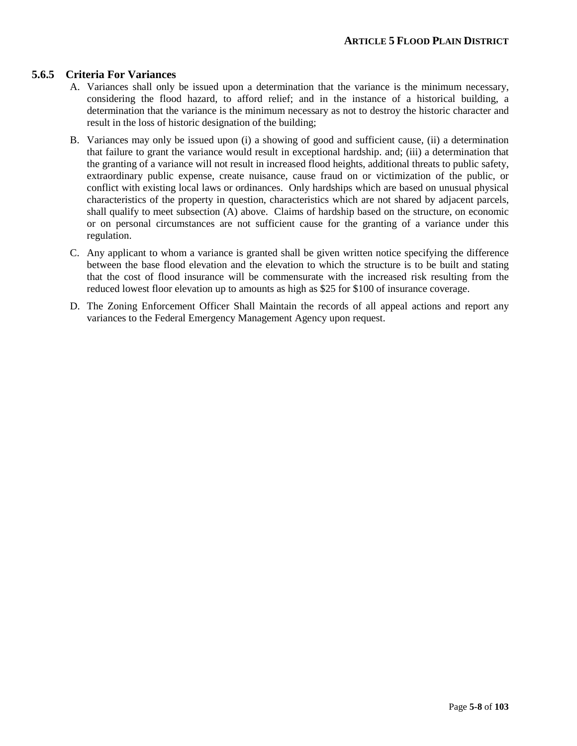#### **5.6.5 Criteria For Variances**

- A. Variances shall only be issued upon a determination that the variance is the minimum necessary, considering the flood hazard, to afford relief; and in the instance of a historical building, a determination that the variance is the minimum necessary as not to destroy the historic character and result in the loss of historic designation of the building;
- B. Variances may only be issued upon (i) a showing of good and sufficient cause, (ii) a determination that failure to grant the variance would result in exceptional hardship. and; (iii) a determination that the granting of a variance will not result in increased flood heights, additional threats to public safety, extraordinary public expense, create nuisance, cause fraud on or victimization of the public, or conflict with existing local laws or ordinances. Only hardships which are based on unusual physical characteristics of the property in question, characteristics which are not shared by adjacent parcels, shall qualify to meet subsection (A) above. Claims of hardship based on the structure, on economic or on personal circumstances are not sufficient cause for the granting of a variance under this regulation.
- C. Any applicant to whom a variance is granted shall be given written notice specifying the difference between the base flood elevation and the elevation to which the structure is to be built and stating that the cost of flood insurance will be commensurate with the increased risk resulting from the reduced lowest floor elevation up to amounts as high as \$25 for \$100 of insurance coverage.
- D. The Zoning Enforcement Officer Shall Maintain the records of all appeal actions and report any variances to the Federal Emergency Management Agency upon request.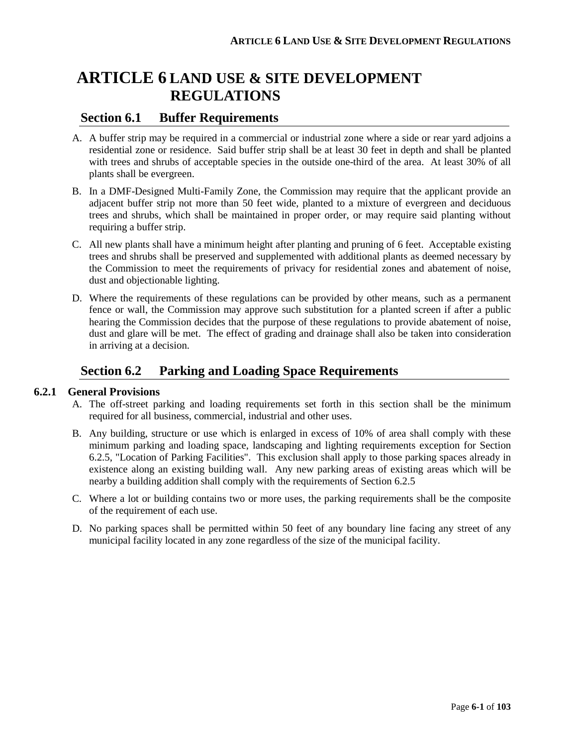## **ARTICLE 6 LAND USE & SITE DEVELOPMENT REGULATIONS**

## **Section 6.1 Buffer Requirements**

- A. A buffer strip may be required in a commercial or industrial zone where a side or rear yard adjoins a residential zone or residence. Said buffer strip shall be at least 30 feet in depth and shall be planted with trees and shrubs of acceptable species in the outside one-third of the area. At least 30% of all plants shall be evergreen.
- B. In a DMF-Designed Multi-Family Zone, the Commission may require that the applicant provide an adjacent buffer strip not more than 50 feet wide, planted to a mixture of evergreen and deciduous trees and shrubs, which shall be maintained in proper order, or may require said planting without requiring a buffer strip.
- C. All new plants shall have a minimum height after planting and pruning of 6 feet. Acceptable existing trees and shrubs shall be preserved and supplemented with additional plants as deemed necessary by the Commission to meet the requirements of privacy for residential zones and abatement of noise, dust and objectionable lighting.
- D. Where the requirements of these regulations can be provided by other means, such as a permanent fence or wall, the Commission may approve such substitution for a planted screen if after a public hearing the Commission decides that the purpose of these regulations to provide abatement of noise, dust and glare will be met. The effect of grading and drainage shall also be taken into consideration in arriving at a decision.

## **Section 6.2 Parking and Loading Space Requirements**

#### **6.2.1 General Provisions**

- A. The off-street parking and loading requirements set forth in this section shall be the minimum required for all business, commercial, industrial and other uses.
- B. Any building, structure or use which is enlarged in excess of 10% of area shall comply with these minimum parking and loading space, landscaping and lighting requirements exception for Section 6.2.5, "Location of Parking Facilities". This exclusion shall apply to those parking spaces already in existence along an existing building wall. Any new parking areas of existing areas which will be nearby a building addition shall comply with the requirements of Section 6.2.5
- C. Where a lot or building contains two or more uses, the parking requirements shall be the composite of the requirement of each use.
- D. No parking spaces shall be permitted within 50 feet of any boundary line facing any street of any municipal facility located in any zone regardless of the size of the municipal facility.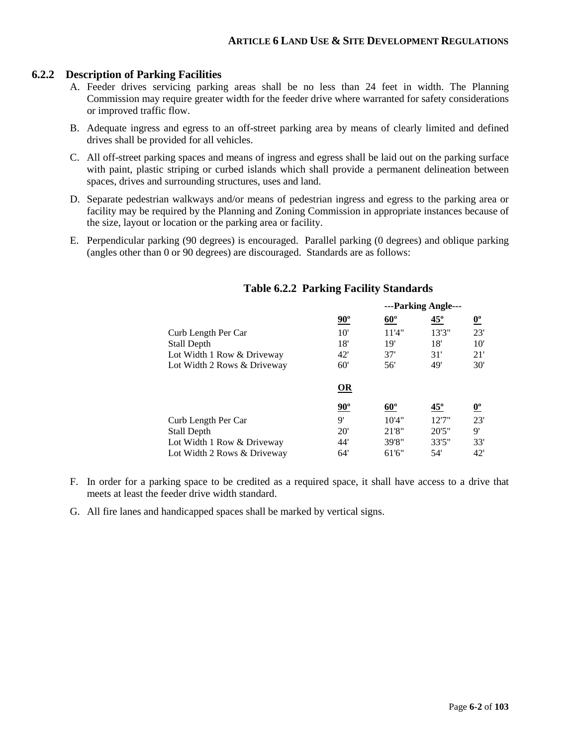#### **6.2.2 Description of Parking Facilities**

- A. Feeder drives servicing parking areas shall be no less than 24 feet in width. The Planning Commission may require greater width for the feeder drive where warranted for safety considerations or improved traffic flow.
- B. Adequate ingress and egress to an off-street parking area by means of clearly limited and defined drives shall be provided for all vehicles.
- C. All off-street parking spaces and means of ingress and egress shall be laid out on the parking surface with paint, plastic striping or curbed islands which shall provide a permanent delineation between spaces, drives and surrounding structures, uses and land.
- D. Separate pedestrian walkways and/or means of pedestrian ingress and egress to the parking area or facility may be required by the Planning and Zoning Commission in appropriate instances because of the size, layout or location or the parking area or facility.
- E. Perpendicular parking (90 degrees) is encouraged. Parallel parking (0 degrees) and oblique parking (angles other than 0 or 90 degrees) are discouraged. Standards are as follows:

|                             |                       |            | ---Parking Angle--- |                                  |  |
|-----------------------------|-----------------------|------------|---------------------|----------------------------------|--|
|                             | $90^\circ$            | $60^\circ$ | $45^\circ$          | $\underline{\mathbf{0}^{\circ}}$ |  |
| Curb Length Per Car         | 10'                   | 11'4"      | 13'3"               | 23'                              |  |
| Stall Depth                 | 18'                   | 19'        | 18'                 | $10^{\circ}$                     |  |
| Lot Width 1 Row & Driveway  | 42'                   | 37'        | 31'                 | 21'                              |  |
| Lot Width 2 Rows & Driveway | 60'                   | 56'        | 49'                 | 30'                              |  |
|                             | $\Omega$              |            |                     |                                  |  |
|                             | $90^\circ$            | $60^\circ$ | $45^\circ$          | $\overline{\mathbf{0}^{\circ}}$  |  |
| Curb Length Per Car         | $\mathsf{Q}^{\prime}$ | 10'4"      | 12'7''              | 23'                              |  |
| Stall Depth                 | 20'                   | 21'8"      | 20'5''              | 9'                               |  |
| Lot Width 1 Row & Driveway  | 44'                   | 39'8"      | 33'5"               | 33'                              |  |
| Lot Width 2 Rows & Driveway | 64'                   | 61'6"      | 54'                 | 42'                              |  |

#### **Table 6.2.2 Parking Facility Standards**

- F. In order for a parking space to be credited as a required space, it shall have access to a drive that meets at least the feeder drive width standard.
- G. All fire lanes and handicapped spaces shall be marked by vertical signs.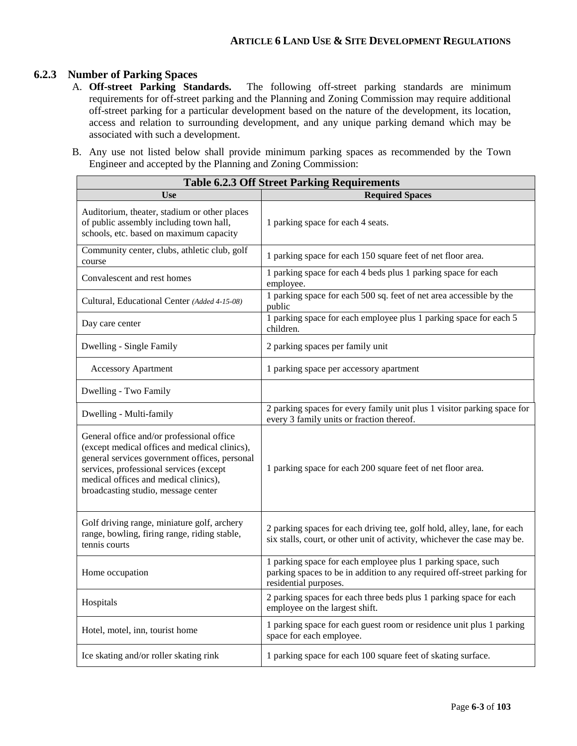# **6.2.3 Number of Parking Spaces**

- The following off-street parking standards are minimum requirements for off-street parking and the Planning and Zoning Commission may require additional off-street parking for a particular development based on the nature of the development, its location, access and relation to surrounding development, and any unique parking demand which may be associated with such a development.
- B. Any use not listed below shall provide minimum parking spaces as recommended by the Town Engineer and accepted by the Planning and Zoning Commission:

| <b>Table 6.2.3 Off Street Parking Requirements</b>                                                                                                                                                                                                                     |                                                                                                                                                                  |  |  |  |
|------------------------------------------------------------------------------------------------------------------------------------------------------------------------------------------------------------------------------------------------------------------------|------------------------------------------------------------------------------------------------------------------------------------------------------------------|--|--|--|
| <b>Use</b>                                                                                                                                                                                                                                                             | <b>Required Spaces</b>                                                                                                                                           |  |  |  |
| Auditorium, theater, stadium or other places<br>of public assembly including town hall,<br>schools, etc. based on maximum capacity                                                                                                                                     | 1 parking space for each 4 seats.                                                                                                                                |  |  |  |
| Community center, clubs, athletic club, golf<br>course                                                                                                                                                                                                                 | 1 parking space for each 150 square feet of net floor area.                                                                                                      |  |  |  |
| Convalescent and rest homes                                                                                                                                                                                                                                            | 1 parking space for each 4 beds plus 1 parking space for each<br>employee.                                                                                       |  |  |  |
| Cultural, Educational Center (Added 4-15-08)                                                                                                                                                                                                                           | 1 parking space for each 500 sq. feet of net area accessible by the<br>public                                                                                    |  |  |  |
| Day care center                                                                                                                                                                                                                                                        | 1 parking space for each employee plus 1 parking space for each 5<br>children.                                                                                   |  |  |  |
| Dwelling - Single Family                                                                                                                                                                                                                                               | 2 parking spaces per family unit                                                                                                                                 |  |  |  |
| <b>Accessory Apartment</b>                                                                                                                                                                                                                                             | 1 parking space per accessory apartment                                                                                                                          |  |  |  |
| Dwelling - Two Family                                                                                                                                                                                                                                                  |                                                                                                                                                                  |  |  |  |
| Dwelling - Multi-family                                                                                                                                                                                                                                                | 2 parking spaces for every family unit plus 1 visitor parking space for<br>every 3 family units or fraction thereof.                                             |  |  |  |
| General office and/or professional office<br>(except medical offices and medical clinics),<br>general services government offices, personal<br>services, professional services (except<br>medical offices and medical clinics),<br>broadcasting studio, message center | 1 parking space for each 200 square feet of net floor area.                                                                                                      |  |  |  |
| Golf driving range, miniature golf, archery<br>range, bowling, firing range, riding stable,<br>tennis courts                                                                                                                                                           | 2 parking spaces for each driving tee, golf hold, alley, lane, for each<br>six stalls, court, or other unit of activity, whichever the case may be.              |  |  |  |
| Home occupation                                                                                                                                                                                                                                                        | 1 parking space for each employee plus 1 parking space, such<br>parking spaces to be in addition to any required off-street parking for<br>residential purposes. |  |  |  |
| Hospitals                                                                                                                                                                                                                                                              | 2 parking spaces for each three beds plus 1 parking space for each<br>employee on the largest shift.                                                             |  |  |  |
| Hotel, motel, inn, tourist home                                                                                                                                                                                                                                        | 1 parking space for each guest room or residence unit plus 1 parking<br>space for each employee.                                                                 |  |  |  |
| Ice skating and/or roller skating rink                                                                                                                                                                                                                                 | 1 parking space for each 100 square feet of skating surface.                                                                                                     |  |  |  |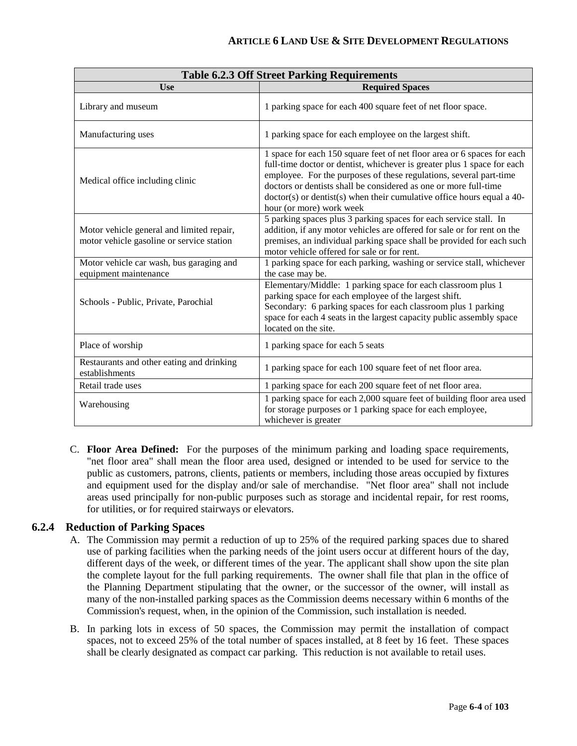| <b>Table 6.2.3 Off Street Parking Requirements</b>                                     |                                                                                                                                                                                                                                                                                                                                                                                                      |  |  |  |
|----------------------------------------------------------------------------------------|------------------------------------------------------------------------------------------------------------------------------------------------------------------------------------------------------------------------------------------------------------------------------------------------------------------------------------------------------------------------------------------------------|--|--|--|
| <b>Use</b>                                                                             | <b>Required Spaces</b>                                                                                                                                                                                                                                                                                                                                                                               |  |  |  |
| Library and museum                                                                     | 1 parking space for each 400 square feet of net floor space.                                                                                                                                                                                                                                                                                                                                         |  |  |  |
| Manufacturing uses                                                                     | 1 parking space for each employee on the largest shift.                                                                                                                                                                                                                                                                                                                                              |  |  |  |
| Medical office including clinic                                                        | 1 space for each 150 square feet of net floor area or 6 spaces for each<br>full-time doctor or dentist, whichever is greater plus 1 space for each<br>employee. For the purposes of these regulations, several part-time<br>doctors or dentists shall be considered as one or more full-time<br>$doctor(s)$ or dentist(s) when their cumulative office hours equal a 40-<br>hour (or more) work week |  |  |  |
| Motor vehicle general and limited repair,<br>motor vehicle gasoline or service station | 5 parking spaces plus 3 parking spaces for each service stall. In<br>addition, if any motor vehicles are offered for sale or for rent on the<br>premises, an individual parking space shall be provided for each such<br>motor vehicle offered for sale or for rent.                                                                                                                                 |  |  |  |
| Motor vehicle car wash, bus garaging and<br>equipment maintenance                      | 1 parking space for each parking, washing or service stall, whichever<br>the case may be.                                                                                                                                                                                                                                                                                                            |  |  |  |
| Schools - Public, Private, Parochial                                                   | Elementary/Middle: 1 parking space for each classroom plus 1<br>parking space for each employee of the largest shift.<br>Secondary: 6 parking spaces for each classroom plus 1 parking<br>space for each 4 seats in the largest capacity public assembly space<br>located on the site.                                                                                                               |  |  |  |
| Place of worship                                                                       | 1 parking space for each 5 seats                                                                                                                                                                                                                                                                                                                                                                     |  |  |  |
| Restaurants and other eating and drinking<br>establishments                            | 1 parking space for each 100 square feet of net floor area.                                                                                                                                                                                                                                                                                                                                          |  |  |  |
| Retail trade uses                                                                      | 1 parking space for each 200 square feet of net floor area.                                                                                                                                                                                                                                                                                                                                          |  |  |  |
| Warehousing                                                                            | 1 parking space for each 2,000 square feet of building floor area used<br>for storage purposes or 1 parking space for each employee,<br>whichever is greater                                                                                                                                                                                                                                         |  |  |  |

C. **Floor Area Defined:** For the purposes of the minimum parking and loading space requirements, "net floor area" shall mean the floor area used, designed or intended to be used for service to the public as customers, patrons, clients, patients or members, including those areas occupied by fixtures and equipment used for the display and/or sale of merchandise. "Net floor area" shall not include areas used principally for non-public purposes such as storage and incidental repair, for rest rooms, for utilities, or for required stairways or elevators.

#### **6.2.4 Reduction of Parking Spaces**

- A. The Commission may permit a reduction of up to 25% of the required parking spaces due to shared use of parking facilities when the parking needs of the joint users occur at different hours of the day, different days of the week, or different times of the year. The applicant shall show upon the site plan the complete layout for the full parking requirements. The owner shall file that plan in the office of the Planning Department stipulating that the owner, or the successor of the owner, will install as many of the non-installed parking spaces as the Commission deems necessary within 6 months of the Commission's request, when, in the opinion of the Commission, such installation is needed.
- B. In parking lots in excess of 50 spaces, the Commission may permit the installation of compact spaces, not to exceed 25% of the total number of spaces installed, at 8 feet by 16 feet. These spaces shall be clearly designated as compact car parking. This reduction is not available to retail uses.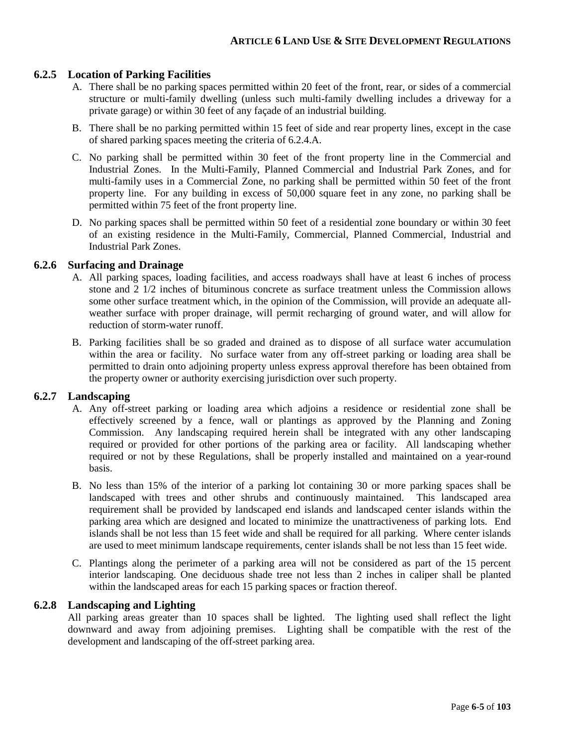#### **6.2.5 Location of Parking Facilities**

- A. There shall be no parking spaces permitted within 20 feet of the front, rear, or sides of a commercial structure or multi-family dwelling (unless such multi-family dwelling includes a driveway for a private garage) or within 30 feet of any façade of an industrial building.
- B. There shall be no parking permitted within 15 feet of side and rear property lines, except in the case of shared parking spaces meeting the criteria of 6.2.4.A.
- C. No parking shall be permitted within 30 feet of the front property line in the Commercial and Industrial Zones. In the Multi-Family, Planned Commercial and Industrial Park Zones, and for multi-family uses in a Commercial Zone, no parking shall be permitted within 50 feet of the front property line. For any building in excess of 50,000 square feet in any zone, no parking shall be permitted within 75 feet of the front property line.
- D. No parking spaces shall be permitted within 50 feet of a residential zone boundary or within 30 feet of an existing residence in the Multi-Family, Commercial, Planned Commercial, Industrial and Industrial Park Zones.

#### **6.2.6 Surfacing and Drainage**

- A. All parking spaces, loading facilities, and access roadways shall have at least 6 inches of process stone and 2 1/2 inches of bituminous concrete as surface treatment unless the Commission allows some other surface treatment which, in the opinion of the Commission, will provide an adequate allweather surface with proper drainage, will permit recharging of ground water, and will allow for reduction of storm-water runoff.
- B. Parking facilities shall be so graded and drained as to dispose of all surface water accumulation within the area or facility. No surface water from any off-street parking or loading area shall be permitted to drain onto adjoining property unless express approval therefore has been obtained from the property owner or authority exercising jurisdiction over such property.

#### **6.2.7 Landscaping**

- A. Any off-street parking or loading area which adjoins a residence or residential zone shall be effectively screened by a fence, wall or plantings as approved by the Planning and Zoning Commission. Any landscaping required herein shall be integrated with any other landscaping required or provided for other portions of the parking area or facility. All landscaping whether required or not by these Regulations, shall be properly installed and maintained on a year-round basis.
- B. No less than 15% of the interior of a parking lot containing 30 or more parking spaces shall be landscaped with trees and other shrubs and continuously maintained. This landscaped area requirement shall be provided by landscaped end islands and landscaped center islands within the parking area which are designed and located to minimize the unattractiveness of parking lots. End islands shall be not less than 15 feet wide and shall be required for all parking. Where center islands are used to meet minimum landscape requirements, center islands shall be not less than 15 feet wide.
- C. Plantings along the perimeter of a parking area will not be considered as part of the 15 percent interior landscaping. One deciduous shade tree not less than 2 inches in caliper shall be planted within the landscaped areas for each 15 parking spaces or fraction thereof.

#### **6.2.8 Landscaping and Lighting**

All parking areas greater than 10 spaces shall be lighted. The lighting used shall reflect the light downward and away from adjoining premises. Lighting shall be compatible with the rest of the development and landscaping of the off-street parking area.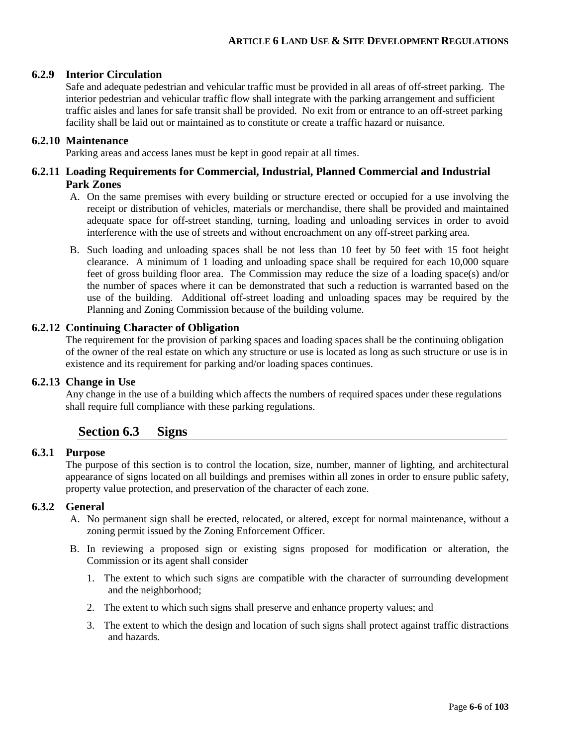#### **6.2.9 Interior Circulation**

Safe and adequate pedestrian and vehicular traffic must be provided in all areas of off-street parking. The interior pedestrian and vehicular traffic flow shall integrate with the parking arrangement and sufficient traffic aisles and lanes for safe transit shall be provided. No exit from or entrance to an off-street parking facility shall be laid out or maintained as to constitute or create a traffic hazard or nuisance.

#### **6.2.10 Maintenance**

Parking areas and access lanes must be kept in good repair at all times.

#### **6.2.11 Loading Requirements for Commercial, Industrial, Planned Commercial and Industrial Park Zones**

- A. On the same premises with every building or structure erected or occupied for a use involving the receipt or distribution of vehicles, materials or merchandise, there shall be provided and maintained adequate space for off-street standing, turning, loading and unloading services in order to avoid interference with the use of streets and without encroachment on any off-street parking area.
- B. Such loading and unloading spaces shall be not less than 10 feet by 50 feet with 15 foot height clearance. A minimum of 1 loading and unloading space shall be required for each 10,000 square feet of gross building floor area. The Commission may reduce the size of a loading space(s) and/or the number of spaces where it can be demonstrated that such a reduction is warranted based on the use of the building. Additional off-street loading and unloading spaces may be required by the Planning and Zoning Commission because of the building volume.

#### **6.2.12 Continuing Character of Obligation**

The requirement for the provision of parking spaces and loading spaces shall be the continuing obligation of the owner of the real estate on which any structure or use is located as long as such structure or use is in existence and its requirement for parking and/or loading spaces continues.

#### **6.2.13 Change in Use**

Any change in the use of a building which affects the numbers of required spaces under these regulations shall require full compliance with these parking regulations.

## **Section 6.3 Signs**

#### **6.3.1 Purpose**

The purpose of this section is to control the location, size, number, manner of lighting, and architectural appearance of signs located on all buildings and premises within all zones in order to ensure public safety, property value protection, and preservation of the character of each zone.

#### **6.3.2 General**

- A. No permanent sign shall be erected, relocated, or altered, except for normal maintenance, without a zoning permit issued by the Zoning Enforcement Officer.
- B. In reviewing a proposed sign or existing signs proposed for modification or alteration, the Commission or its agent shall consider
	- 1. The extent to which such signs are compatible with the character of surrounding development and the neighborhood;
	- 2. The extent to which such signs shall preserve and enhance property values; and
	- 3. The extent to which the design and location of such signs shall protect against traffic distractions and hazards*.*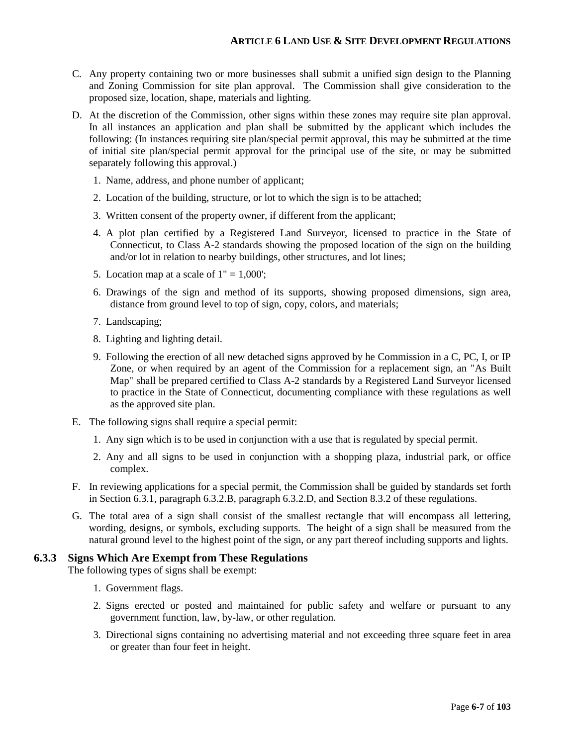- C. Any property containing two or more businesses shall submit a unified sign design to the Planning and Zoning Commission for site plan approval. The Commission shall give consideration to the proposed size, location, shape, materials and lighting.
- D. At the discretion of the Commission, other signs within these zones may require site plan approval. In all instances an application and plan shall be submitted by the applicant which includes the following: (In instances requiring site plan/special permit approval, this may be submitted at the time of initial site plan/special permit approval for the principal use of the site, or may be submitted separately following this approval.)
	- 1. Name, address, and phone number of applicant;
	- 2. Location of the building, structure, or lot to which the sign is to be attached;
	- 3. Written consent of the property owner, if different from the applicant;
	- 4. A plot plan certified by a Registered Land Surveyor, licensed to practice in the State of Connecticut, to Class A-2 standards showing the proposed location of the sign on the building and/or lot in relation to nearby buildings, other structures, and lot lines;
	- 5. Location map at a scale of  $1" = 1,000'$ ;
	- 6. Drawings of the sign and method of its supports, showing proposed dimensions, sign area, distance from ground level to top of sign, copy, colors, and materials;
	- 7. Landscaping;
	- 8. Lighting and lighting detail.
	- 9. Following the erection of all new detached signs approved by he Commission in a C, PC, I, or IP Zone, or when required by an agent of the Commission for a replacement sign, an "As Built Map" shall be prepared certified to Class A-2 standards by a Registered Land Surveyor licensed to practice in the State of Connecticut, documenting compliance with these regulations as well as the approved site plan.
- E. The following signs shall require a special permit:
	- 1. Any sign which is to be used in conjunction with a use that is regulated by special permit.
	- 2. Any and all signs to be used in conjunction with a shopping plaza, industrial park, or office complex.
- F. In reviewing applications for a special permit, the Commission shall be guided by standards set forth in Section 6.3.1, paragraph 6.3.2.B, paragraph 6.3.2.D, and Section 8.3.2 of these regulations.
- G. The total area of a sign shall consist of the smallest rectangle that will encompass all lettering, wording, designs, or symbols, excluding supports. The height of a sign shall be measured from the natural ground level to the highest point of the sign, or any part thereof including supports and lights.

#### **6.3.3 Signs Which Are Exempt from These Regulations**

The following types of signs shall be exempt:

- 1. Government flags.
- 2. Signs erected or posted and maintained for public safety and welfare or pursuant to any government function, law, by-law, or other regulation.
- 3. Directional signs containing no advertising material and not exceeding three square feet in area or greater than four feet in height.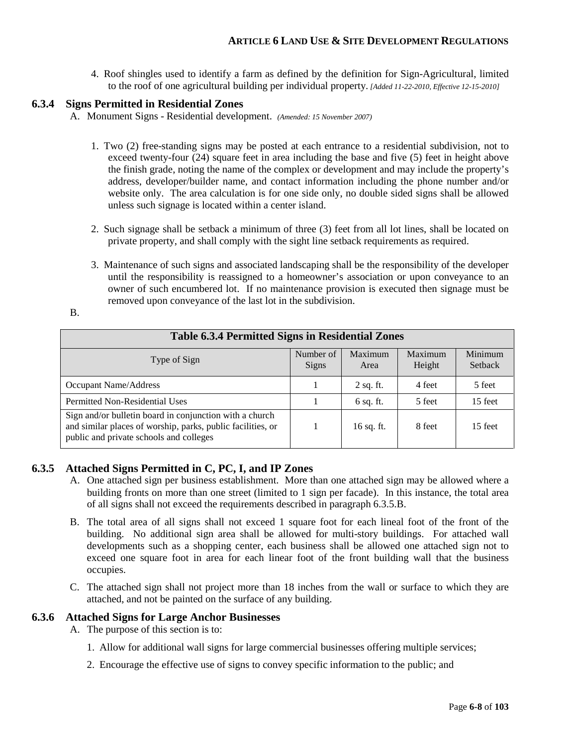4. Roof shingles used to identify a farm as defined by the definition for Sign-Agricultural, limited to the roof of one agricultural building per individual property. *[Added 11-22-2010, Effective 12-15-2010]*

#### **6.3.4 Signs Permitted in Residential Zones**

A. Monument Signs - Residential development. *(Amended: 15 November 2007)*

- 1. Two (2) free-standing signs may be posted at each entrance to a residential subdivision, not to exceed twenty-four (24) square feet in area including the base and five (5) feet in height above the finish grade, noting the name of the complex or development and may include the property's address, developer/builder name, and contact information including the phone number and/or website only. The area calculation is for one side only, no double sided signs shall be allowed unless such signage is located within a center island.
- 2. Such signage shall be setback a minimum of three (3) feet from all lot lines, shall be located on private property, and shall comply with the sight line setback requirements as required.
- 3. Maintenance of such signs and associated landscaping shall be the responsibility of the developer until the responsibility is reassigned to a homeowner's association or upon conveyance to an owner of such encumbered lot. If no maintenance provision is executed then signage must be removed upon conveyance of the last lot in the subdivision.

B.

| <b>Table 6.3.4 Permitted Signs in Residential Zones</b>                                                                                                           |                    |                 |                   |                    |  |  |
|-------------------------------------------------------------------------------------------------------------------------------------------------------------------|--------------------|-----------------|-------------------|--------------------|--|--|
| Type of Sign                                                                                                                                                      | Number of<br>Signs | Maximum<br>Area | Maximum<br>Height | Minimum<br>Setback |  |  |
| Occupant Name/Address                                                                                                                                             |                    | $2$ sq. ft.     | 4 feet            | 5 feet             |  |  |
| <b>Permitted Non-Residential Uses</b>                                                                                                                             |                    | $6$ sq. ft.     | 5 feet            | 15 feet            |  |  |
| Sign and/or bulletin board in conjunction with a church<br>and similar places of worship, parks, public facilities, or<br>public and private schools and colleges |                    | 16 sq. ft.      | 8 feet            | 15 feet            |  |  |

#### **6.3.5 Attached Signs Permitted in C, PC, I, and IP Zones**

- A. One attached sign per business establishment. More than one attached sign may be allowed where a building fronts on more than one street (limited to 1 sign per facade). In this instance, the total area of all signs shall not exceed the requirements described in paragraph 6.3.5.B.
- B. The total area of all signs shall not exceed 1 square foot for each lineal foot of the front of the building. No additional sign area shall be allowed for multi-story buildings. For attached wall developments such as a shopping center, each business shall be allowed one attached sign not to exceed one square foot in area for each linear foot of the front building wall that the business occupies.
- C. The attached sign shall not project more than 18 inches from the wall or surface to which they are attached, and not be painted on the surface of any building.

#### **6.3.6 Attached Signs for Large Anchor Businesses**

- A. The purpose of this section is to:
	- 1. Allow for additional wall signs for large commercial businesses offering multiple services;
	- 2. Encourage the effective use of signs to convey specific information to the public; and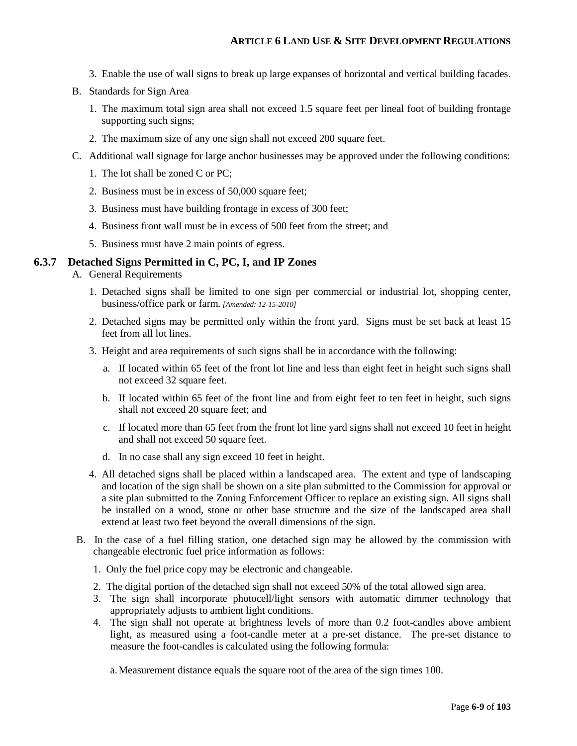- 3. Enable the use of wall signs to break up large expanses of horizontal and vertical building facades.
- B. Standards for Sign Area
	- 1. The maximum total sign area shall not exceed 1.5 square feet per lineal foot of building frontage supporting such signs;
	- 2. The maximum size of any one sign shall not exceed 200 square feet.
- C. Additional wall signage for large anchor businesses may be approved under the following conditions:
	- 1. The lot shall be zoned C or PC;
	- 2. Business must be in excess of 50,000 square feet;
	- 3. Business must have building frontage in excess of 300 feet;
	- 4. Business front wall must be in excess of 500 feet from the street; and
	- 5. Business must have 2 main points of egress.

#### **6.3.7 Detached Signs Permitted in C, PC, I, and IP Zones**

- A. General Requirements
	- 1. Detached signs shall be limited to one sign per commercial or industrial lot, shopping center, business/office park or farm*. [Amended: 12-15-2010]*
	- 2. Detached signs may be permitted only within the front yard. Signs must be set back at least 15 feet from all lot lines.
	- 3. Height and area requirements of such signs shall be in accordance with the following:
		- a. If located within 65 feet of the front lot line and less than eight feet in height such signs shall not exceed 32 square feet.
		- b. If located within 65 feet of the front line and from eight feet to ten feet in height, such signs shall not exceed 20 square feet; and
		- c. If located more than 65 feet from the front lot line yard signs shall not exceed 10 feet in height and shall not exceed 50 square feet.
		- d. In no case shall any sign exceed 10 feet in height.
	- 4. All detached signs shall be placed within a landscaped area. The extent and type of landscaping and location of the sign shall be shown on a site plan submitted to the Commission for approval or a site plan submitted to the Zoning Enforcement Officer to replace an existing sign. All signs shall be installed on a wood, stone or other base structure and the size of the landscaped area shall extend at least two feet beyond the overall dimensions of the sign.
- B. In the case of a fuel filling station, one detached sign may be allowed by the commission with changeable electronic fuel price information as follows:
	- 1. Only the fuel price copy may be electronic and changeable.
	- 2. The digital portion of the detached sign shall not exceed 50% of the total allowed sign area.
	- 3. The sign shall incorporate photocell/light sensors with automatic dimmer technology that appropriately adjusts to ambient light conditions.
	- 4. The sign shall not operate at brightness levels of more than 0.2 foot-candles above ambient light, as measured using a foot-candle meter at a pre-set distance. The pre-set distance to measure the foot-candles is calculated using the following formula:

a.Measurement distance equals the square root of the area of the sign times 100.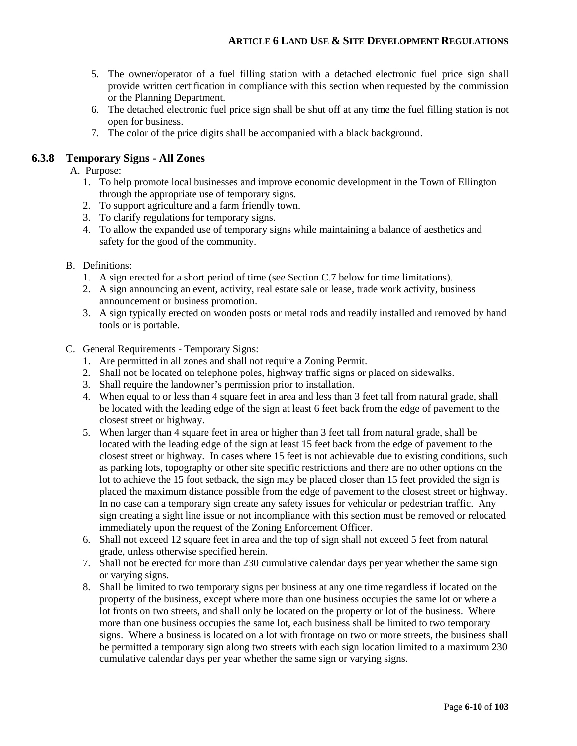- 5. The owner/operator of a fuel filling station with a detached electronic fuel price sign shall provide written certification in compliance with this section when requested by the commission or the Planning Department.
- 6. The detached electronic fuel price sign shall be shut off at any time the fuel filling station is not open for business.
- 7. The color of the price digits shall be accompanied with a black background.

#### **6.3.8 Temporary Signs - All Zones**

A. Purpose:

- 1. To help promote local businesses and improve economic development in the Town of Ellington through the appropriate use of temporary signs.
- 2. To support agriculture and a farm friendly town.
- 3. To clarify regulations for temporary signs.
- 4. To allow the expanded use of temporary signs while maintaining a balance of aesthetics and safety for the good of the community.
- B. Definitions:
	- 1. A sign erected for a short period of time (see Section C.7 below for time limitations).
	- 2. A sign announcing an event, activity, real estate sale or lease, trade work activity, business announcement or business promotion.
	- 3. A sign typically erected on wooden posts or metal rods and readily installed and removed by hand tools or is portable.
- C. General Requirements Temporary Signs:
	- 1. Are permitted in all zones and shall not require a Zoning Permit.
	- 2. Shall not be located on telephone poles, highway traffic signs or placed on sidewalks.
	- 3. Shall require the landowner's permission prior to installation.
	- 4. When equal to or less than 4 square feet in area and less than 3 feet tall from natural grade, shall be located with the leading edge of the sign at least 6 feet back from the edge of pavement to the closest street or highway.
	- 5. When larger than 4 square feet in area or higher than 3 feet tall from natural grade, shall be located with the leading edge of the sign at least 15 feet back from the edge of pavement to the closest street or highway. In cases where 15 feet is not achievable due to existing conditions, such as parking lots, topography or other site specific restrictions and there are no other options on the lot to achieve the 15 foot setback, the sign may be placed closer than 15 feet provided the sign is placed the maximum distance possible from the edge of pavement to the closest street or highway. In no case can a temporary sign create any safety issues for vehicular or pedestrian traffic. Any sign creating a sight line issue or not incompliance with this section must be removed or relocated immediately upon the request of the Zoning Enforcement Officer.
	- 6. Shall not exceed 12 square feet in area and the top of sign shall not exceed 5 feet from natural grade, unless otherwise specified herein.
	- 7. Shall not be erected for more than 230 cumulative calendar days per year whether the same sign or varying signs.
	- 8. Shall be limited to two temporary signs per business at any one time regardless if located on the property of the business, except where more than one business occupies the same lot or where a lot fronts on two streets, and shall only be located on the property or lot of the business. Where more than one business occupies the same lot, each business shall be limited to two temporary signs. Where a business is located on a lot with frontage on two or more streets, the business shall be permitted a temporary sign along two streets with each sign location limited to a maximum 230 cumulative calendar days per year whether the same sign or varying signs.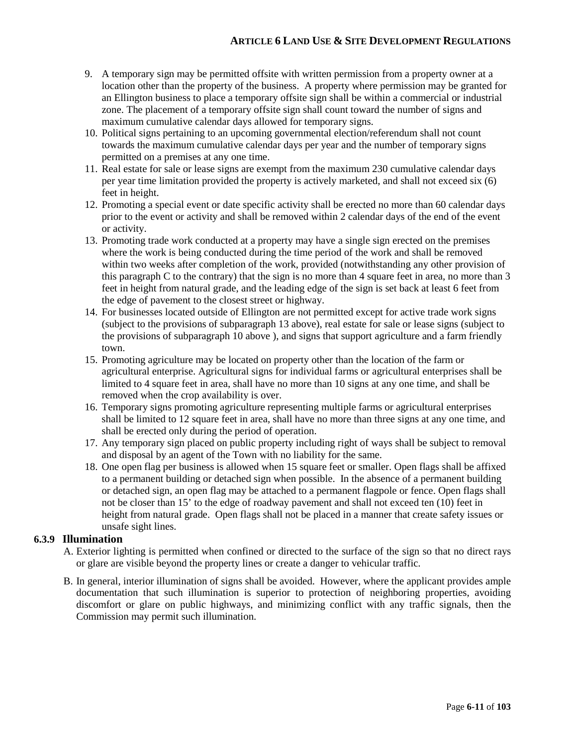#### **ARTICLE 6 LAND USE & SITE DEVELOPMENT REGULATIONS**

- 9. A temporary sign may be permitted offsite with written permission from a property owner at a location other than the property of the business. A property where permission may be granted for an Ellington business to place a temporary offsite sign shall be within a commercial or industrial zone. The placement of a temporary offsite sign shall count toward the number of signs and maximum cumulative calendar days allowed for temporary signs.
- 10. Political signs pertaining to an upcoming governmental election/referendum shall not count towards the maximum cumulative calendar days per year and the number of temporary signs permitted on a premises at any one time.
- 11. Real estate for sale or lease signs are exempt from the maximum 230 cumulative calendar days per year time limitation provided the property is actively marketed, and shall not exceed six (6) feet in height.
- 12. Promoting a special event or date specific activity shall be erected no more than 60 calendar days prior to the event or activity and shall be removed within 2 calendar days of the end of the event or activity.
- 13. Promoting trade work conducted at a property may have a single sign erected on the premises where the work is being conducted during the time period of the work and shall be removed within two weeks after completion of the work, provided (notwithstanding any other provision of this paragraph C to the contrary) that the sign is no more than 4 square feet in area, no more than 3 feet in height from natural grade, and the leading edge of the sign is set back at least 6 feet from the edge of pavement to the closest street or highway.
- 14. For businesses located outside of Ellington are not permitted except for active trade work signs (subject to the provisions of subparagraph 13 above), real estate for sale or lease signs (subject to the provisions of subparagraph 10 above ), and signs that support agriculture and a farm friendly town.
- 15. Promoting agriculture may be located on property other than the location of the farm or agricultural enterprise. Agricultural signs for individual farms or agricultural enterprises shall be limited to 4 square feet in area, shall have no more than 10 signs at any one time, and shall be removed when the crop availability is over.
- 16. Temporary signs promoting agriculture representing multiple farms or agricultural enterprises shall be limited to 12 square feet in area, shall have no more than three signs at any one time, and shall be erected only during the period of operation.
- 17. Any temporary sign placed on public property including right of ways shall be subject to removal and disposal by an agent of the Town with no liability for the same.
- 18. One open flag per business is allowed when 15 square feet or smaller. Open flags shall be affixed to a permanent building or detached sign when possible. In the absence of a permanent building or detached sign, an open flag may be attached to a permanent flagpole or fence. Open flags shall not be closer than 15' to the edge of roadway pavement and shall not exceed ten (10) feet in height from natural grade. Open flags shall not be placed in a manner that create safety issues or unsafe sight lines.

#### **6.3.9 Illumination**

- A. Exterior lighting is permitted when confined or directed to the surface of the sign so that no direct rays or glare are visible beyond the property lines or create a danger to vehicular traffic.
- B. In general, interior illumination of signs shall be avoided. However, where the applicant provides ample documentation that such illumination is superior to protection of neighboring properties, avoiding discomfort or glare on public highways, and minimizing conflict with any traffic signals, then the Commission may permit such illumination.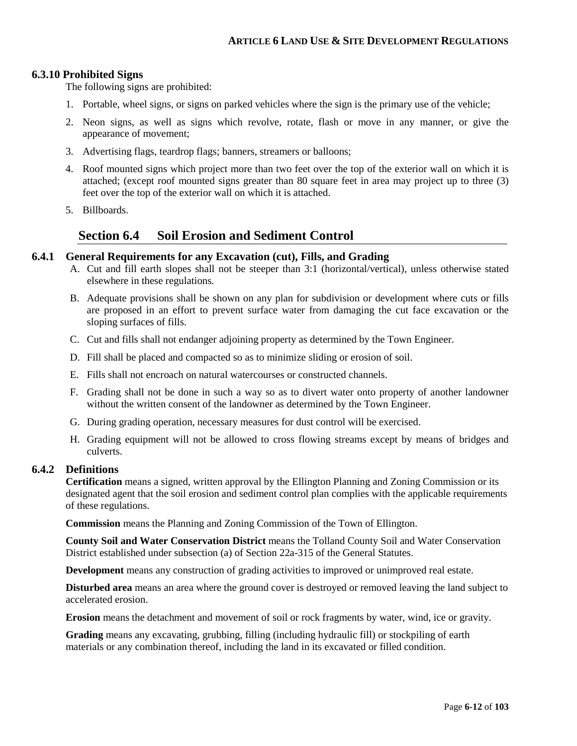#### **6.3.10 Prohibited Signs**

The following signs are prohibited:

- 1. Portable, wheel signs, or signs on parked vehicles where the sign is the primary use of the vehicle;
- 2. Neon signs, as well as signs which revolve, rotate, flash or move in any manner, or give the appearance of movement;
- 3. Advertising flags, teardrop flags; banners, streamers or balloons;
- 4. Roof mounted signs which project more than two feet over the top of the exterior wall on which it is attached; (except roof mounted signs greater than 80 square feet in area may project up to three (3) feet over the top of the exterior wall on which it is attached.
- 5. Billboards.

#### **Section 6.4 Soil Erosion and Sediment Control**

#### **6.4.1 General Requirements for any Excavation (cut), Fills, and Grading**

- A. Cut and fill earth slopes shall not be steeper than 3:1 (horizontal/vertical), unless otherwise stated elsewhere in these regulations.
- B. Adequate provisions shall be shown on any plan for subdivision or development where cuts or fills are proposed in an effort to prevent surface water from damaging the cut face excavation or the sloping surfaces of fills.
- C. Cut and fills shall not endanger adjoining property as determined by the Town Engineer.
- D. Fill shall be placed and compacted so as to minimize sliding or erosion of soil.
- E. Fills shall not encroach on natural watercourses or constructed channels.
- F. Grading shall not be done in such a way so as to divert water onto property of another landowner without the written consent of the landowner as determined by the Town Engineer.
- G. During grading operation, necessary measures for dust control will be exercised.
- H. Grading equipment will not be allowed to cross flowing streams except by means of bridges and culverts.

#### **6.4.2 Definitions**

**Certification** means a signed, written approval by the Ellington Planning and Zoning Commission or its designated agent that the soil erosion and sediment control plan complies with the applicable requirements of these regulations.

**Commission** means the Planning and Zoning Commission of the Town of Ellington.

**County Soil and Water Conservation District** means the Tolland County Soil and Water Conservation District established under subsection (a) of Section 22a-315 of the General Statutes.

**Development** means any construction of grading activities to improved or unimproved real estate.

**Disturbed area** means an area where the ground cover is destroyed or removed leaving the land subject to accelerated erosion.

**Erosion** means the detachment and movement of soil or rock fragments by water, wind, ice or gravity.

**Grading** means any excavating, grubbing, filling (including hydraulic fill) or stockpiling of earth materials or any combination thereof, including the land in its excavated or filled condition.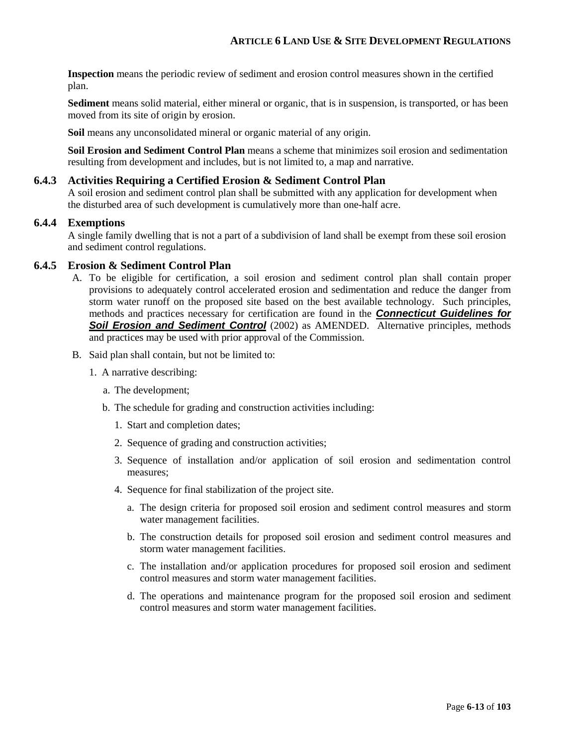**Inspection** means the periodic review of sediment and erosion control measures shown in the certified plan.

**Sediment** means solid material, either mineral or organic, that is in suspension, is transported, or has been moved from its site of origin by erosion.

**Soil** means any unconsolidated mineral or organic material of any origin.

**Soil Erosion and Sediment Control Plan** means a scheme that minimizes soil erosion and sedimentation resulting from development and includes, but is not limited to, a map and narrative.

#### **6.4.3 Activities Requiring a Certified Erosion & Sediment Control Plan**

A soil erosion and sediment control plan shall be submitted with any application for development when the disturbed area of such development is cumulatively more than one-half acre.

#### **6.4.4 Exemptions**

A single family dwelling that is not a part of a subdivision of land shall be exempt from these soil erosion and sediment control regulations.

#### **6.4.5 Erosion & Sediment Control Plan**

- A. To be eligible for certification, a soil erosion and sediment control plan shall contain proper provisions to adequately control accelerated erosion and sedimentation and reduce the danger from storm water runoff on the proposed site based on the best available technology. Such principles, methods and practices necessary for certification are found in the *Connecticut Guidelines for*  **Soil Erosion and Sediment Control** (2002) as AMENDED. Alternative principles, methods and practices may be used with prior approval of the Commission.
- B. Said plan shall contain, but not be limited to:
	- 1. A narrative describing:
		- a. The development;
		- b. The schedule for grading and construction activities including:
			- 1. Start and completion dates;
			- 2. Sequence of grading and construction activities;
			- 3. Sequence of installation and/or application of soil erosion and sedimentation control measures;
			- 4. Sequence for final stabilization of the project site.
				- a. The design criteria for proposed soil erosion and sediment control measures and storm water management facilities.
				- b. The construction details for proposed soil erosion and sediment control measures and storm water management facilities.
				- c. The installation and/or application procedures for proposed soil erosion and sediment control measures and storm water management facilities.
				- d. The operations and maintenance program for the proposed soil erosion and sediment control measures and storm water management facilities.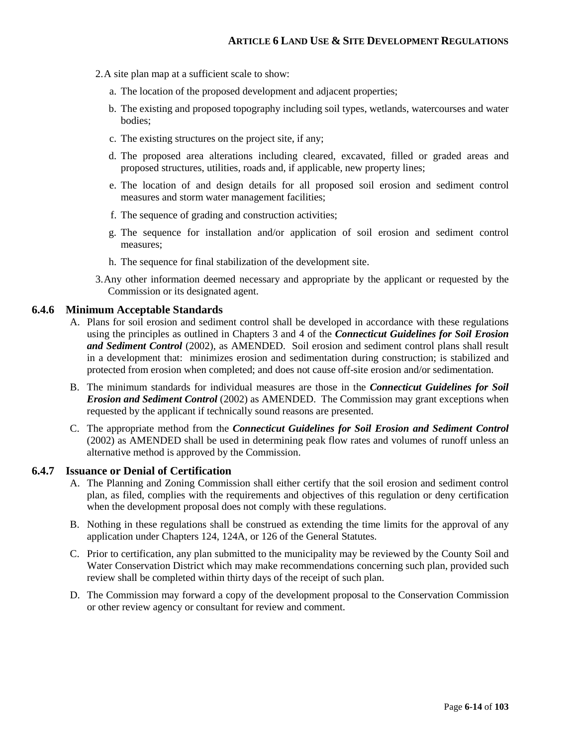- 2.A site plan map at a sufficient scale to show:
	- a. The location of the proposed development and adjacent properties;
	- b. The existing and proposed topography including soil types, wetlands, watercourses and water bodies;
	- c. The existing structures on the project site, if any;
	- d. The proposed area alterations including cleared, excavated, filled or graded areas and proposed structures, utilities, roads and, if applicable, new property lines;
	- e. The location of and design details for all proposed soil erosion and sediment control measures and storm water management facilities;
	- f. The sequence of grading and construction activities;
	- g. The sequence for installation and/or application of soil erosion and sediment control measures;
	- h. The sequence for final stabilization of the development site.
- 3.Any other information deemed necessary and appropriate by the applicant or requested by the Commission or its designated agent.

#### **6.4.6 Minimum Acceptable Standards**

- A. Plans for soil erosion and sediment control shall be developed in accordance with these regulations using the principles as outlined in Chapters 3 and 4 of the *Connecticut Guidelines for Soil Erosion and Sediment Control* (2002), as AMENDED. Soil erosion and sediment control plans shall result in a development that: minimizes erosion and sedimentation during construction; is stabilized and protected from erosion when completed; and does not cause off-site erosion and/or sedimentation.
- B. The minimum standards for individual measures are those in the *Connecticut Guidelines for Soil Erosion and Sediment Control* (2002) as AMENDED. The Commission may grant exceptions when requested by the applicant if technically sound reasons are presented.
- C. The appropriate method from the *Connecticut Guidelines for Soil Erosion and Sediment Control* (2002) as AMENDED shall be used in determining peak flow rates and volumes of runoff unless an alternative method is approved by the Commission.

#### **6.4.7 Issuance or Denial of Certification**

- A. The Planning and Zoning Commission shall either certify that the soil erosion and sediment control plan, as filed, complies with the requirements and objectives of this regulation or deny certification when the development proposal does not comply with these regulations.
- B. Nothing in these regulations shall be construed as extending the time limits for the approval of any application under Chapters 124, 124A, or 126 of the General Statutes.
- C. Prior to certification, any plan submitted to the municipality may be reviewed by the County Soil and Water Conservation District which may make recommendations concerning such plan, provided such review shall be completed within thirty days of the receipt of such plan.
- D. The Commission may forward a copy of the development proposal to the Conservation Commission or other review agency or consultant for review and comment.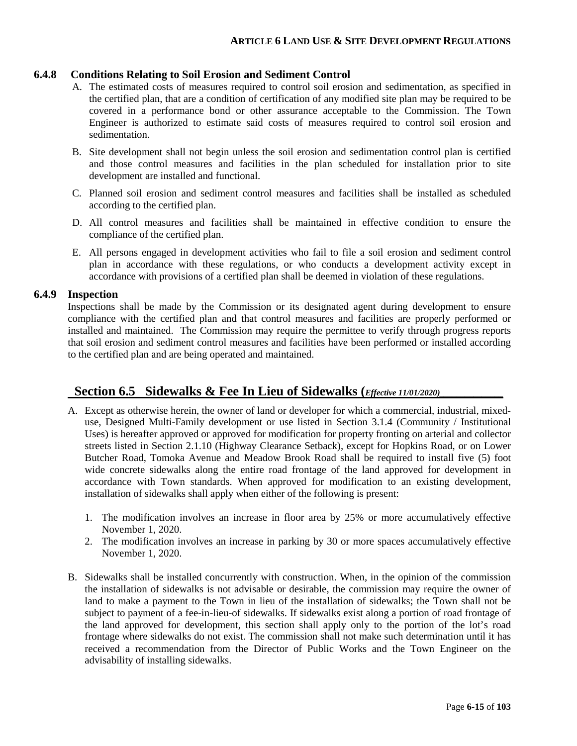#### **6.4.8 Conditions Relating to Soil Erosion and Sediment Control**

- A. The estimated costs of measures required to control soil erosion and sedimentation, as specified in the certified plan, that are a condition of certification of any modified site plan may be required to be covered in a performance bond or other assurance acceptable to the Commission. The Town Engineer is authorized to estimate said costs of measures required to control soil erosion and sedimentation.
- B. Site development shall not begin unless the soil erosion and sedimentation control plan is certified and those control measures and facilities in the plan scheduled for installation prior to site development are installed and functional.
- C. Planned soil erosion and sediment control measures and facilities shall be installed as scheduled according to the certified plan.
- D. All control measures and facilities shall be maintained in effective condition to ensure the compliance of the certified plan.
- E. All persons engaged in development activities who fail to file a soil erosion and sediment control plan in accordance with these regulations, or who conducts a development activity except in accordance with provisions of a certified plan shall be deemed in violation of these regulations.

#### **6.4.9 Inspection**

Inspections shall be made by the Commission or its designated agent during development to ensure compliance with the certified plan and that control measures and facilities are properly performed or installed and maintained. The Commission may require the permittee to verify through progress reports that soil erosion and sediment control measures and facilities have been performed or installed according to the certified plan and are being operated and maintained.

## **Section 6.5 Sidewalks & Fee In Lieu of Sidewalks** (*Effective 11/01/2020*)

- A. Except as otherwise herein, the owner of land or developer for which a commercial, industrial, mixeduse, Designed Multi-Family development or use listed in Section 3.1.4 (Community / Institutional Uses) is hereafter approved or approved for modification for property fronting on arterial and collector streets listed in Section 2.1.10 (Highway Clearance Setback), except for Hopkins Road, or on Lower Butcher Road, Tomoka Avenue and Meadow Brook Road shall be required to install five (5) foot wide concrete sidewalks along the entire road frontage of the land approved for development in accordance with Town standards. When approved for modification to an existing development, installation of sidewalks shall apply when either of the following is present:
	- 1. The modification involves an increase in floor area by 25% or more accumulatively effective November 1, 2020.
	- 2. The modification involves an increase in parking by 30 or more spaces accumulatively effective November 1, 2020.
- B. Sidewalks shall be installed concurrently with construction. When, in the opinion of the commission the installation of sidewalks is not advisable or desirable, the commission may require the owner of land to make a payment to the Town in lieu of the installation of sidewalks; the Town shall not be subject to payment of a fee-in-lieu-of sidewalks. If sidewalks exist along a portion of road frontage of the land approved for development, this section shall apply only to the portion of the lot's road frontage where sidewalks do not exist. The commission shall not make such determination until it has received a recommendation from the Director of Public Works and the Town Engineer on the advisability of installing sidewalks.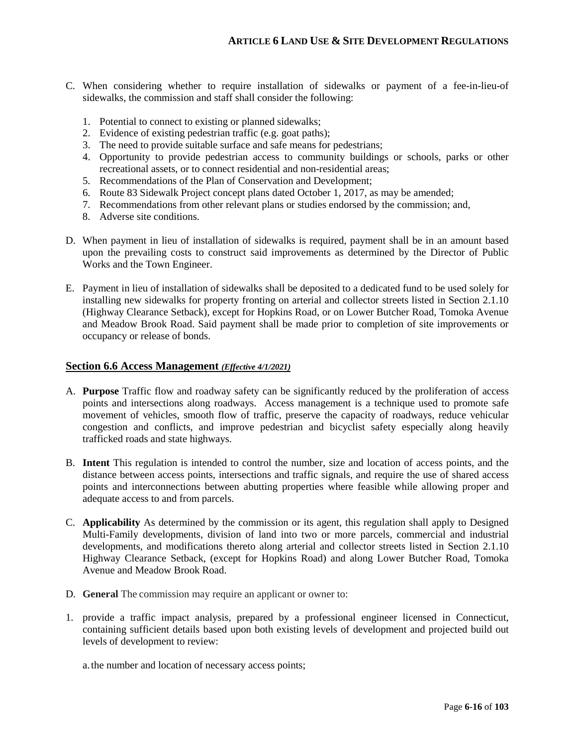- C. When considering whether to require installation of sidewalks or payment of a fee-in-lieu-of sidewalks, the commission and staff shall consider the following:
	- 1. Potential to connect to existing or planned sidewalks;
	- 2. Evidence of existing pedestrian traffic (e.g. goat paths);
	- 3. The need to provide suitable surface and safe means for pedestrians;
	- 4. Opportunity to provide pedestrian access to community buildings or schools, parks or other recreational assets, or to connect residential and non-residential areas;
	- 5. Recommendations of the Plan of Conservation and Development;
	- 6. Route 83 Sidewalk Project concept plans dated October 1, 2017, as may be amended;
	- 7. Recommendations from other relevant plans or studies endorsed by the commission; and,
	- 8. Adverse site conditions.
- D. When payment in lieu of installation of sidewalks is required, payment shall be in an amount based upon the prevailing costs to construct said improvements as determined by the Director of Public Works and the Town Engineer.
- E. Payment in lieu of installation of sidewalks shall be deposited to a dedicated fund to be used solely for installing new sidewalks for property fronting on arterial and collector streets listed in Section 2.1.10 (Highway Clearance Setback), except for Hopkins Road, or on Lower Butcher Road, Tomoka Avenue and Meadow Brook Road. Said payment shall be made prior to completion of site improvements or occupancy or release of bonds.

#### **Section 6.6 Access Management** *(Effective 4/1/2021)*

- A. **Purpose** Traffic flow and roadway safety can be significantly reduced by the proliferation of access points and intersections along roadways. Access management is a technique used to promote safe movement of vehicles, smooth flow of traffic, preserve the capacity of roadways, reduce vehicular congestion and conflicts, and improve pedestrian and bicyclist safety especially along heavily trafficked roads and state highways.
- B. **Intent** This regulation is intended to control the number, size and location of access points, and the distance between access points, intersections and traffic signals, and require the use of shared access points and interconnections between abutting properties where feasible while allowing proper and adequate access to and from parcels.
- C. **Applicability** As determined by the commission or its agent, this regulation shall apply to Designed Multi-Family developments, division of land into two or more parcels, commercial and industrial developments, and modifications thereto along arterial and collector streets listed in Section 2.1.10 Highway Clearance Setback, (except for Hopkins Road) and along Lower Butcher Road, Tomoka Avenue and Meadow Brook Road.
- D. **General** The commission may require an applicant or owner to:
- 1. provide a traffic impact analysis, prepared by a professional engineer licensed in Connecticut, containing sufficient details based upon both existing levels of development and projected build out levels of development to review:

a.the number and location of necessary access points;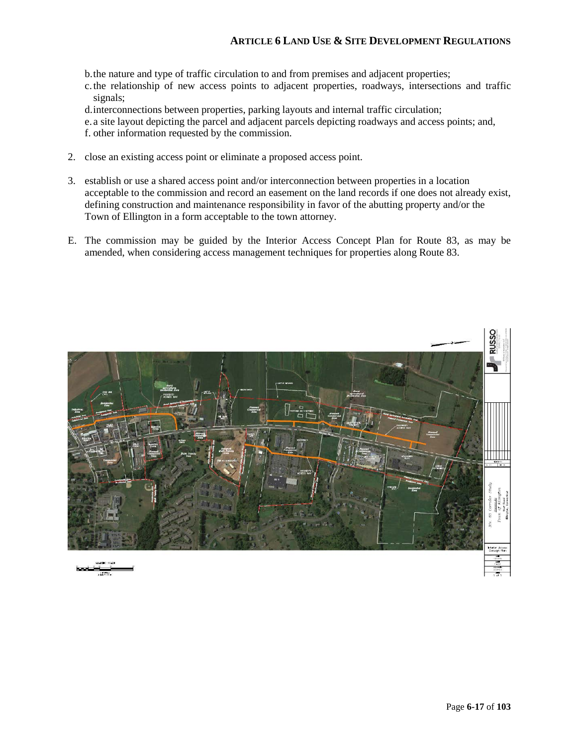b.the nature and type of traffic circulation to and from premises and adjacent properties;

c.the relationship of new access points to adjacent properties, roadways, intersections and traffic signals;

d.interconnections between properties, parking layouts and internal traffic circulation;

e. a site layout depicting the parcel and adjacent parcels depicting roadways and access points; and, f. other information requested by the commission.

- 2. close an existing access point or eliminate a proposed access point.
- 3. establish or use a shared access point and/or interconnection between properties in a location acceptable to the commission and record an easement on the land records if one does not already exist, defining construction and maintenance responsibility in favor of the abutting property and/or the Town of Ellington in a form acceptable to the town attorney.
- E. The commission may be guided by the Interior Access Concept Plan for Route 83, as may be amended, when considering access management techniques for properties along Route 83.

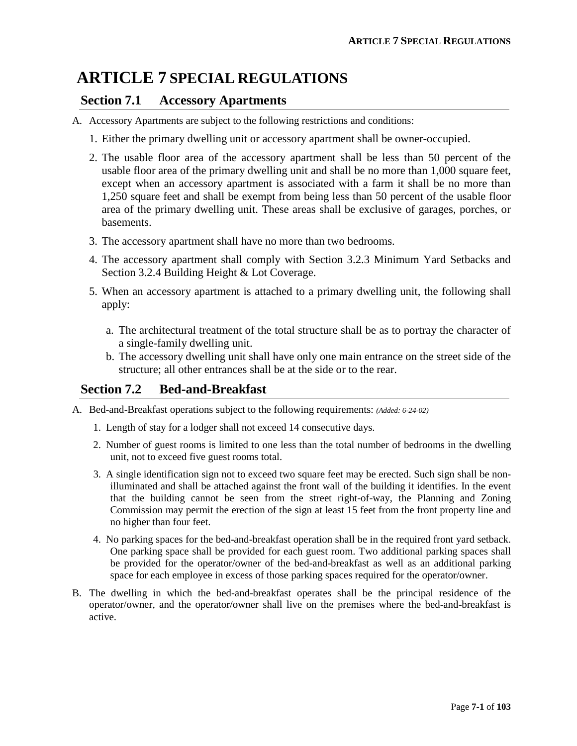## **ARTICLE 7 SPECIAL REGULATIONS**

## **Section 7.1 Accessory Apartments**

- A. Accessory Apartments are subject to the following restrictions and conditions:
	- 1. Either the primary dwelling unit or accessory apartment shall be owner-occupied.
	- 2. The usable floor area of the accessory apartment shall be less than 50 percent of the usable floor area of the primary dwelling unit and shall be no more than 1,000 square feet, except when an accessory apartment is associated with a farm it shall be no more than 1,250 square feet and shall be exempt from being less than 50 percent of the usable floor area of the primary dwelling unit. These areas shall be exclusive of garages, porches, or basements.
	- 3. The accessory apartment shall have no more than two bedrooms.
	- 4. The accessory apartment shall comply with Section 3.2.3 Minimum Yard Setbacks and Section 3.2.4 Building Height & Lot Coverage.
	- 5. When an accessory apartment is attached to a primary dwelling unit, the following shall apply:
		- a. The architectural treatment of the total structure shall be as to portray the character of a single-family dwelling unit.
		- b. The accessory dwelling unit shall have only one main entrance on the street side of the structure; all other entrances shall be at the side or to the rear.

## **Section 7.2 Bed-and-Breakfast**

- A. Bed-and-Breakfast operations subject to the following requirements: *(Added: 6-24-02)*
	- 1. Length of stay for a lodger shall not exceed 14 consecutive days.
	- 2. Number of guest rooms is limited to one less than the total number of bedrooms in the dwelling unit, not to exceed five guest rooms total.
	- 3. A single identification sign not to exceed two square feet may be erected. Such sign shall be nonilluminated and shall be attached against the front wall of the building it identifies. In the event that the building cannot be seen from the street right-of-way, the Planning and Zoning Commission may permit the erection of the sign at least 15 feet from the front property line and no higher than four feet.
	- 4. No parking spaces for the bed-and-breakfast operation shall be in the required front yard setback. One parking space shall be provided for each guest room. Two additional parking spaces shall be provided for the operator/owner of the bed-and-breakfast as well as an additional parking space for each employee in excess of those parking spaces required for the operator/owner.
- B. The dwelling in which the bed-and-breakfast operates shall be the principal residence of the operator/owner, and the operator/owner shall live on the premises where the bed-and-breakfast is active.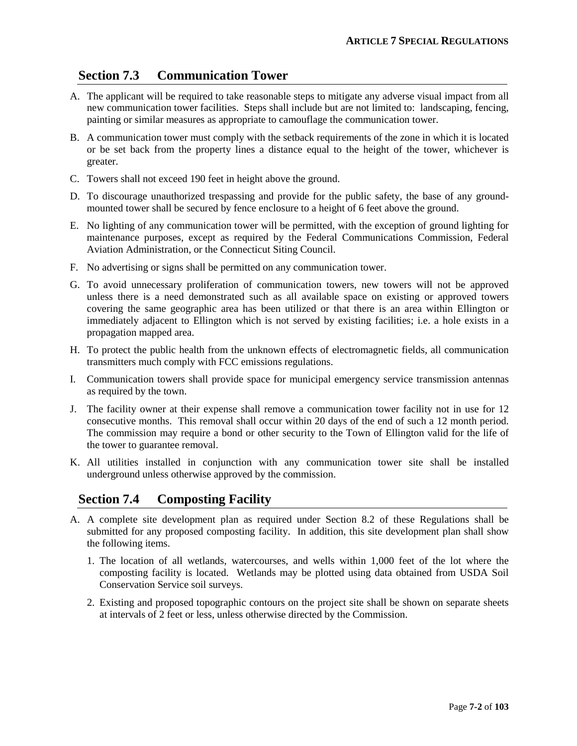## **Section 7.3 Communication Tower**

- A. The applicant will be required to take reasonable steps to mitigate any adverse visual impact from all new communication tower facilities. Steps shall include but are not limited to: landscaping, fencing, painting or similar measures as appropriate to camouflage the communication tower.
- B. A communication tower must comply with the setback requirements of the zone in which it is located or be set back from the property lines a distance equal to the height of the tower, whichever is greater.
- C. Towers shall not exceed 190 feet in height above the ground.
- D. To discourage unauthorized trespassing and provide for the public safety, the base of any groundmounted tower shall be secured by fence enclosure to a height of 6 feet above the ground.
- E. No lighting of any communication tower will be permitted, with the exception of ground lighting for maintenance purposes, except as required by the Federal Communications Commission, Federal Aviation Administration, or the Connecticut Siting Council.
- F. No advertising or signs shall be permitted on any communication tower.
- G. To avoid unnecessary proliferation of communication towers, new towers will not be approved unless there is a need demonstrated such as all available space on existing or approved towers covering the same geographic area has been utilized or that there is an area within Ellington or immediately adjacent to Ellington which is not served by existing facilities; i.e. a hole exists in a propagation mapped area.
- H. To protect the public health from the unknown effects of electromagnetic fields, all communication transmitters much comply with FCC emissions regulations.
- I. Communication towers shall provide space for municipal emergency service transmission antennas as required by the town.
- J. The facility owner at their expense shall remove a communication tower facility not in use for 12 consecutive months. This removal shall occur within 20 days of the end of such a 12 month period. The commission may require a bond or other security to the Town of Ellington valid for the life of the tower to guarantee removal.
- K. All utilities installed in conjunction with any communication tower site shall be installed underground unless otherwise approved by the commission.

## **Section 7.4 Composting Facility**

- A. A complete site development plan as required under Section 8.2 of these Regulations shall be submitted for any proposed composting facility. In addition, this site development plan shall show the following items.
	- 1. The location of all wetlands, watercourses, and wells within 1,000 feet of the lot where the composting facility is located. Wetlands may be plotted using data obtained from USDA Soil Conservation Service soil surveys.
	- 2. Existing and proposed topographic contours on the project site shall be shown on separate sheets at intervals of 2 feet or less, unless otherwise directed by the Commission.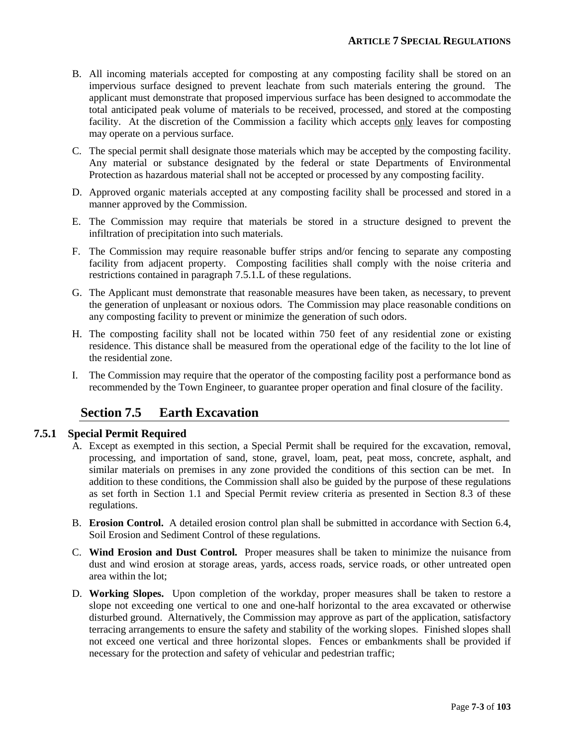- B. All incoming materials accepted for composting at any composting facility shall be stored on an impervious surface designed to prevent leachate from such materials entering the ground. The applicant must demonstrate that proposed impervious surface has been designed to accommodate the total anticipated peak volume of materials to be received, processed, and stored at the composting facility. At the discretion of the Commission a facility which accepts only leaves for composting may operate on a pervious surface.
- C. The special permit shall designate those materials which may be accepted by the composting facility. Any material or substance designated by the federal or state Departments of Environmental Protection as hazardous material shall not be accepted or processed by any composting facility.
- D. Approved organic materials accepted at any composting facility shall be processed and stored in a manner approved by the Commission.
- E. The Commission may require that materials be stored in a structure designed to prevent the infiltration of precipitation into such materials.
- F. The Commission may require reasonable buffer strips and/or fencing to separate any composting facility from adjacent property. Composting facilities shall comply with the noise criteria and restrictions contained in paragraph 7.5.1.L of these regulations.
- G. The Applicant must demonstrate that reasonable measures have been taken, as necessary, to prevent the generation of unpleasant or noxious odors. The Commission may place reasonable conditions on any composting facility to prevent or minimize the generation of such odors.
- H. The composting facility shall not be located within 750 feet of any residential zone or existing residence. This distance shall be measured from the operational edge of the facility to the lot line of the residential zone.
- I. The Commission may require that the operator of the composting facility post a performance bond as recommended by the Town Engineer, to guarantee proper operation and final closure of the facility.

## **Section 7.5 Earth Excavation**

#### **7.5.1 Special Permit Required**

- A. Except as exempted in this section, a Special Permit shall be required for the excavation, removal, processing, and importation of sand, stone, gravel, loam, peat, peat moss, concrete, asphalt, and similar materials on premises in any zone provided the conditions of this section can be met. In addition to these conditions, the Commission shall also be guided by the purpose of these regulations as set forth in Section 1.1 and Special Permit review criteria as presented in Section 8.3 of these regulations.
- B. **Erosion Control.** A detailed erosion control plan shall be submitted in accordance with Section 6.4, Soil Erosion and Sediment Control of these regulations.
- C. **Wind Erosion and Dust Control.** Proper measures shall be taken to minimize the nuisance from dust and wind erosion at storage areas, yards, access roads, service roads, or other untreated open area within the lot;
- D. **Working Slopes.** Upon completion of the workday, proper measures shall be taken to restore a slope not exceeding one vertical to one and one-half horizontal to the area excavated or otherwise disturbed ground. Alternatively, the Commission may approve as part of the application, satisfactory terracing arrangements to ensure the safety and stability of the working slopes. Finished slopes shall not exceed one vertical and three horizontal slopes. Fences or embankments shall be provided if necessary for the protection and safety of vehicular and pedestrian traffic;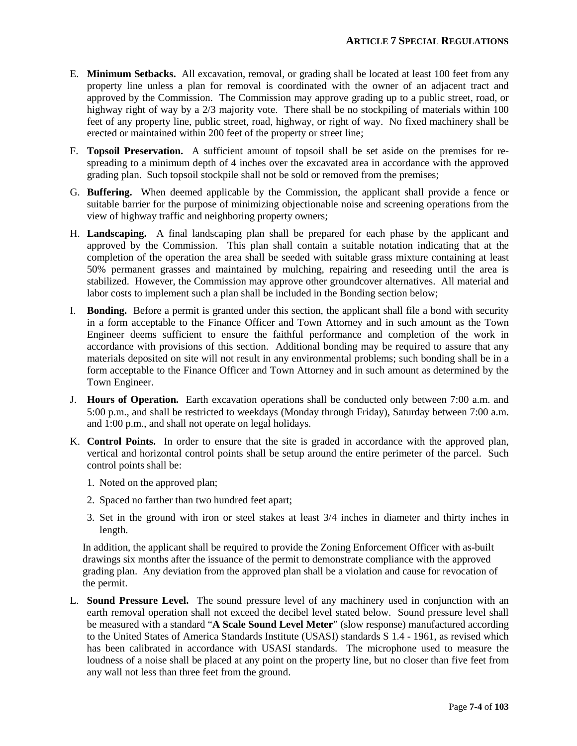- E. **Minimum Setbacks.** All excavation, removal, or grading shall be located at least 100 feet from any property line unless a plan for removal is coordinated with the owner of an adjacent tract and approved by the Commission. The Commission may approve grading up to a public street, road, or highway right of way by a 2/3 majority vote. There shall be no stockpiling of materials within 100 feet of any property line, public street, road, highway, or right of way. No fixed machinery shall be erected or maintained within 200 feet of the property or street line;
- F. **Topsoil Preservation.** A sufficient amount of topsoil shall be set aside on the premises for respreading to a minimum depth of 4 inches over the excavated area in accordance with the approved grading plan. Such topsoil stockpile shall not be sold or removed from the premises;
- G. **Buffering.** When deemed applicable by the Commission, the applicant shall provide a fence or suitable barrier for the purpose of minimizing objectionable noise and screening operations from the view of highway traffic and neighboring property owners;
- H. **Landscaping.** A final landscaping plan shall be prepared for each phase by the applicant and approved by the Commission. This plan shall contain a suitable notation indicating that at the completion of the operation the area shall be seeded with suitable grass mixture containing at least 50% permanent grasses and maintained by mulching, repairing and reseeding until the area is stabilized. However, the Commission may approve other groundcover alternatives. All material and labor costs to implement such a plan shall be included in the Bonding section below;
- I. **Bonding.** Before a permit is granted under this section, the applicant shall file a bond with security in a form acceptable to the Finance Officer and Town Attorney and in such amount as the Town Engineer deems sufficient to ensure the faithful performance and completion of the work in accordance with provisions of this section. Additional bonding may be required to assure that any materials deposited on site will not result in any environmental problems; such bonding shall be in a form acceptable to the Finance Officer and Town Attorney and in such amount as determined by the Town Engineer.
- J. **Hours of Operation.** Earth excavation operations shall be conducted only between 7:00 a.m. and 5:00 p.m., and shall be restricted to weekdays (Monday through Friday), Saturday between 7:00 a.m. and 1:00 p.m., and shall not operate on legal holidays.
- K. **Control Points.** In order to ensure that the site is graded in accordance with the approved plan, vertical and horizontal control points shall be setup around the entire perimeter of the parcel. Such control points shall be:
	- 1. Noted on the approved plan;
	- 2. Spaced no farther than two hundred feet apart;
	- 3. Set in the ground with iron or steel stakes at least 3/4 inches in diameter and thirty inches in length.

In addition, the applicant shall be required to provide the Zoning Enforcement Officer with as-built drawings six months after the issuance of the permit to demonstrate compliance with the approved grading plan. Any deviation from the approved plan shall be a violation and cause for revocation of the permit.

L. **Sound Pressure Level.** The sound pressure level of any machinery used in conjunction with an earth removal operation shall not exceed the decibel level stated below. Sound pressure level shall be measured with a standard "**A Scale Sound Level Meter**" (slow response) manufactured according to the United States of America Standards Institute (USASI) standards S 1.4 - 1961, as revised which has been calibrated in accordance with USASI standards. The microphone used to measure the loudness of a noise shall be placed at any point on the property line, but no closer than five feet from any wall not less than three feet from the ground.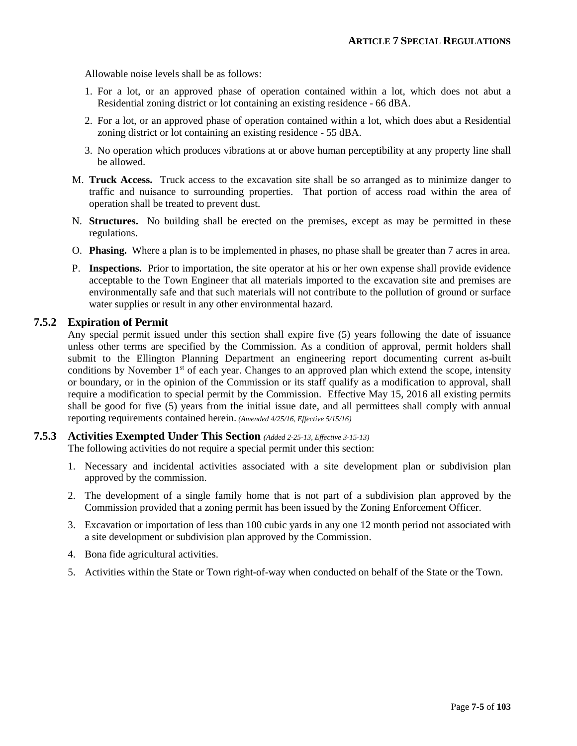Allowable noise levels shall be as follows:

- 1. For a lot, or an approved phase of operation contained within a lot, which does not abut a Residential zoning district or lot containing an existing residence - 66 dBA.
- 2. For a lot, or an approved phase of operation contained within a lot, which does abut a Residential zoning district or lot containing an existing residence - 55 dBA.
- 3. No operation which produces vibrations at or above human perceptibility at any property line shall be allowed.
- M. **Truck Access.** Truck access to the excavation site shall be so arranged as to minimize danger to traffic and nuisance to surrounding properties. That portion of access road within the area of operation shall be treated to prevent dust.
- N. **Structures.** No building shall be erected on the premises, except as may be permitted in these regulations.
- O. **Phasing.** Where a plan is to be implemented in phases, no phase shall be greater than 7 acres in area.
- P. **Inspections.** Prior to importation, the site operator at his or her own expense shall provide evidence acceptable to the Town Engineer that all materials imported to the excavation site and premises are environmentally safe and that such materials will not contribute to the pollution of ground or surface water supplies or result in any other environmental hazard.

### **7.5.2 Expiration of Permit**

Any special permit issued under this section shall expire five (5) years following the date of issuance unless other terms are specified by the Commission. As a condition of approval, permit holders shall submit to the Ellington Planning Department an engineering report documenting current as-built conditions by November  $1<sup>st</sup>$  of each year. Changes to an approved plan which extend the scope, intensity or boundary, or in the opinion of the Commission or its staff qualify as a modification to approval, shall require a modification to special permit by the Commission. Effective May 15, 2016 all existing permits shall be good for five (5) years from the initial issue date, and all permittees shall comply with annual reporting requirements contained herein. *(Amended 4/25/16, Effective 5/15/16)*

#### **7.5.3 Activities Exempted Under This Section** *(Added 2-25-13, Effective 3-15-13)*

The following activities do not require a special permit under this section:

- 1. Necessary and incidental activities associated with a site development plan or subdivision plan approved by the commission.
- 2. The development of a single family home that is not part of a subdivision plan approved by the Commission provided that a zoning permit has been issued by the Zoning Enforcement Officer.
- 3. Excavation or importation of less than 100 cubic yards in any one 12 month period not associated with a site development or subdivision plan approved by the Commission.
- 4. Bona fide agricultural activities.
- 5. Activities within the State or Town right-of-way when conducted on behalf of the State or the Town.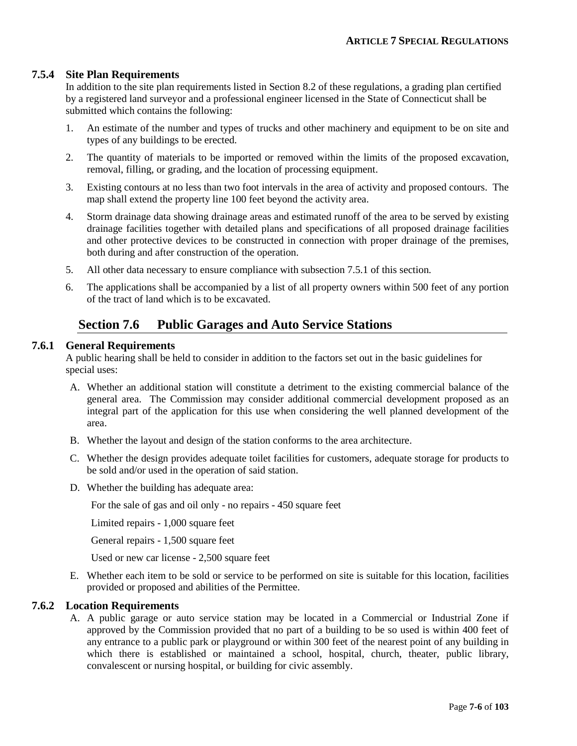### **7.5.4 Site Plan Requirements**

In addition to the site plan requirements listed in Section 8.2 of these regulations, a grading plan certified by a registered land surveyor and a professional engineer licensed in the State of Connecticut shall be submitted which contains the following:

- 1. An estimate of the number and types of trucks and other machinery and equipment to be on site and types of any buildings to be erected.
- 2. The quantity of materials to be imported or removed within the limits of the proposed excavation, removal, filling, or grading, and the location of processing equipment.
- 3. Existing contours at no less than two foot intervals in the area of activity and proposed contours. The map shall extend the property line 100 feet beyond the activity area.
- 4. Storm drainage data showing drainage areas and estimated runoff of the area to be served by existing drainage facilities together with detailed plans and specifications of all proposed drainage facilities and other protective devices to be constructed in connection with proper drainage of the premises, both during and after construction of the operation.
- 5. All other data necessary to ensure compliance with subsection 7.5.1 of this section.
- 6. The applications shall be accompanied by a list of all property owners within 500 feet of any portion of the tract of land which is to be excavated.

## **Section 7.6 Public Garages and Auto Service Stations**

#### **7.6.1 General Requirements**

A public hearing shall be held to consider in addition to the factors set out in the basic guidelines for special uses:

- A. Whether an additional station will constitute a detriment to the existing commercial balance of the general area. The Commission may consider additional commercial development proposed as an integral part of the application for this use when considering the well planned development of the area.
- B. Whether the layout and design of the station conforms to the area architecture.
- C. Whether the design provides adequate toilet facilities for customers, adequate storage for products to be sold and/or used in the operation of said station.
- D. Whether the building has adequate area:

For the sale of gas and oil only - no repairs - 450 square feet

Limited repairs - 1,000 square feet

General repairs - 1,500 square feet

Used or new car license - 2,500 square feet

E. Whether each item to be sold or service to be performed on site is suitable for this location, facilities provided or proposed and abilities of the Permittee.

#### **7.6.2 Location Requirements**

A. A public garage or auto service station may be located in a Commercial or Industrial Zone if approved by the Commission provided that no part of a building to be so used is within 400 feet of any entrance to a public park or playground or within 300 feet of the nearest point of any building in which there is established or maintained a school, hospital, church, theater, public library, convalescent or nursing hospital, or building for civic assembly.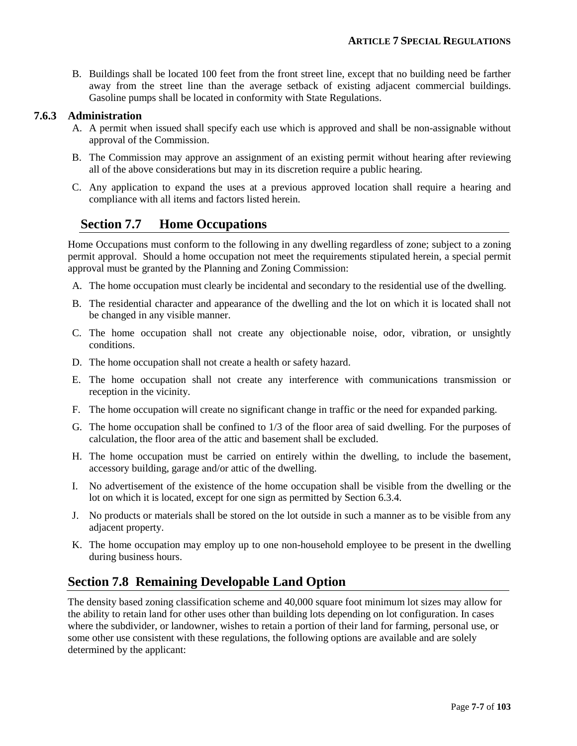B. Buildings shall be located 100 feet from the front street line, except that no building need be farther away from the street line than the average setback of existing adjacent commercial buildings. Gasoline pumps shall be located in conformity with State Regulations.

### **7.6.3 Administration**

- A. A permit when issued shall specify each use which is approved and shall be non-assignable without approval of the Commission.
- B. The Commission may approve an assignment of an existing permit without hearing after reviewing all of the above considerations but may in its discretion require a public hearing.
- C. Any application to expand the uses at a previous approved location shall require a hearing and compliance with all items and factors listed herein.

# **Section 7.7 Home Occupations**

Home Occupations must conform to the following in any dwelling regardless of zone; subject to a zoning permit approval. Should a home occupation not meet the requirements stipulated herein, a special permit approval must be granted by the Planning and Zoning Commission:

- A. The home occupation must clearly be incidental and secondary to the residential use of the dwelling.
- B. The residential character and appearance of the dwelling and the lot on which it is located shall not be changed in any visible manner.
- C. The home occupation shall not create any objectionable noise, odor, vibration, or unsightly conditions.
- D. The home occupation shall not create a health or safety hazard.
- E. The home occupation shall not create any interference with communications transmission or reception in the vicinity.
- F. The home occupation will create no significant change in traffic or the need for expanded parking.
- G. The home occupation shall be confined to 1/3 of the floor area of said dwelling. For the purposes of calculation, the floor area of the attic and basement shall be excluded.
- H. The home occupation must be carried on entirely within the dwelling, to include the basement, accessory building, garage and/or attic of the dwelling.
- I. No advertisement of the existence of the home occupation shall be visible from the dwelling or the lot on which it is located, except for one sign as permitted by Section 6.3.4.
- J. No products or materials shall be stored on the lot outside in such a manner as to be visible from any adjacent property.
- K. The home occupation may employ up to one non-household employee to be present in the dwelling during business hours.

# **Section 7.8 Remaining Developable Land Option**

The density based zoning classification scheme and 40,000 square foot minimum lot sizes may allow for the ability to retain land for other uses other than building lots depending on lot configuration. In cases where the subdivider, or landowner, wishes to retain a portion of their land for farming, personal use, or some other use consistent with these regulations, the following options are available and are solely determined by the applicant: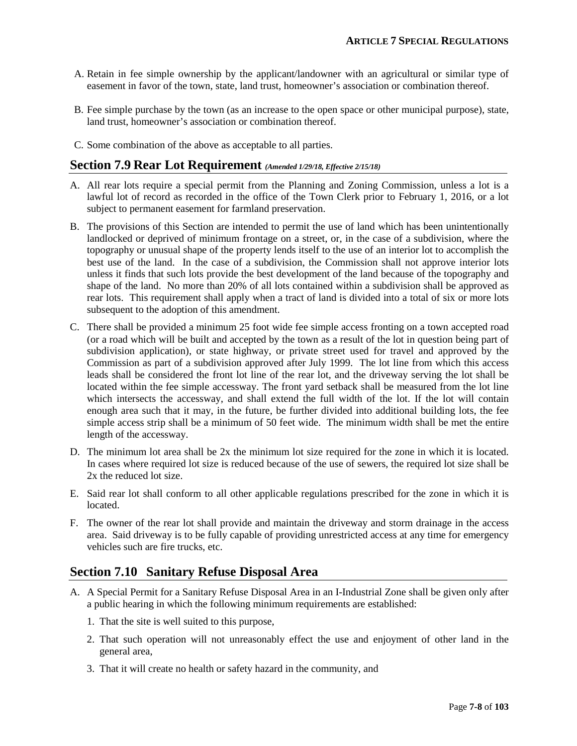- A. Retain in fee simple ownership by the applicant/landowner with an agricultural or similar type of easement in favor of the town, state, land trust, homeowner's association or combination thereof.
- B. Fee simple purchase by the town (as an increase to the open space or other municipal purpose), state, land trust, homeowner's association or combination thereof.
- C. Some combination of the above as acceptable to all parties.

### **Section 7.9 Rear Lot Requirement** *(Amended 1/29/18, Effective 2/15/18)*

- A. All rear lots require a special permit from the Planning and Zoning Commission, unless a lot is a lawful lot of record as recorded in the office of the Town Clerk prior to February 1, 2016, or a lot subject to permanent easement for farmland preservation.
- B. The provisions of this Section are intended to permit the use of land which has been unintentionally landlocked or deprived of minimum frontage on a street, or, in the case of a subdivision, where the topography or unusual shape of the property lends itself to the use of an interior lot to accomplish the best use of the land. In the case of a subdivision, the Commission shall not approve interior lots unless it finds that such lots provide the best development of the land because of the topography and shape of the land. No more than 20% of all lots contained within a subdivision shall be approved as rear lots. This requirement shall apply when a tract of land is divided into a total of six or more lots subsequent to the adoption of this amendment.
- C. There shall be provided a minimum 25 foot wide fee simple access fronting on a town accepted road (or a road which will be built and accepted by the town as a result of the lot in question being part of subdivision application), or state highway, or private street used for travel and approved by the Commission as part of a subdivision approved after July 1999. The lot line from which this access leads shall be considered the front lot line of the rear lot, and the driveway serving the lot shall be located within the fee simple accessway. The front yard setback shall be measured from the lot line which intersects the accessway, and shall extend the full width of the lot. If the lot will contain enough area such that it may, in the future, be further divided into additional building lots, the fee simple access strip shall be a minimum of 50 feet wide. The minimum width shall be met the entire length of the accessway.
- D. The minimum lot area shall be 2x the minimum lot size required for the zone in which it is located. In cases where required lot size is reduced because of the use of sewers, the required lot size shall be 2x the reduced lot size.
- E. Said rear lot shall conform to all other applicable regulations prescribed for the zone in which it is located.
- F. The owner of the rear lot shall provide and maintain the driveway and storm drainage in the access area. Said driveway is to be fully capable of providing unrestricted access at any time for emergency vehicles such are fire trucks, etc.

## **Section 7.10 Sanitary Refuse Disposal Area**

- A. A Special Permit for a Sanitary Refuse Disposal Area in an I-Industrial Zone shall be given only after a public hearing in which the following minimum requirements are established:
	- 1. That the site is well suited to this purpose,
	- 2. That such operation will not unreasonably effect the use and enjoyment of other land in the general area,
	- 3. That it will create no health or safety hazard in the community, and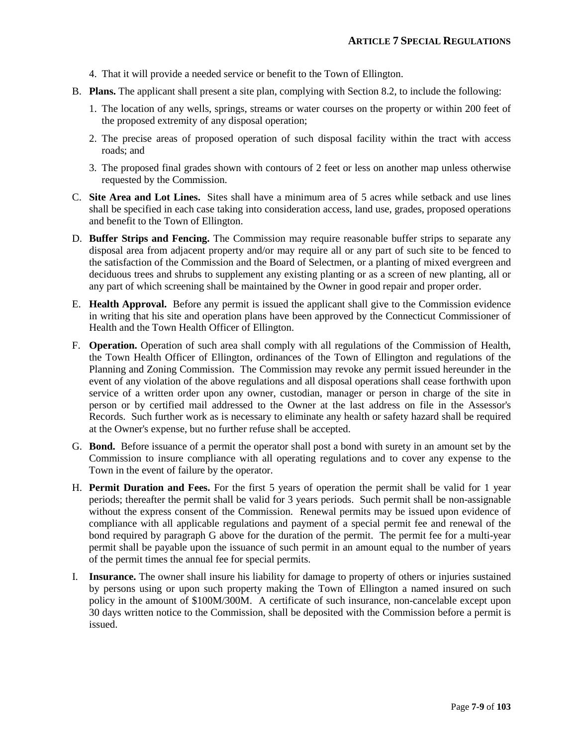- 4. That it will provide a needed service or benefit to the Town of Ellington.
- B. **Plans.** The applicant shall present a site plan, complying with Section 8.2, to include the following:
	- 1. The location of any wells, springs, streams or water courses on the property or within 200 feet of the proposed extremity of any disposal operation;
	- 2. The precise areas of proposed operation of such disposal facility within the tract with access roads; and
	- 3. The proposed final grades shown with contours of 2 feet or less on another map unless otherwise requested by the Commission.
- C. **Site Area and Lot Lines.** Sites shall have a minimum area of 5 acres while setback and use lines shall be specified in each case taking into consideration access, land use, grades, proposed operations and benefit to the Town of Ellington.
- D. **Buffer Strips and Fencing.** The Commission may require reasonable buffer strips to separate any disposal area from adjacent property and/or may require all or any part of such site to be fenced to the satisfaction of the Commission and the Board of Selectmen, or a planting of mixed evergreen and deciduous trees and shrubs to supplement any existing planting or as a screen of new planting, all or any part of which screening shall be maintained by the Owner in good repair and proper order.
- E. **Health Approval.** Before any permit is issued the applicant shall give to the Commission evidence in writing that his site and operation plans have been approved by the Connecticut Commissioner of Health and the Town Health Officer of Ellington.
- F. **Operation.** Operation of such area shall comply with all regulations of the Commission of Health, the Town Health Officer of Ellington, ordinances of the Town of Ellington and regulations of the Planning and Zoning Commission. The Commission may revoke any permit issued hereunder in the event of any violation of the above regulations and all disposal operations shall cease forthwith upon service of a written order upon any owner, custodian, manager or person in charge of the site in person or by certified mail addressed to the Owner at the last address on file in the Assessor's Records. Such further work as is necessary to eliminate any health or safety hazard shall be required at the Owner's expense, but no further refuse shall be accepted.
- G. **Bond.** Before issuance of a permit the operator shall post a bond with surety in an amount set by the Commission to insure compliance with all operating regulations and to cover any expense to the Town in the event of failure by the operator.
- H. **Permit Duration and Fees.** For the first 5 years of operation the permit shall be valid for 1 year periods; thereafter the permit shall be valid for 3 years periods. Such permit shall be non-assignable without the express consent of the Commission. Renewal permits may be issued upon evidence of compliance with all applicable regulations and payment of a special permit fee and renewal of the bond required by paragraph G above for the duration of the permit. The permit fee for a multi-year permit shall be payable upon the issuance of such permit in an amount equal to the number of years of the permit times the annual fee for special permits.
- I. **Insurance.** The owner shall insure his liability for damage to property of others or injuries sustained by persons using or upon such property making the Town of Ellington a named insured on such policy in the amount of \$100M/300M. A certificate of such insurance, non-cancelable except upon 30 days written notice to the Commission, shall be deposited with the Commission before a permit is issued.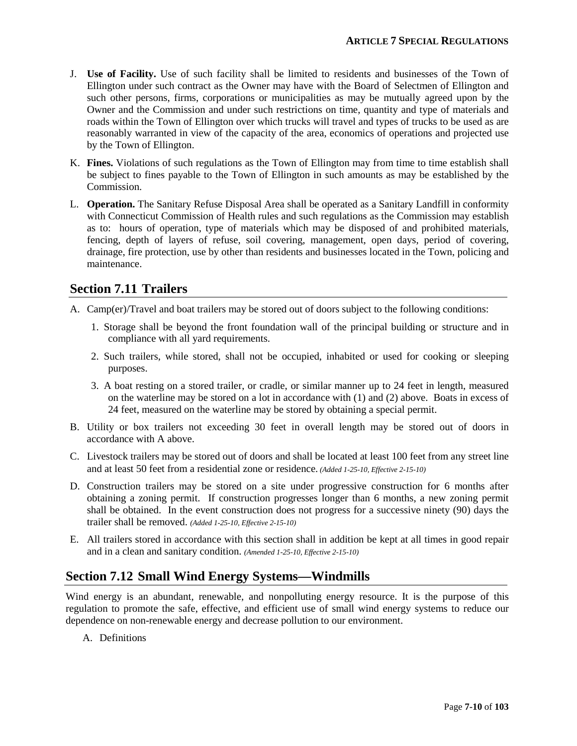- J. **Use of Facility.** Use of such facility shall be limited to residents and businesses of the Town of Ellington under such contract as the Owner may have with the Board of Selectmen of Ellington and such other persons, firms, corporations or municipalities as may be mutually agreed upon by the Owner and the Commission and under such restrictions on time, quantity and type of materials and roads within the Town of Ellington over which trucks will travel and types of trucks to be used as are reasonably warranted in view of the capacity of the area, economics of operations and projected use by the Town of Ellington.
- K. **Fines.** Violations of such regulations as the Town of Ellington may from time to time establish shall be subject to fines payable to the Town of Ellington in such amounts as may be established by the Commission.
- L. **Operation.** The Sanitary Refuse Disposal Area shall be operated as a Sanitary Landfill in conformity with Connecticut Commission of Health rules and such regulations as the Commission may establish as to: hours of operation, type of materials which may be disposed of and prohibited materials, fencing, depth of layers of refuse, soil covering, management, open days, period of covering, drainage, fire protection, use by other than residents and businesses located in the Town, policing and maintenance.

# **Section 7.11 Trailers**

- A. Camp(er)/Travel and boat trailers may be stored out of doors subject to the following conditions:
	- 1. Storage shall be beyond the front foundation wall of the principal building or structure and in compliance with all yard requirements.
	- 2. Such trailers, while stored, shall not be occupied, inhabited or used for cooking or sleeping purposes.
	- 3. A boat resting on a stored trailer, or cradle, or similar manner up to 24 feet in length, measured on the waterline may be stored on a lot in accordance with (1) and (2) above. Boats in excess of 24 feet, measured on the waterline may be stored by obtaining a special permit.
- B. Utility or box trailers not exceeding 30 feet in overall length may be stored out of doors in accordance with A above.
- C. Livestock trailers may be stored out of doors and shall be located at least 100 feet from any street line and at least 50 feet from a residential zone or residence. *(Added 1-25-10, Effective 2-15-10)*
- D. Construction trailers may be stored on a site under progressive construction for 6 months after obtaining a zoning permit. If construction progresses longer than 6 months, a new zoning permit shall be obtained. In the event construction does not progress for a successive ninety (90) days the trailer shall be removed. *(Added 1-25-10, Effective 2-15-10)*
- E. All trailers stored in accordance with this section shall in addition be kept at all times in good repair and in a clean and sanitary condition. *(Amended 1-25-10, Effective 2-15-10)*

# **Section 7.12 Small Wind Energy Systems—Windmills**

Wind energy is an abundant, renewable, and nonpolluting energy resource. It is the purpose of this regulation to promote the safe, effective, and efficient use of small wind energy systems to reduce our dependence on non-renewable energy and decrease pollution to our environment.

A. Definitions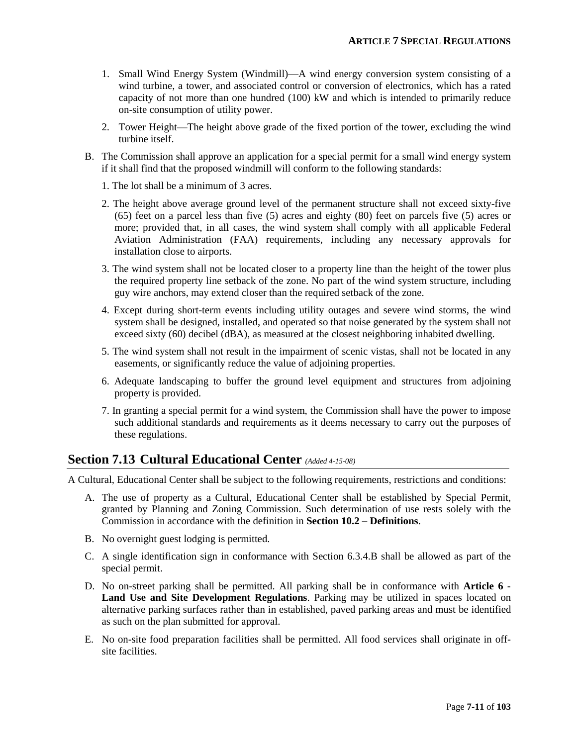- 1. Small Wind Energy System (Windmill)—A wind energy conversion system consisting of a wind turbine, a tower, and associated control or conversion of electronics, which has a rated capacity of not more than one hundred (100) kW and which is intended to primarily reduce on-site consumption of utility power.
- 2. Tower Height—The height above grade of the fixed portion of the tower, excluding the wind turbine itself.
- B. The Commission shall approve an application for a special permit for a small wind energy system if it shall find that the proposed windmill will conform to the following standards:
	- 1. The lot shall be a minimum of 3 acres.
	- 2. The height above average ground level of the permanent structure shall not exceed sixty-five (65) feet on a parcel less than five (5) acres and eighty (80) feet on parcels five (5) acres or more; provided that, in all cases, the wind system shall comply with all applicable Federal Aviation Administration (FAA) requirements, including any necessary approvals for installation close to airports.
	- 3. The wind system shall not be located closer to a property line than the height of the tower plus the required property line setback of the zone. No part of the wind system structure, including guy wire anchors, may extend closer than the required setback of the zone.
	- 4. Except during short-term events including utility outages and severe wind storms, the wind system shall be designed, installed, and operated so that noise generated by the system shall not exceed sixty (60) decibel (dBA), as measured at the closest neighboring inhabited dwelling.
	- 5. The wind system shall not result in the impairment of scenic vistas, shall not be located in any easements, or significantly reduce the value of adjoining properties.
	- 6. Adequate landscaping to buffer the ground level equipment and structures from adjoining property is provided.
	- 7. In granting a special permit for a wind system, the Commission shall have the power to impose such additional standards and requirements as it deems necessary to carry out the purposes of these regulations.

## **Section 7.13 Cultural Educational Center** *(Added 4-15-08)*

A Cultural, Educational Center shall be subject to the following requirements, restrictions and conditions:

- A. The use of property as a Cultural, Educational Center shall be established by Special Permit, granted by Planning and Zoning Commission. Such determination of use rests solely with the Commission in accordance with the definition in **Section 10.2 – Definitions**.
- B. No overnight guest lodging is permitted.
- C. A single identification sign in conformance with Section 6.3.4.B shall be allowed as part of the special permit.
- D. No on-street parking shall be permitted. All parking shall be in conformance with **Article 6 - Land Use and Site Development Regulations**. Parking may be utilized in spaces located on alternative parking surfaces rather than in established, paved parking areas and must be identified as such on the plan submitted for approval.
- E. No on-site food preparation facilities shall be permitted. All food services shall originate in offsite facilities.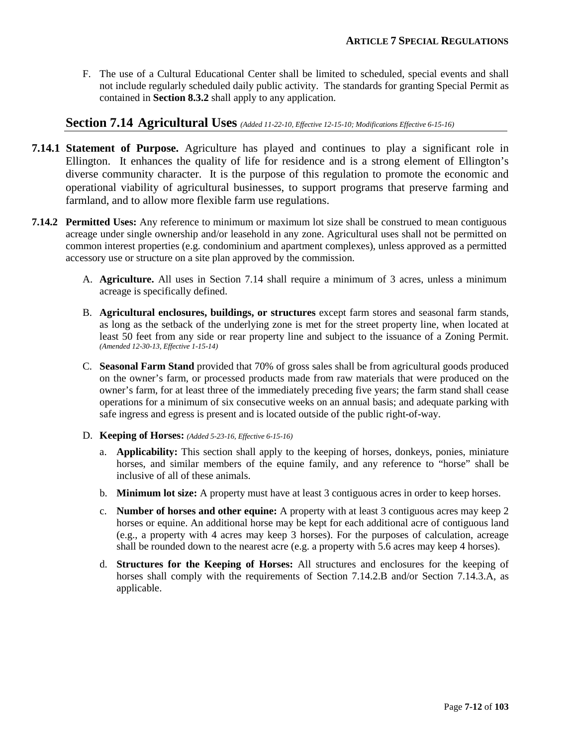F. The use of a Cultural Educational Center shall be limited to scheduled, special events and shall not include regularly scheduled daily public activity. The standards for granting Special Permit as contained in **Section 8.3.2** shall apply to any application.

### **Section 7.14 Agricultural Uses** *(Added 11-22-10, Effective 12-15-10; Modifications Effective 6-15-16)*

- **7.14.1 Statement of Purpose.** Agriculture has played and continues to play a significant role in Ellington. It enhances the quality of life for residence and is a strong element of Ellington's diverse community character. It is the purpose of this regulation to promote the economic and operational viability of agricultural businesses, to support programs that preserve farming and farmland, and to allow more flexible farm use regulations.
- **7.14.2 Permitted Uses:** Any reference to minimum or maximum lot size shall be construed to mean contiguous acreage under single ownership and/or leasehold in any zone. Agricultural uses shall not be permitted on common interest properties (e.g. condominium and apartment complexes), unless approved as a permitted accessory use or structure on a site plan approved by the commission.
	- A. **Agriculture.** All uses in Section 7.14 shall require a minimum of 3 acres, unless a minimum acreage is specifically defined.
	- B. **Agricultural enclosures, buildings, or structures** except farm stores and seasonal farm stands, as long as the setback of the underlying zone is met for the street property line, when located at least 50 feet from any side or rear property line and subject to the issuance of a Zoning Permit. *(Amended 12-30-13, Effective 1-15-14)*
	- C. **Seasonal Farm Stand** provided that 70% of gross sales shall be from agricultural goods produced on the owner's farm, or processed products made from raw materials that were produced on the owner's farm, for at least three of the immediately preceding five years; the farm stand shall cease operations for a minimum of six consecutive weeks on an annual basis; and adequate parking with safe ingress and egress is present and is located outside of the public right-of-way.
	- D. **Keeping of Horses:** *(Added 5-23-16, Effective 6-15-16)*
		- a. **Applicability:** This section shall apply to the keeping of horses, donkeys, ponies, miniature horses, and similar members of the equine family, and any reference to "horse" shall be inclusive of all of these animals.
		- b. **Minimum lot size:** A property must have at least 3 contiguous acres in order to keep horses.
		- c. **Number of horses and other equine:** A property with at least 3 contiguous acres may keep 2 horses or equine. An additional horse may be kept for each additional acre of contiguous land (e.g., a property with 4 acres may keep 3 horses). For the purposes of calculation, acreage shall be rounded down to the nearest acre (e.g. a property with 5.6 acres may keep 4 horses).
		- d. **Structures for the Keeping of Horses:** All structures and enclosures for the keeping of horses shall comply with the requirements of Section 7.14.2.B and/or Section 7.14.3.A, as applicable.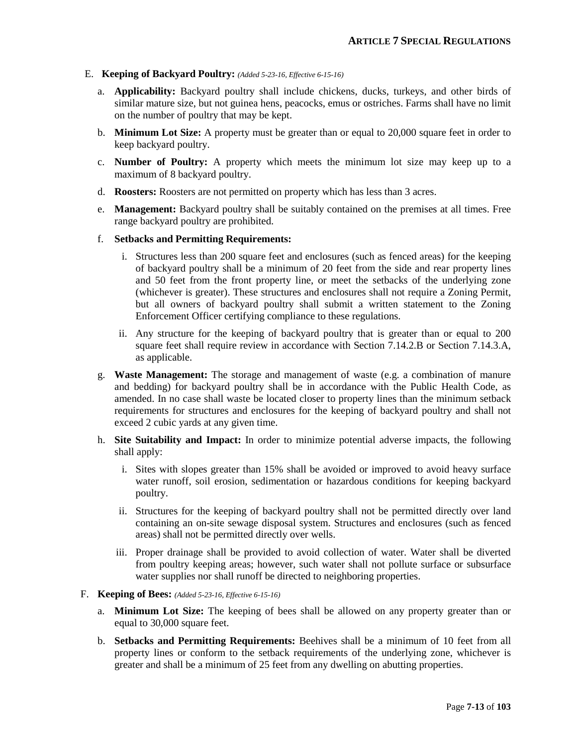#### E. **Keeping of Backyard Poultry:** *(Added 5-23-16, Effective 6-15-16)*

- a. **Applicability:** Backyard poultry shall include chickens, ducks, turkeys, and other birds of similar mature size, but not guinea hens, peacocks, emus or ostriches. Farms shall have no limit on the number of poultry that may be kept.
- b. **Minimum Lot Size:** A property must be greater than or equal to 20,000 square feet in order to keep backyard poultry.
- c. **Number of Poultry:** A property which meets the minimum lot size may keep up to a maximum of 8 backyard poultry.
- d. **Roosters:** Roosters are not permitted on property which has less than 3 acres.
- e. **Management:** Backyard poultry shall be suitably contained on the premises at all times. Free range backyard poultry are prohibited.
- f. **Setbacks and Permitting Requirements:** 
	- i. Structures less than 200 square feet and enclosures (such as fenced areas) for the keeping of backyard poultry shall be a minimum of 20 feet from the side and rear property lines and 50 feet from the front property line, or meet the setbacks of the underlying zone (whichever is greater). These structures and enclosures shall not require a Zoning Permit, but all owners of backyard poultry shall submit a written statement to the Zoning Enforcement Officer certifying compliance to these regulations.
	- ii. Any structure for the keeping of backyard poultry that is greater than or equal to 200 square feet shall require review in accordance with Section 7.14.2.B or Section 7.14.3.A, as applicable.
- g. **Waste Management:** The storage and management of waste (e.g. a combination of manure and bedding) for backyard poultry shall be in accordance with the Public Health Code, as amended. In no case shall waste be located closer to property lines than the minimum setback requirements for structures and enclosures for the keeping of backyard poultry and shall not exceed 2 cubic yards at any given time.
- h. **Site Suitability and Impact:** In order to minimize potential adverse impacts, the following shall apply:
	- i. Sites with slopes greater than 15% shall be avoided or improved to avoid heavy surface water runoff, soil erosion, sedimentation or hazardous conditions for keeping backyard poultry.
	- ii. Structures for the keeping of backyard poultry shall not be permitted directly over land containing an on-site sewage disposal system. Structures and enclosures (such as fenced areas) shall not be permitted directly over wells.
	- iii. Proper drainage shall be provided to avoid collection of water. Water shall be diverted from poultry keeping areas; however, such water shall not pollute surface or subsurface water supplies nor shall runoff be directed to neighboring properties.

#### F. **Keeping of Bees:** *(Added 5-23-16, Effective 6-15-16)*

- a. **Minimum Lot Size:** The keeping of bees shall be allowed on any property greater than or equal to 30,000 square feet.
- b. **Setbacks and Permitting Requirements:** Beehives shall be a minimum of 10 feet from all property lines or conform to the setback requirements of the underlying zone, whichever is greater and shall be a minimum of 25 feet from any dwelling on abutting properties.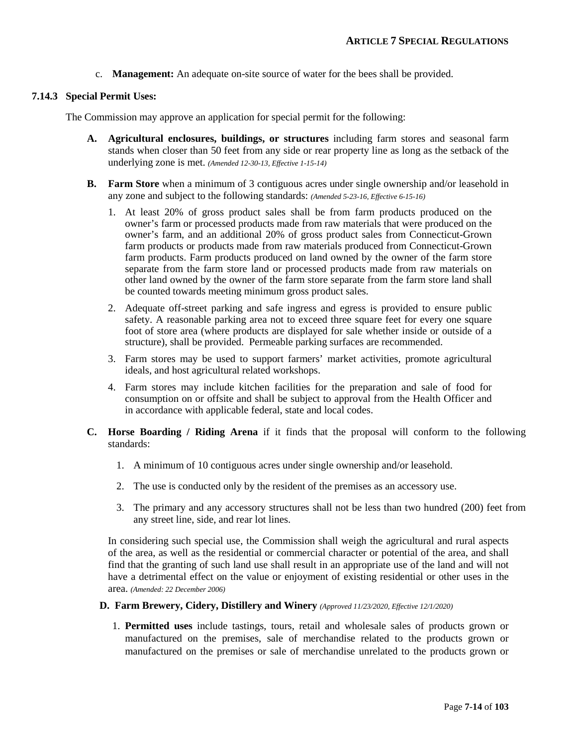c. **Management:** An adequate on-site source of water for the bees shall be provided.

#### **7.14.3 Special Permit Uses:**

The Commission may approve an application for special permit for the following:

- **A. Agricultural enclosures, buildings, or structures** including farm stores and seasonal farm stands when closer than 50 feet from any side or rear property line as long as the setback of the underlying zone is met. *(Amended 12-30-13, Effective 1-15-14)*
- **B. Farm Store** when a minimum of 3 contiguous acres under single ownership and/or leasehold in any zone and subject to the following standards: *(Amended 5-23-16, Effective 6-15-16)*
	- 1. At least 20% of gross product sales shall be from farm products produced on the owner's farm or processed products made from raw materials that were produced on the owner's farm, and an additional 20% of gross product sales from Connecticut-Grown farm products or products made from raw materials produced from Connecticut-Grown farm products. Farm products produced on land owned by the owner of the farm store separate from the farm store land or processed products made from raw materials on other land owned by the owner of the farm store separate from the farm store land shall be counted towards meeting minimum gross product sales.
	- 2. Adequate off-street parking and safe ingress and egress is provided to ensure public safety. A reasonable parking area not to exceed three square feet for every one square foot of store area (where products are displayed for sale whether inside or outside of a structure), shall be provided. Permeable parking surfaces are recommended.
	- 3. Farm stores may be used to support farmers' market activities, promote agricultural ideals, and host agricultural related workshops.
	- 4. Farm stores may include kitchen facilities for the preparation and sale of food for consumption on or offsite and shall be subject to approval from the Health Officer and in accordance with applicable federal, state and local codes.
- **C. Horse Boarding / Riding Arena** if it finds that the proposal will conform to the following standards:
	- 1. A minimum of 10 contiguous acres under single ownership and/or leasehold.
	- 2. The use is conducted only by the resident of the premises as an accessory use.
	- 3. The primary and any accessory structures shall not be less than two hundred (200) feet from any street line, side, and rear lot lines.

In considering such special use, the Commission shall weigh the agricultural and rural aspects of the area, as well as the residential or commercial character or potential of the area, and shall find that the granting of such land use shall result in an appropriate use of the land and will not have a detrimental effect on the value or enjoyment of existing residential or other uses in the area. *(Amended: 22 December 2006)*

### **D. Farm Brewery, Cidery, Distillery and Winery** *(Approved 11/23/2020, Effective 12/1/2020)*

1. **Permitted uses** include tastings, tours, retail and wholesale sales of products grown or manufactured on the premises, sale of merchandise related to the products grown or manufactured on the premises or sale of merchandise unrelated to the products grown or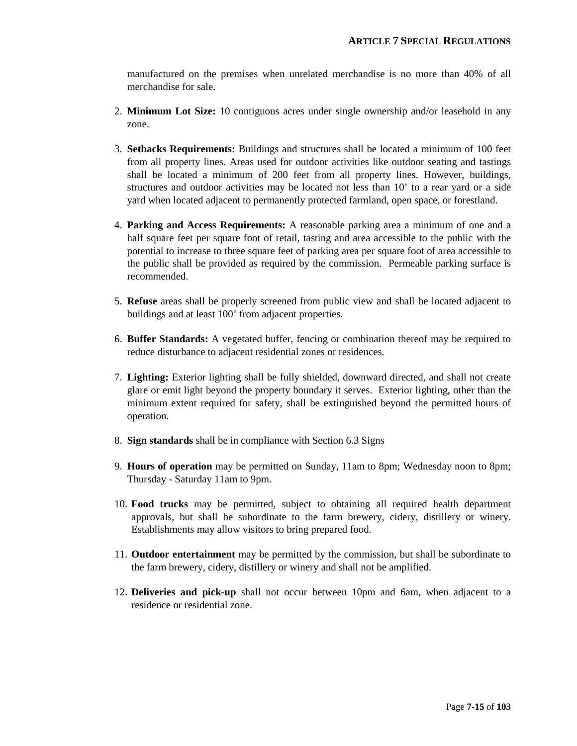manufactured on the premises when unrelated merchandise is no more than 40% of all merchandise for sale.

- 2. **Minimum Lot Size:** 10 contiguous acres under single ownership and/or leasehold in any zone.
- 3. **Setbacks Requirements:** Buildings and structures shall be located a minimum of 100 feet from all property lines. Areas used for outdoor activities like outdoor seating and tastings shall be located a minimum of 200 feet from all property lines. However, buildings, structures and outdoor activities may be located not less than 10' to a rear yard or a side yard when located adjacent to permanently protected farmland, open space, or forestland.
- 4. **Parking and Access Requirements:** A reasonable parking area a minimum of one and a half square feet per square foot of retail, tasting and area accessible to the public with the potential to increase to three square feet of parking area per square foot of area accessible to the public shall be provided as required by the commission. Permeable parking surface is recommended.
- 5. **Refuse** areas shall be properly screened from public view and shall be located adjacent to buildings and at least 100' from adjacent properties.
- 6. **Buffer Standards:** A vegetated buffer, fencing or combination thereof may be required to reduce disturbance to adjacent residential zones or residences.
- 7. **Lighting:** Exterior lighting shall be fully shielded, downward directed, and shall not create glare or emit light beyond the property boundary it serves. Exterior lighting, other than the minimum extent required for safety, shall be extinguished beyond the permitted hours of operation.
- 8. **Sign standards** shall be in compliance with Section 6.3 Signs
- 9. **Hours of operation** may be permitted on Sunday, 11am to 8pm; Wednesday noon to 8pm; Thursday - Saturday 11am to 9pm.
- 10. **Food trucks** may be permitted, subject to obtaining all required health department approvals, but shall be subordinate to the farm brewery, cidery, distillery or winery. Establishments may allow visitors to bring prepared food.
- 11. **Outdoor entertainment** may be permitted by the commission, but shall be subordinate to the farm brewery, cidery, distillery or winery and shall not be amplified.
- 12. **Deliveries and pick-up** shall not occur between 10pm and 6am, when adjacent to a residence or residential zone.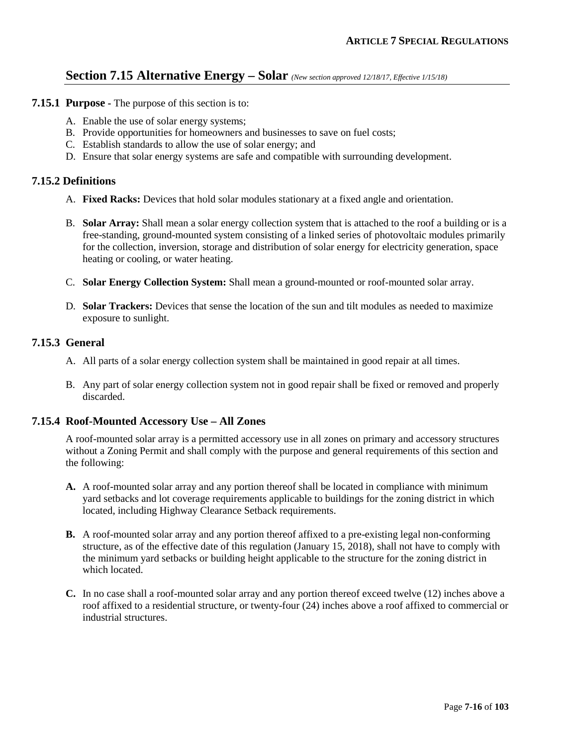### **Section 7.15 Alternative Energy – Solar** *(New section approved 12/18/17, Effective 1/15/18)*

- **7.15.1 Purpose -** The purpose of this section is to:
	- A. Enable the use of solar energy systems;
	- B. Provide opportunities for homeowners and businesses to save on fuel costs;
	- C. Establish standards to allow the use of solar energy; and
	- D. Ensure that solar energy systems are safe and compatible with surrounding development.

### **7.15.2 Definitions**

- A. **Fixed Racks:** Devices that hold solar modules stationary at a fixed angle and orientation.
- B. **Solar Array:** Shall mean a solar energy collection system that is attached to the roof a building or is a free-standing, ground-mounted system consisting of a linked series of photovoltaic modules primarily for the collection, inversion, storage and distribution of solar energy for electricity generation, space heating or cooling, or water heating.
- C. **Solar Energy Collection System:** Shall mean a ground-mounted or roof-mounted solar array.
- D. **Solar Trackers:** Devices that sense the location of the sun and tilt modules as needed to maximize exposure to sunlight.

### **7.15.3 General**

- A. All parts of a solar energy collection system shall be maintained in good repair at all times.
- B. Any part of solar energy collection system not in good repair shall be fixed or removed and properly discarded.

#### **7.15.4 Roof-Mounted Accessory Use – All Zones**

A roof-mounted solar array is a permitted accessory use in all zones on primary and accessory structures without a Zoning Permit and shall comply with the purpose and general requirements of this section and the following:

- **A.** A roof-mounted solar array and any portion thereof shall be located in compliance with minimum yard setbacks and lot coverage requirements applicable to buildings for the zoning district in which located, including Highway Clearance Setback requirements.
- **B.** A roof-mounted solar array and any portion thereof affixed to a pre-existing legal non-conforming structure, as of the effective date of this regulation (January 15, 2018), shall not have to comply with the minimum yard setbacks or building height applicable to the structure for the zoning district in which located.
- **C.** In no case shall a roof-mounted solar array and any portion thereof exceed twelve (12) inches above a roof affixed to a residential structure, or twenty-four (24) inches above a roof affixed to commercial or industrial structures.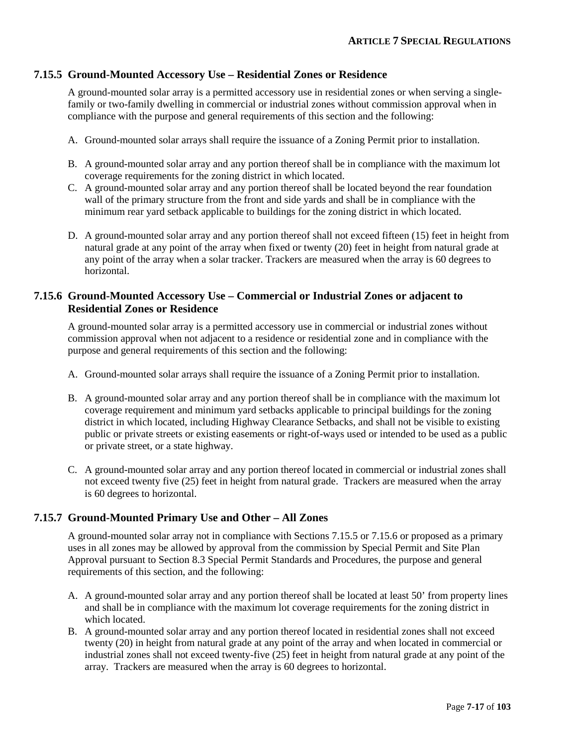### **7.15.5 Ground-Mounted Accessory Use – Residential Zones or Residence**

A ground-mounted solar array is a permitted accessory use in residential zones or when serving a singlefamily or two-family dwelling in commercial or industrial zones without commission approval when in compliance with the purpose and general requirements of this section and the following:

- A. Ground-mounted solar arrays shall require the issuance of a Zoning Permit prior to installation.
- B. A ground-mounted solar array and any portion thereof shall be in compliance with the maximum lot coverage requirements for the zoning district in which located.
- C. A ground-mounted solar array and any portion thereof shall be located beyond the rear foundation wall of the primary structure from the front and side yards and shall be in compliance with the minimum rear yard setback applicable to buildings for the zoning district in which located.
- D. A ground-mounted solar array and any portion thereof shall not exceed fifteen (15) feet in height from natural grade at any point of the array when fixed or twenty (20) feet in height from natural grade at any point of the array when a solar tracker. Trackers are measured when the array is 60 degrees to horizontal.

### **7.15.6 Ground-Mounted Accessory Use – Commercial or Industrial Zones or adjacent to Residential Zones or Residence**

A ground-mounted solar array is a permitted accessory use in commercial or industrial zones without commission approval when not adjacent to a residence or residential zone and in compliance with the purpose and general requirements of this section and the following:

- A. Ground-mounted solar arrays shall require the issuance of a Zoning Permit prior to installation.
- B. A ground-mounted solar array and any portion thereof shall be in compliance with the maximum lot coverage requirement and minimum yard setbacks applicable to principal buildings for the zoning district in which located, including Highway Clearance Setbacks, and shall not be visible to existing public or private streets or existing easements or right-of-ways used or intended to be used as a public or private street, or a state highway.
- C. A ground-mounted solar array and any portion thereof located in commercial or industrial zones shall not exceed twenty five (25) feet in height from natural grade. Trackers are measured when the array is 60 degrees to horizontal.

### **7.15.7 Ground-Mounted Primary Use and Other – All Zones**

A ground-mounted solar array not in compliance with Sections 7.15.5 or 7.15.6 or proposed as a primary uses in all zones may be allowed by approval from the commission by Special Permit and Site Plan Approval pursuant to Section 8.3 Special Permit Standards and Procedures, the purpose and general requirements of this section, and the following:

- A. A ground-mounted solar array and any portion thereof shall be located at least 50' from property lines and shall be in compliance with the maximum lot coverage requirements for the zoning district in which located.
- B. A ground-mounted solar array and any portion thereof located in residential zones shall not exceed twenty (20) in height from natural grade at any point of the array and when located in commercial or industrial zones shall not exceed twenty-five (25) feet in height from natural grade at any point of the array. Trackers are measured when the array is 60 degrees to horizontal.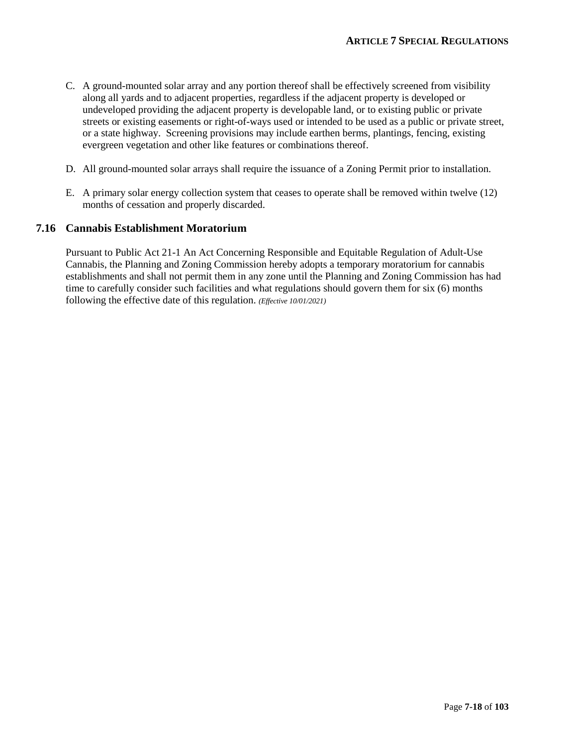- C. A ground-mounted solar array and any portion thereof shall be effectively screened from visibility along all yards and to adjacent properties, regardless if the adjacent property is developed or undeveloped providing the adjacent property is developable land, or to existing public or private streets or existing easements or right-of-ways used or intended to be used as a public or private street, or a state highway. Screening provisions may include earthen berms, plantings, fencing, existing evergreen vegetation and other like features or combinations thereof.
- D. All ground-mounted solar arrays shall require the issuance of a Zoning Permit prior to installation.
- E. A primary solar energy collection system that ceases to operate shall be removed within twelve (12) months of cessation and properly discarded.

### **7.16 Cannabis Establishment Moratorium**

Pursuant to Public Act 21-1 An Act Concerning Responsible and Equitable Regulation of Adult-Use Cannabis, the Planning and Zoning Commission hereby adopts a temporary moratorium for cannabis establishments and shall not permit them in any zone until the Planning and Zoning Commission has had time to carefully consider such facilities and what regulations should govern them for six (6) months following the effective date of this regulation. *(Effective 10/01/2021)*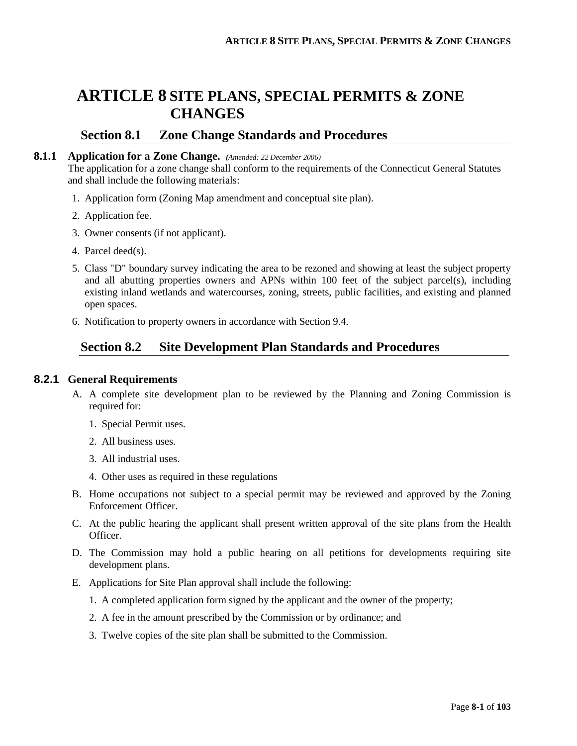# **ARTICLE 8 SITE PLANS, SPECIAL PERMITS & ZONE CHANGES**

### **Section 8.1 Zone Change Standards and Procedures**

#### **8.1.1 Application for a Zone Change.** *(Amended: 22 December 2006)*

The application for a zone change shall conform to the requirements of the Connecticut General Statutes and shall include the following materials:

- 1. Application form (Zoning Map amendment and conceptual site plan).
- 2. Application fee.
- 3. Owner consents (if not applicant).
- 4. Parcel deed(s).
- 5. Class "D" boundary survey indicating the area to be rezoned and showing at least the subject property and all abutting properties owners and APNs within 100 feet of the subject parcel(s), including existing inland wetlands and watercourses, zoning, streets, public facilities, and existing and planned open spaces.
- 6. Notification to property owners in accordance with Section 9.4.

# **Section 8.2 Site Development Plan Standards and Procedures**

### **8.2.1 General Requirements**

- A. A complete site development plan to be reviewed by the Planning and Zoning Commission is required for:
	- 1. Special Permit uses.
	- 2. All business uses.
	- 3. All industrial uses.
	- 4. Other uses as required in these regulations
- B. Home occupations not subject to a special permit may be reviewed and approved by the Zoning Enforcement Officer.
- C. At the public hearing the applicant shall present written approval of the site plans from the Health Officer.
- D. The Commission may hold a public hearing on all petitions for developments requiring site development plans.
- E. Applications for Site Plan approval shall include the following:
	- 1. A completed application form signed by the applicant and the owner of the property;
	- 2. A fee in the amount prescribed by the Commission or by ordinance; and
	- 3. Twelve copies of the site plan shall be submitted to the Commission.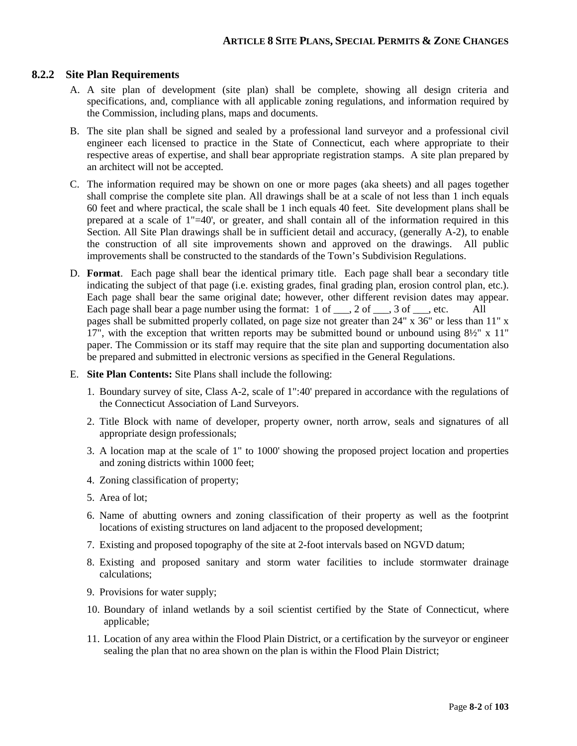### **8.2.2 Site Plan Requirements**

- A. A site plan of development (site plan) shall be complete, showing all design criteria and specifications, and, compliance with all applicable zoning regulations, and information required by the Commission, including plans, maps and documents.
- B. The site plan shall be signed and sealed by a professional land surveyor and a professional civil engineer each licensed to practice in the State of Connecticut, each where appropriate to their respective areas of expertise, and shall bear appropriate registration stamps. A site plan prepared by an architect will not be accepted.
- C. The information required may be shown on one or more pages (aka sheets) and all pages together shall comprise the complete site plan. All drawings shall be at a scale of not less than 1 inch equals 60 feet and where practical, the scale shall be 1 inch equals 40 feet. Site development plans shall be prepared at a scale of 1"=40', or greater, and shall contain all of the information required in this Section. All Site Plan drawings shall be in sufficient detail and accuracy, (generally A-2), to enable the construction of all site improvements shown and approved on the drawings. All public improvements shall be constructed to the standards of the Town's Subdivision Regulations.
- D. **Format**. Each page shall bear the identical primary title. Each page shall bear a secondary title indicating the subject of that page (i.e. existing grades, final grading plan, erosion control plan, etc.). Each page shall bear the same original date; however, other different revision dates may appear. Each page shall bear a page number using the format:  $1 \text{ of } \_\_\_2$  of  $\_\_\_3$  of  $\_\_\_\_$ , etc. All pages shall be submitted properly collated, on page size not greater than 24" x 36" or less than 11" x 17", with the exception that written reports may be submitted bound or unbound using 8½" x 11" paper. The Commission or its staff may require that the site plan and supporting documentation also be prepared and submitted in electronic versions as specified in the General Regulations.
- E. **Site Plan Contents:** Site Plans shall include the following:
	- 1. Boundary survey of site, Class A-2, scale of 1":40' prepared in accordance with the regulations of the Connecticut Association of Land Surveyors.
	- 2. Title Block with name of developer, property owner, north arrow, seals and signatures of all appropriate design professionals;
	- 3. A location map at the scale of 1" to 1000' showing the proposed project location and properties and zoning districts within 1000 feet;
	- 4. Zoning classification of property;
	- 5. Area of lot;
	- 6. Name of abutting owners and zoning classification of their property as well as the footprint locations of existing structures on land adjacent to the proposed development;
	- 7. Existing and proposed topography of the site at 2-foot intervals based on NGVD datum;
	- 8. Existing and proposed sanitary and storm water facilities to include stormwater drainage calculations;
	- 9. Provisions for water supply;
	- 10. Boundary of inland wetlands by a soil scientist certified by the State of Connecticut, where applicable;
	- 11. Location of any area within the Flood Plain District, or a certification by the surveyor or engineer sealing the plan that no area shown on the plan is within the Flood Plain District;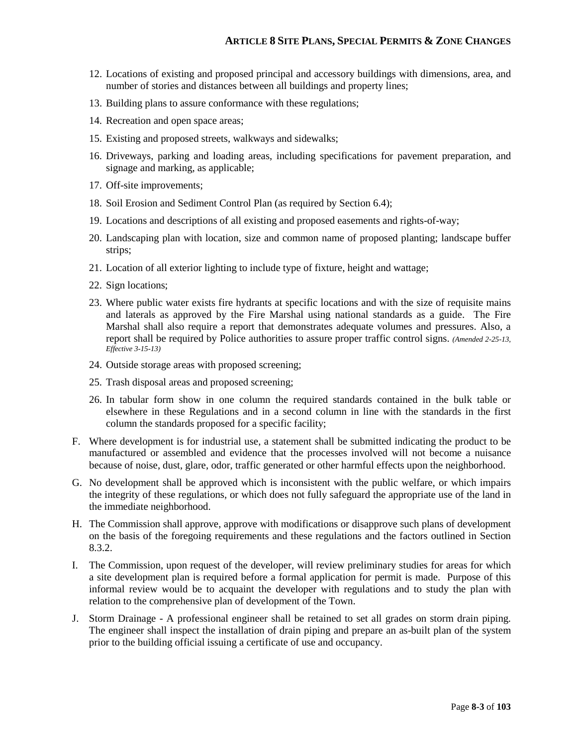- 12. Locations of existing and proposed principal and accessory buildings with dimensions, area, and number of stories and distances between all buildings and property lines;
- 13. Building plans to assure conformance with these regulations;
- 14. Recreation and open space areas;
- 15. Existing and proposed streets, walkways and sidewalks;
- 16. Driveways, parking and loading areas, including specifications for pavement preparation, and signage and marking, as applicable;
- 17. Off-site improvements;
- 18. Soil Erosion and Sediment Control Plan (as required by Section 6.4);
- 19. Locations and descriptions of all existing and proposed easements and rights-of-way;
- 20. Landscaping plan with location, size and common name of proposed planting; landscape buffer strips;
- 21. Location of all exterior lighting to include type of fixture, height and wattage;
- 22. Sign locations;
- 23. Where public water exists fire hydrants at specific locations and with the size of requisite mains and laterals as approved by the Fire Marshal using national standards as a guide. The Fire Marshal shall also require a report that demonstrates adequate volumes and pressures. Also, a report shall be required by Police authorities to assure proper traffic control signs. *(Amended 2-25-13, Effective 3-15-13)*
- 24. Outside storage areas with proposed screening;
- 25. Trash disposal areas and proposed screening;
- 26. In tabular form show in one column the required standards contained in the bulk table or elsewhere in these Regulations and in a second column in line with the standards in the first column the standards proposed for a specific facility;
- F. Where development is for industrial use, a statement shall be submitted indicating the product to be manufactured or assembled and evidence that the processes involved will not become a nuisance because of noise, dust, glare, odor, traffic generated or other harmful effects upon the neighborhood.
- G. No development shall be approved which is inconsistent with the public welfare, or which impairs the integrity of these regulations, or which does not fully safeguard the appropriate use of the land in the immediate neighborhood.
- H. The Commission shall approve, approve with modifications or disapprove such plans of development on the basis of the foregoing requirements and these regulations and the factors outlined in Section 8.3.2.
- I. The Commission, upon request of the developer, will review preliminary studies for areas for which a site development plan is required before a formal application for permit is made. Purpose of this informal review would be to acquaint the developer with regulations and to study the plan with relation to the comprehensive plan of development of the Town.
- J. Storm Drainage A professional engineer shall be retained to set all grades on storm drain piping. The engineer shall inspect the installation of drain piping and prepare an as-built plan of the system prior to the building official issuing a certificate of use and occupancy.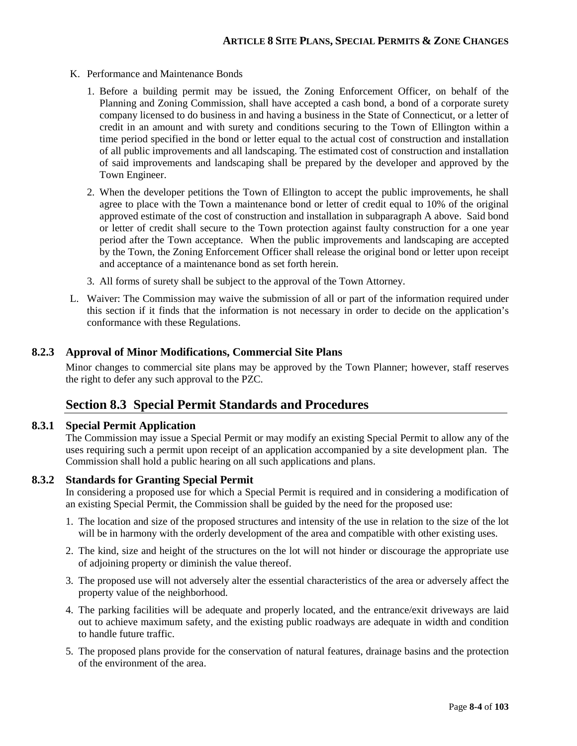- K. Performance and Maintenance Bonds
	- 1. Before a building permit may be issued, the Zoning Enforcement Officer, on behalf of the Planning and Zoning Commission, shall have accepted a cash bond, a bond of a corporate surety company licensed to do business in and having a business in the State of Connecticut, or a letter of credit in an amount and with surety and conditions securing to the Town of Ellington within a time period specified in the bond or letter equal to the actual cost of construction and installation of all public improvements and all landscaping. The estimated cost of construction and installation of said improvements and landscaping shall be prepared by the developer and approved by the Town Engineer.
	- 2. When the developer petitions the Town of Ellington to accept the public improvements, he shall agree to place with the Town a maintenance bond or letter of credit equal to 10% of the original approved estimate of the cost of construction and installation in subparagraph A above. Said bond or letter of credit shall secure to the Town protection against faulty construction for a one year period after the Town acceptance. When the public improvements and landscaping are accepted by the Town, the Zoning Enforcement Officer shall release the original bond or letter upon receipt and acceptance of a maintenance bond as set forth herein.
	- 3. All forms of surety shall be subject to the approval of the Town Attorney.
- L. Waiver: The Commission may waive the submission of all or part of the information required under this section if it finds that the information is not necessary in order to decide on the application's conformance with these Regulations.

### **8.2.3 Approval of Minor Modifications, Commercial Site Plans**

Minor changes to commercial site plans may be approved by the Town Planner; however, staff reserves the right to defer any such approval to the PZC.

## **Section 8.3 Special Permit Standards and Procedures**

### **8.3.1 Special Permit Application**

The Commission may issue a Special Permit or may modify an existing Special Permit to allow any of the uses requiring such a permit upon receipt of an application accompanied by a site development plan. The Commission shall hold a public hearing on all such applications and plans.

### **8.3.2 Standards for Granting Special Permit**

In considering a proposed use for which a Special Permit is required and in considering a modification of an existing Special Permit, the Commission shall be guided by the need for the proposed use:

- 1. The location and size of the proposed structures and intensity of the use in relation to the size of the lot will be in harmony with the orderly development of the area and compatible with other existing uses.
- 2. The kind, size and height of the structures on the lot will not hinder or discourage the appropriate use of adjoining property or diminish the value thereof.
- 3. The proposed use will not adversely alter the essential characteristics of the area or adversely affect the property value of the neighborhood.
- 4. The parking facilities will be adequate and properly located, and the entrance/exit driveways are laid out to achieve maximum safety, and the existing public roadways are adequate in width and condition to handle future traffic.
- 5. The proposed plans provide for the conservation of natural features, drainage basins and the protection of the environment of the area.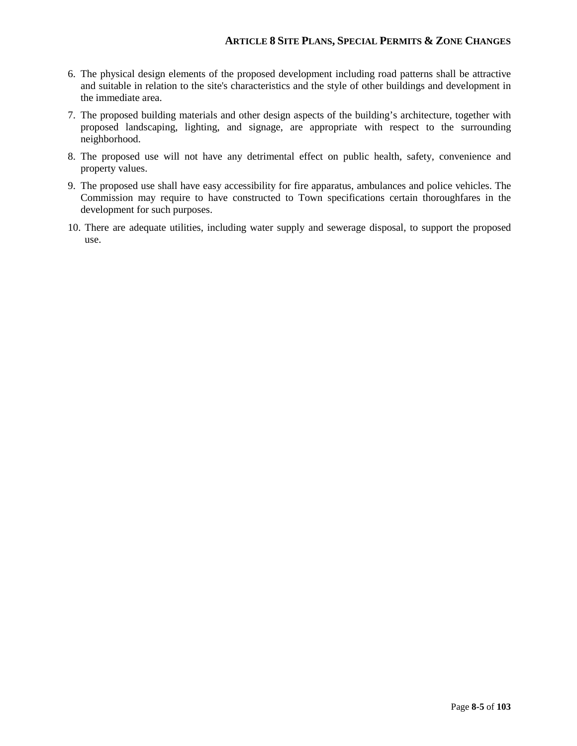### **ARTICLE 8 SITE PLANS, SPECIAL PERMITS & ZONE CHANGES**

- 6. The physical design elements of the proposed development including road patterns shall be attractive and suitable in relation to the site's characteristics and the style of other buildings and development in the immediate area.
- 7. The proposed building materials and other design aspects of the building's architecture, together with proposed landscaping, lighting, and signage, are appropriate with respect to the surrounding neighborhood.
- 8. The proposed use will not have any detrimental effect on public health, safety, convenience and property values.
- 9. The proposed use shall have easy accessibility for fire apparatus, ambulances and police vehicles. The Commission may require to have constructed to Town specifications certain thoroughfares in the development for such purposes.
- 10. There are adequate utilities, including water supply and sewerage disposal, to support the proposed use.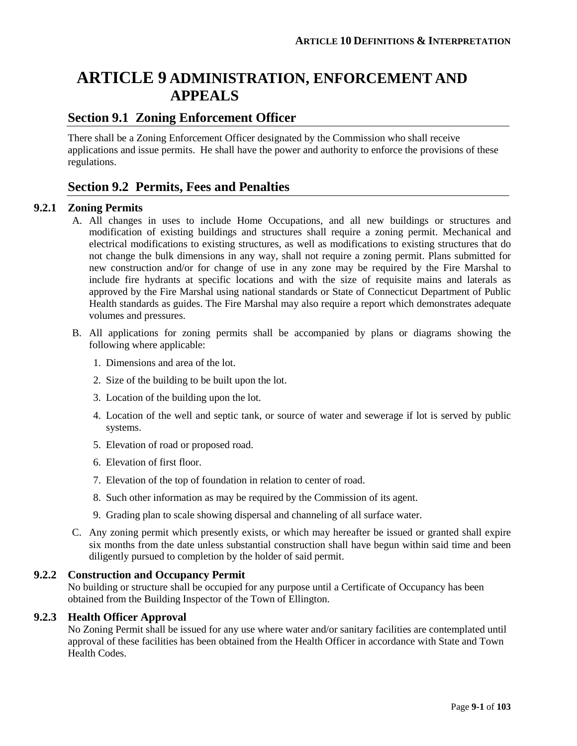# **ARTICLE 9 ADMINISTRATION, ENFORCEMENT AND APPEALS**

# **Section 9.1 Zoning Enforcement Officer**

There shall be a Zoning Enforcement Officer designated by the Commission who shall receive applications and issue permits. He shall have the power and authority to enforce the provisions of these regulations.

# **Section 9.2 Permits, Fees and Penalties**

### **9.2.1 Zoning Permits**

- A. All changes in uses to include Home Occupations, and all new buildings or structures and modification of existing buildings and structures shall require a zoning permit. Mechanical and electrical modifications to existing structures, as well as modifications to existing structures that do not change the bulk dimensions in any way, shall not require a zoning permit. Plans submitted for new construction and/or for change of use in any zone may be required by the Fire Marshal to include fire hydrants at specific locations and with the size of requisite mains and laterals as approved by the Fire Marshal using national standards or State of Connecticut Department of Public Health standards as guides. The Fire Marshal may also require a report which demonstrates adequate volumes and pressures.
- B. All applications for zoning permits shall be accompanied by plans or diagrams showing the following where applicable:
	- 1. Dimensions and area of the lot.
	- 2. Size of the building to be built upon the lot.
	- 3. Location of the building upon the lot.
	- 4. Location of the well and septic tank, or source of water and sewerage if lot is served by public systems.
	- 5. Elevation of road or proposed road.
	- 6. Elevation of first floor.
	- 7. Elevation of the top of foundation in relation to center of road.
	- 8. Such other information as may be required by the Commission of its agent.
	- 9. Grading plan to scale showing dispersal and channeling of all surface water.
- C. Any zoning permit which presently exists, or which may hereafter be issued or granted shall expire six months from the date unless substantial construction shall have begun within said time and been diligently pursued to completion by the holder of said permit.

### **9.2.2 Construction and Occupancy Permit**

No building or structure shall be occupied for any purpose until a Certificate of Occupancy has been obtained from the Building Inspector of the Town of Ellington.

### **9.2.3 Health Officer Approval**

No Zoning Permit shall be issued for any use where water and/or sanitary facilities are contemplated until approval of these facilities has been obtained from the Health Officer in accordance with State and Town Health Codes.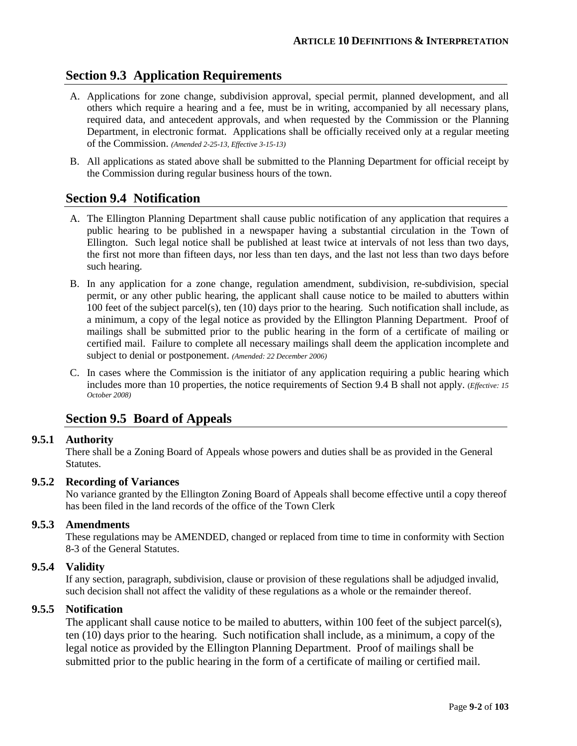# **Section 9.3 Application Requirements**

- A. Applications for zone change, subdivision approval, special permit, planned development, and all others which require a hearing and a fee, must be in writing, accompanied by all necessary plans, required data, and antecedent approvals, and when requested by the Commission or the Planning Department, in electronic format. Applications shall be officially received only at a regular meeting of the Commission. *(Amended 2-25-13, Effective 3-15-13)*
- B. All applications as stated above shall be submitted to the Planning Department for official receipt by the Commission during regular business hours of the town.

# **Section 9.4 Notification**

- A. The Ellington Planning Department shall cause public notification of any application that requires a public hearing to be published in a newspaper having a substantial circulation in the Town of Ellington. Such legal notice shall be published at least twice at intervals of not less than two days, the first not more than fifteen days, nor less than ten days, and the last not less than two days before such hearing.
- B. In any application for a zone change, regulation amendment, subdivision, re-subdivision, special permit, or any other public hearing, the applicant shall cause notice to be mailed to abutters within 100 feet of the subject parcel(s), ten (10) days prior to the hearing. Such notification shall include, as a minimum, a copy of the legal notice as provided by the Ellington Planning Department. Proof of mailings shall be submitted prior to the public hearing in the form of a certificate of mailing or certified mail. Failure to complete all necessary mailings shall deem the application incomplete and subject to denial or postponement. *(Amended: 22 December 2006)*
- C. In cases where the Commission is the initiator of any application requiring a public hearing which includes more than 10 properties, the notice requirements of Section 9.4 B shall not apply. (*Effective: 15 October 2008)*

# **Section 9.5 Board of Appeals**

### **9.5.1 Authority**

There shall be a Zoning Board of Appeals whose powers and duties shall be as provided in the General **Statutes** 

### **9.5.2 Recording of Variances**

No variance granted by the Ellington Zoning Board of Appeals shall become effective until a copy thereof has been filed in the land records of the office of the Town Clerk

### **9.5.3 Amendments**

These regulations may be AMENDED, changed or replaced from time to time in conformity with Section 8-3 of the General Statutes.

### **9.5.4 Validity**

If any section, paragraph, subdivision, clause or provision of these regulations shall be adjudged invalid, such decision shall not affect the validity of these regulations as a whole or the remainder thereof.

### **9.5.5 Notification**

The applicant shall cause notice to be mailed to abutters, within 100 feet of the subject parcel(s), ten (10) days prior to the hearing. Such notification shall include, as a minimum, a copy of the legal notice as provided by the Ellington Planning Department. Proof of mailings shall be submitted prior to the public hearing in the form of a certificate of mailing or certified mail.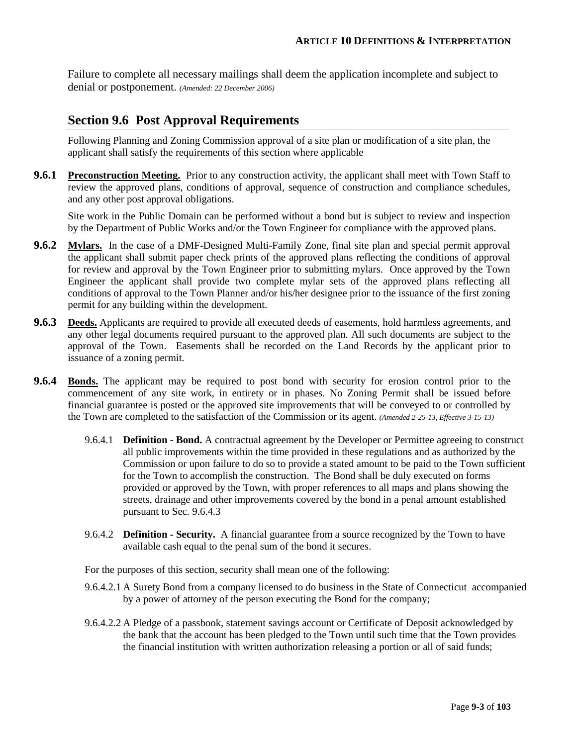Failure to complete all necessary mailings shall deem the application incomplete and subject to denial or postponement. *(Amended: 22 December 2006)*

# **Section 9.6 Post Approval Requirements**

Following Planning and Zoning Commission approval of a site plan or modification of a site plan, the applicant shall satisfy the requirements of this section where applicable

**9.6.1 Preconstruction Meeting.** Prior to any construction activity, the applicant shall meet with Town Staff to review the approved plans, conditions of approval, sequence of construction and compliance schedules, and any other post approval obligations.

Site work in the Public Domain can be performed without a bond but is subject to review and inspection by the Department of Public Works and/or the Town Engineer for compliance with the approved plans.

- **9.6.2 Mylars.** In the case of a DMF-Designed Multi-Family Zone, final site plan and special permit approval the applicant shall submit paper check prints of the approved plans reflecting the conditions of approval for review and approval by the Town Engineer prior to submitting mylars. Once approved by the Town Engineer the applicant shall provide two complete mylar sets of the approved plans reflecting all conditions of approval to the Town Planner and/or his/her designee prior to the issuance of the first zoning permit for any building within the development.
- **9.6.3 Deeds.** Applicants are required to provide all executed deeds of easements, hold harmless agreements, and any other legal documents required pursuant to the approved plan. All such documents are subject to the approval of the Town. Easements shall be recorded on the Land Records by the applicant prior to issuance of a zoning permit.
- **9.6.4 Bonds.** The applicant may be required to post bond with security for erosion control prior to the commencement of any site work, in entirety or in phases. No Zoning Permit shall be issued before financial guarantee is posted or the approved site improvements that will be conveyed to or controlled by the Town are completed to the satisfaction of the Commission or its agent. *(Amended 2-25-13, Effective 3-15-13)*
	- 9.6.4.1 **Definition - Bond.** A contractual agreement by the Developer or Permittee agreeing to construct all public improvements within the time provided in these regulations and as authorized by the Commission or upon failure to do so to provide a stated amount to be paid to the Town sufficient for the Town to accomplish the construction. The Bond shall be duly executed on forms provided or approved by the Town, with proper references to all maps and plans showing the streets, drainage and other improvements covered by the bond in a penal amount established pursuant to Sec. 9.6.4.3
	- 9.6.4.2 **Definition - Security.** A financial guarantee from a source recognized by the Town to have available cash equal to the penal sum of the bond it secures.

For the purposes of this section, security shall mean one of the following:

- 9.6.4.2.1 A Surety Bond from a company licensed to do business in the State of Connecticut accompanied by a power of attorney of the person executing the Bond for the company;
- 9.6.4.2.2 A Pledge of a passbook, statement savings account or Certificate of Deposit acknowledged by the bank that the account has been pledged to the Town until such time that the Town provides the financial institution with written authorization releasing a portion or all of said funds;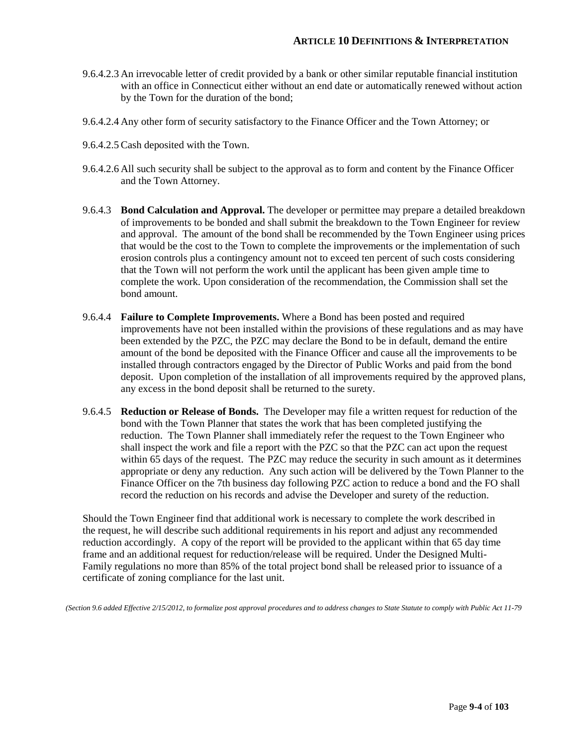- 9.6.4.2.3 An irrevocable letter of credit provided by a bank or other similar reputable financial institution with an office in Connecticut either without an end date or automatically renewed without action by the Town for the duration of the bond;
- 9.6.4.2.4 Any other form of security satisfactory to the Finance Officer and the Town Attorney; or
- 9.6.4.2.5 Cash deposited with the Town.
- 9.6.4.2.6 All such security shall be subject to the approval as to form and content by the Finance Officer and the Town Attorney.
- 9.6.4.3 **Bond Calculation and Approval.** The developer or permittee may prepare a detailed breakdown of improvements to be bonded and shall submit the breakdown to the Town Engineer for review and approval. The amount of the bond shall be recommended by the Town Engineer using prices that would be the cost to the Town to complete the improvements or the implementation of such erosion controls plus a contingency amount not to exceed ten percent of such costs considering that the Town will not perform the work until the applicant has been given ample time to complete the work. Upon consideration of the recommendation, the Commission shall set the bond amount.
- 9.6.4.4 **Failure to Complete Improvements.** Where a Bond has been posted and required improvements have not been installed within the provisions of these regulations and as may have been extended by the PZC, the PZC may declare the Bond to be in default, demand the entire amount of the bond be deposited with the Finance Officer and cause all the improvements to be installed through contractors engaged by the Director of Public Works and paid from the bond deposit. Upon completion of the installation of all improvements required by the approved plans, any excess in the bond deposit shall be returned to the surety.
- 9.6.4.5 **Reduction or Release of Bonds.** The Developer may file a written request for reduction of the bond with the Town Planner that states the work that has been completed justifying the reduction. The Town Planner shall immediately refer the request to the Town Engineer who shall inspect the work and file a report with the PZC so that the PZC can act upon the request within 65 days of the request. The PZC may reduce the security in such amount as it determines appropriate or deny any reduction. Any such action will be delivered by the Town Planner to the Finance Officer on the 7th business day following PZC action to reduce a bond and the FO shall record the reduction on his records and advise the Developer and surety of the reduction.

Should the Town Engineer find that additional work is necessary to complete the work described in the request, he will describe such additional requirements in his report and adjust any recommended reduction accordingly. A copy of the report will be provided to the applicant within that 65 day time frame and an additional request for reduction/release will be required. Under the Designed Multi-Family regulations no more than 85% of the total project bond shall be released prior to issuance of a certificate of zoning compliance for the last unit.

*(Section 9.6 added Effective 2/15/2012, to formalize post approval procedures and to address changes to State Statute to comply with Public Act 11-79*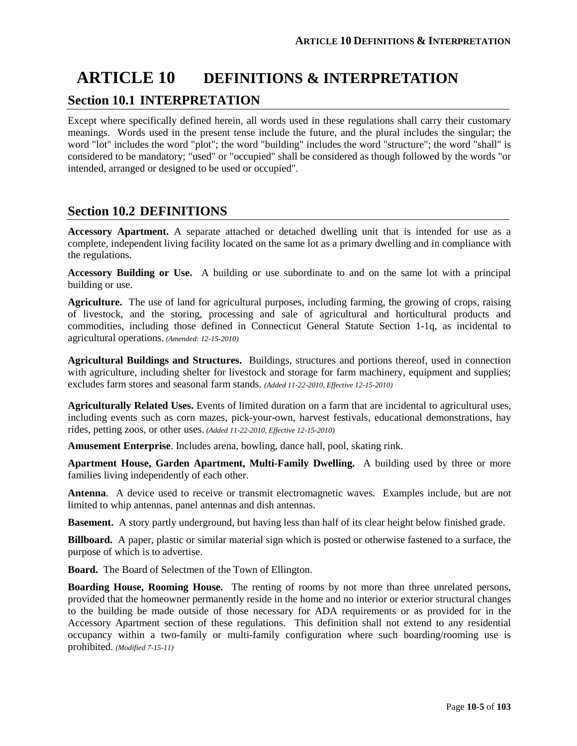# **ARTICLE 10 DEFINITIONS & INTERPRETATION Section 10.1 INTERPRETATION**

Except where specifically defined herein, all words used in these regulations shall carry their customary meanings. Words used in the present tense include the future, and the plural includes the singular; the word "lot" includes the word "plot"; the word "building" includes the word "structure"; the word "shall" is considered to be mandatory; "used" or "occupied" shall be considered as though followed by the words "or intended, arranged or designed to be used or occupied".

# **Section 10.2 DEFINITIONS**

**Accessory Apartment.** A separate attached or detached dwelling unit that is intended for use as a complete, independent living facility located on the same lot as a primary dwelling and in compliance with the regulations.

**Accessory Building or Use.** A building or use subordinate to and on the same lot with a principal building or use.

**Agriculture.** The use of land for agricultural purposes, including farming, the growing of crops, raising of livestock, and the storing, processing and sale of agricultural and horticultural products and commodities, including those defined in Connecticut General Statute Section 1-1q, as incidental to agricultural operations. *(Amended: 12-15-2010)*

**Agricultural Buildings and Structures.** Buildings, structures and portions thereof, used in connection with agriculture, including shelter for livestock and storage for farm machinery, equipment and supplies; excludes farm stores and seasonal farm stands. *(Added 11-22-2010, Effective 12-15-2010)*

**Agriculturally Related Uses.** Events of limited duration on a farm that are incidental to agricultural uses, including events such as corn mazes, pick-your-own, harvest festivals, educational demonstrations, hay rides, petting zoos, or other uses. *(Added 11-22-2010, Effective 12-15-2010)*

**Amusement Enterprise**. Includes arena, bowling, dance hall, pool, skating rink.

**Apartment House, Garden Apartment, Multi-Family Dwelling.** A building used by three or more families living independently of each other.

**Antenna**. A device used to receive or transmit electromagnetic waves. Examples include, but are not limited to whip antennas, panel antennas and dish antennas.

**Basement.** A story partly underground, but having less than half of its clear height below finished grade.

**Billboard.** A paper, plastic or similar material sign which is posted or otherwise fastened to a surface, the purpose of which is to advertise.

**Board.** The Board of Selectmen of the Town of Ellington.

**Boarding House, Rooming House.** The renting of rooms by not more than three unrelated persons, provided that the homeowner permanently reside in the home and no interior or exterior structural changes to the building be made outside of those necessary for ADA requirements or as provided for in the Accessory Apartment section of these regulations. This definition shall not extend to any residential occupancy within a two-family or multi-family configuration where such boarding/rooming use is prohibited. *(Modified 7-15-11)*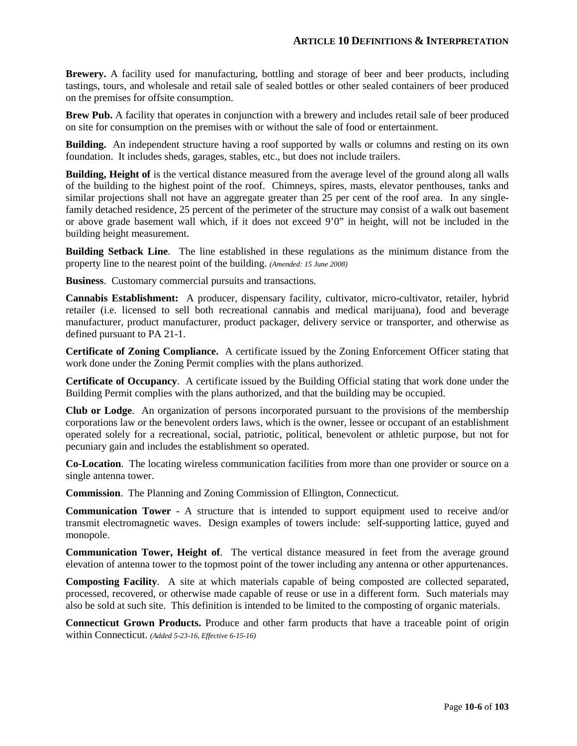**Brewery.** A facility used for manufacturing, bottling and storage of beer and beer products, including tastings, tours, and wholesale and retail sale of sealed bottles or other sealed containers of beer produced on the premises for offsite consumption.

**Brew Pub.** A facility that operates in conjunction with a brewery and includes retail sale of beer produced on site for consumption on the premises with or without the sale of food or entertainment.

**Building.** An independent structure having a roof supported by walls or columns and resting on its own foundation. It includes sheds, garages, stables, etc., but does not include trailers.

**Building, Height of** is the vertical distance measured from the average level of the ground along all walls of the building to the highest point of the roof. Chimneys, spires, masts, elevator penthouses, tanks and similar projections shall not have an aggregate greater than 25 per cent of the roof area. In any singlefamily detached residence, 25 percent of the perimeter of the structure may consist of a walk out basement or above grade basement wall which, if it does not exceed 9'0" in height, will not be included in the building height measurement.

**Building Setback Line**. The line established in these regulations as the minimum distance from the property line to the nearest point of the building. *(Amended: 15 June 2008)*

**Business**. Customary commercial pursuits and transactions.

**Cannabis Establishment:** A producer, dispensary facility, cultivator, micro-cultivator, retailer, hybrid retailer (i.e. licensed to sell both recreational cannabis and medical marijuana), food and beverage manufacturer, product manufacturer, product packager, delivery service or transporter, and otherwise as defined pursuant to PA 21-1.

**Certificate of Zoning Compliance.** A certificate issued by the Zoning Enforcement Officer stating that work done under the Zoning Permit complies with the plans authorized.

**Certificate of Occupancy**. A certificate issued by the Building Official stating that work done under the Building Permit complies with the plans authorized, and that the building may be occupied.

**Club or Lodge**. An organization of persons incorporated pursuant to the provisions of the membership corporations law or the benevolent orders laws, which is the owner, lessee or occupant of an establishment operated solely for a recreational, social, patriotic, political, benevolent or athletic purpose, but not for pecuniary gain and includes the establishment so operated.

**Co-Location**. The locating wireless communication facilities from more than one provider or source on a single antenna tower.

**Commission**. The Planning and Zoning Commission of Ellington, Connecticut.

**Communication Tower** - A structure that is intended to support equipment used to receive and/or transmit electromagnetic waves. Design examples of towers include: self-supporting lattice, guyed and monopole.

**Communication Tower, Height of**. The vertical distance measured in feet from the average ground elevation of antenna tower to the topmost point of the tower including any antenna or other appurtenances.

**Composting Facility**. A site at which materials capable of being composted are collected separated, processed, recovered, or otherwise made capable of reuse or use in a different form. Such materials may also be sold at such site. This definition is intended to be limited to the composting of organic materials.

**Connecticut Grown Products.** Produce and other farm products that have a traceable point of origin within Connecticut. *(Added 5-23-16, Effective 6-15-16)*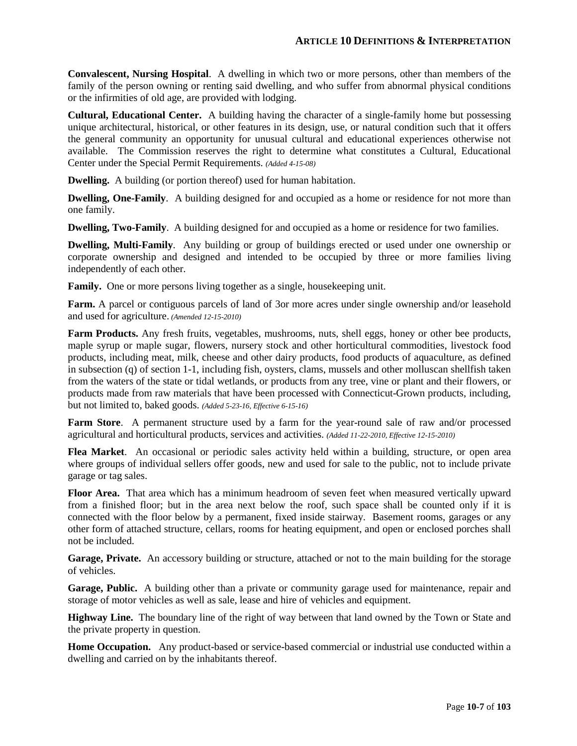**Convalescent, Nursing Hospital**. A dwelling in which two or more persons, other than members of the family of the person owning or renting said dwelling, and who suffer from abnormal physical conditions or the infirmities of old age, are provided with lodging.

**Cultural, Educational Center.** A building having the character of a single-family home but possessing unique architectural, historical, or other features in its design, use, or natural condition such that it offers the general community an opportunity for unusual cultural and educational experiences otherwise not available. The Commission reserves the right to determine what constitutes a Cultural, Educational Center under the Special Permit Requirements. *(Added 4-15-08)*

**Dwelling.** A building (or portion thereof) used for human habitation.

**Dwelling, One-Family**. A building designed for and occupied as a home or residence for not more than one family.

**Dwelling, Two-Family**. A building designed for and occupied as a home or residence for two families.

**Dwelling, Multi-Family**. Any building or group of buildings erected or used under one ownership or corporate ownership and designed and intended to be occupied by three or more families living independently of each other.

**Family.** One or more persons living together as a single, house keeping unit.

**Farm.** A parcel or contiguous parcels of land of 3or more acres under single ownership and/or leasehold and used for agriculture. *(Amended 12-15-2010)*

**Farm Products.** Any fresh fruits, vegetables, mushrooms, nuts, shell eggs, honey or other bee products, maple syrup or maple sugar, flowers, nursery stock and other horticultural commodities, livestock food products, including meat, milk, cheese and other dairy products, food products of aquaculture, as defined in subsection (q) of section 1-1, including fish, oysters, clams, mussels and other molluscan shellfish taken from the waters of the state or tidal wetlands, or products from any tree, vine or plant and their flowers, or products made from raw materials that have been processed with Connecticut-Grown products, including, but not limited to, baked goods. *(Added 5-23-16, Effective 6-15-16)*

**Farm Store**. A permanent structure used by a farm for the year-round sale of raw and/or processed agricultural and horticultural products, services and activities. *(Added 11-22-2010, Effective 12-15-2010)*

**Flea Market**. An occasional or periodic sales activity held within a building, structure, or open area where groups of individual sellers offer goods, new and used for sale to the public, not to include private garage or tag sales.

**Floor Area.** That area which has a minimum headroom of seven feet when measured vertically upward from a finished floor; but in the area next below the roof, such space shall be counted only if it is connected with the floor below by a permanent, fixed inside stairway. Basement rooms, garages or any other form of attached structure, cellars, rooms for heating equipment, and open or enclosed porches shall not be included.

**Garage, Private.** An accessory building or structure, attached or not to the main building for the storage of vehicles.

**Garage, Public.** A building other than a private or community garage used for maintenance, repair and storage of motor vehicles as well as sale, lease and hire of vehicles and equipment.

**Highway Line.** The boundary line of the right of way between that land owned by the Town or State and the private property in question.

**Home Occupation.** Any product-based or service-based commercial or industrial use conducted within a dwelling and carried on by the inhabitants thereof.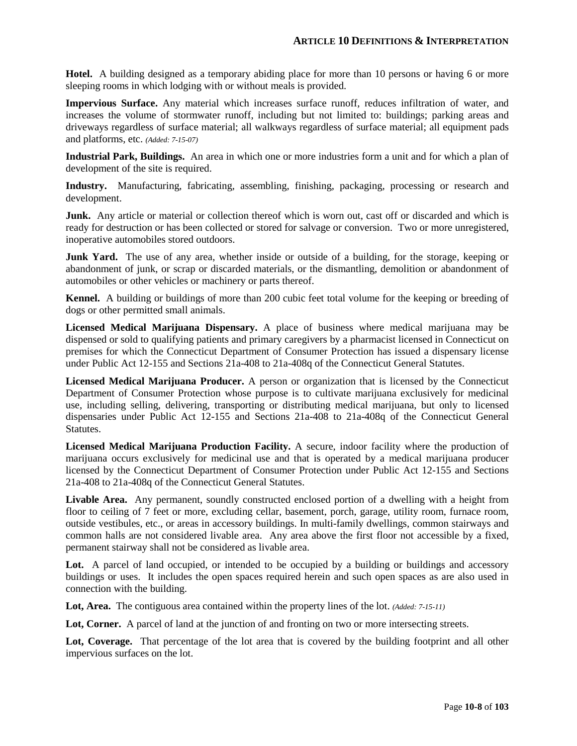**Hotel.** A building designed as a temporary abiding place for more than 10 persons or having 6 or more sleeping rooms in which lodging with or without meals is provided.

**Impervious Surface.** Any material which increases surface runoff, reduces infiltration of water, and increases the volume of stormwater runoff, including but not limited to: buildings; parking areas and driveways regardless of surface material; all walkways regardless of surface material; all equipment pads and platforms, etc. *(Added: 7-15-07)*

**Industrial Park, Buildings.** An area in which one or more industries form a unit and for which a plan of development of the site is required.

**Industry.** Manufacturing, fabricating, assembling, finishing, packaging, processing or research and development.

**Junk.** Any article or material or collection thereof which is worn out, cast off or discarded and which is ready for destruction or has been collected or stored for salvage or conversion. Two or more unregistered, inoperative automobiles stored outdoors.

**Junk Yard.** The use of any area, whether inside or outside of a building, for the storage, keeping or abandonment of junk, or scrap or discarded materials, or the dismantling, demolition or abandonment of automobiles or other vehicles or machinery or parts thereof.

**Kennel.** A building or buildings of more than 200 cubic feet total volume for the keeping or breeding of dogs or other permitted small animals.

**Licensed Medical Marijuana Dispensary.** A place of business where medical marijuana may be dispensed or sold to qualifying patients and primary caregivers by a pharmacist licensed in Connecticut on premises for which the Connecticut Department of Consumer Protection has issued a dispensary license under Public Act 12-155 and Sections 21a-408 to 21a-408q of the Connecticut General Statutes.

**Licensed Medical Marijuana Producer.** A person or organization that is licensed by the Connecticut Department of Consumer Protection whose purpose is to cultivate marijuana exclusively for medicinal use, including selling, delivering, transporting or distributing medical marijuana, but only to licensed dispensaries under Public Act 12-155 and Sections 21a-408 to 21a-408q of the Connecticut General Statutes.

**Licensed Medical Marijuana Production Facility.** A secure, indoor facility where the production of marijuana occurs exclusively for medicinal use and that is operated by a medical marijuana producer licensed by the Connecticut Department of Consumer Protection under Public Act 12-155 and Sections 21a-408 to 21a-408q of the Connecticut General Statutes.

**Livable Area.** Any permanent, soundly constructed enclosed portion of a dwelling with a height from floor to ceiling of 7 feet or more, excluding cellar, basement, porch, garage, utility room, furnace room, outside vestibules, etc., or areas in accessory buildings. In multi-family dwellings, common stairways and common halls are not considered livable area. Any area above the first floor not accessible by a fixed, permanent stairway shall not be considered as livable area.

Lot. A parcel of land occupied, or intended to be occupied by a building or buildings and accessory buildings or uses. It includes the open spaces required herein and such open spaces as are also used in connection with the building.

**Lot, Area.** The contiguous area contained within the property lines of the lot. *(Added: 7-15-11)*

Lot, Corner. A parcel of land at the junction of and fronting on two or more intersecting streets.

**Lot, Coverage.** That percentage of the lot area that is covered by the building footprint and all other impervious surfaces on the lot.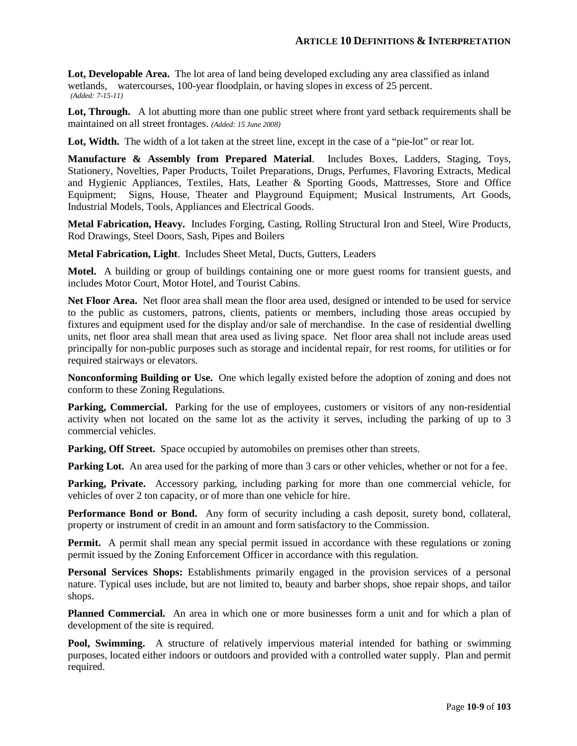**Lot, Developable Area.** The lot area of land being developed excluding any area classified as inland wetlands, watercourses, 100-year floodplain, or having slopes in excess of 25 percent. *(Added: 7-15-11)*

Lot, Through. A lot abutting more than one public street where front yard setback requirements shall be maintained on all street frontages. *(Added: 15 June 2008)*

Lot, Width. The width of a lot taken at the street line, except in the case of a "pie-lot" or rear lot.

**Manufacture & Assembly from Prepared Material**. Includes Boxes, Ladders, Staging, Toys, Stationery, Novelties, Paper Products, Toilet Preparations, Drugs, Perfumes, Flavoring Extracts, Medical and Hygienic Appliances, Textiles, Hats, Leather & Sporting Goods, Mattresses, Store and Office Equipment; Signs, House, Theater and Playground Equipment; Musical Instruments, Art Goods, Industrial Models, Tools, Appliances and Electrical Goods.

**Metal Fabrication, Heavy.** Includes Forging, Casting, Rolling Structural Iron and Steel, Wire Products, Rod Drawings, Steel Doors, Sash, Pipes and Boilers

**Metal Fabrication, Light**. Includes Sheet Metal, Ducts, Gutters, Leaders

**Motel.** A building or group of buildings containing one or more guest rooms for transient guests, and includes Motor Court, Motor Hotel, and Tourist Cabins.

**Net Floor Area.** Net floor area shall mean the floor area used, designed or intended to be used for service to the public as customers, patrons, clients, patients or members, including those areas occupied by fixtures and equipment used for the display and/or sale of merchandise. In the case of residential dwelling units, net floor area shall mean that area used as living space. Net floor area shall not include areas used principally for non-public purposes such as storage and incidental repair, for rest rooms, for utilities or for required stairways or elevators.

**Nonconforming Building or Use.** One which legally existed before the adoption of zoning and does not conform to these Zoning Regulations.

**Parking, Commercial.** Parking for the use of employees, customers or visitors of any non-residential activity when not located on the same lot as the activity it serves, including the parking of up to 3 commercial vehicles.

Parking, Off Street. Space occupied by automobiles on premises other than streets.

Parking Lot. An area used for the parking of more than 3 cars or other vehicles, whether or not for a fee.

**Parking, Private.** Accessory parking, including parking for more than one commercial vehicle, for vehicles of over 2 ton capacity, or of more than one vehicle for hire.

**Performance Bond or Bond.** Any form of security including a cash deposit, surety bond, collateral, property or instrument of credit in an amount and form satisfactory to the Commission.

**Permit.** A permit shall mean any special permit issued in accordance with these regulations or zoning permit issued by the Zoning Enforcement Officer in accordance with this regulation.

**Personal Services Shops:** Establishments primarily engaged in the provision services of a personal nature. Typical uses include, but are not limited to, beauty and barber shops, shoe repair shops, and tailor shops.

**Planned Commercial.** An area in which one or more businesses form a unit and for which a plan of development of the site is required.

**Pool, Swimming.** A structure of relatively impervious material intended for bathing or swimming purposes, located either indoors or outdoors and provided with a controlled water supply. Plan and permit required.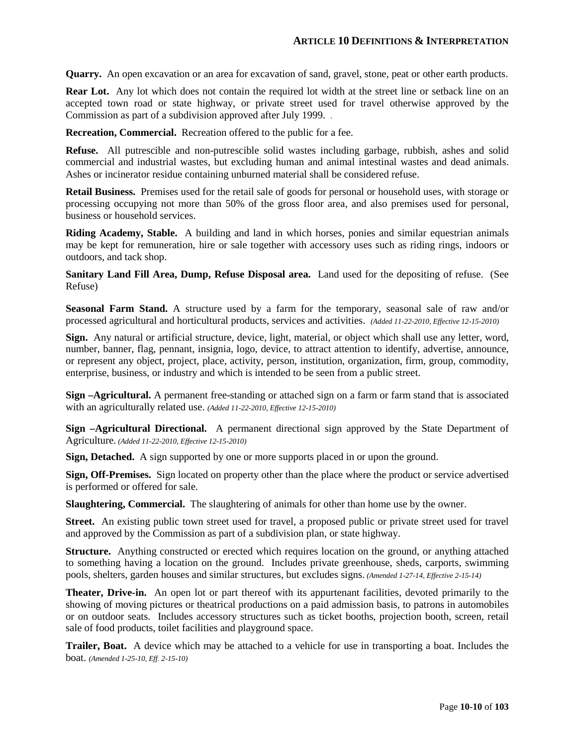**Quarry.** An open excavation or an area for excavation of sand, gravel, stone, peat or other earth products.

**Rear Lot.** Any lot which does not contain the required lot width at the street line or setback line on an accepted town road or state highway, or private street used for travel otherwise approved by the Commission as part of a subdivision approved after July 1999. *.*

**Recreation, Commercial.** Recreation offered to the public for a fee.

**Refuse.** All putrescible and non-putrescible solid wastes including garbage, rubbish, ashes and solid commercial and industrial wastes, but excluding human and animal intestinal wastes and dead animals. Ashes or incinerator residue containing unburned material shall be considered refuse.

**Retail Business.** Premises used for the retail sale of goods for personal or household uses, with storage or processing occupying not more than 50% of the gross floor area, and also premises used for personal, business or household services.

**Riding Academy, Stable.** A building and land in which horses, ponies and similar equestrian animals may be kept for remuneration, hire or sale together with accessory uses such as riding rings, indoors or outdoors, and tack shop.

**Sanitary Land Fill Area, Dump, Refuse Disposal area.** Land used for the depositing of refuse. (See Refuse)

**Seasonal Farm Stand.** A structure used by a farm for the temporary, seasonal sale of raw and/or processed agricultural and horticultural products, services and activities. *(Added 11-22-2010, Effective 12-15-2010)*

**Sign.** Any natural or artificial structure, device, light, material, or object which shall use any letter, word, number, banner, flag, pennant, insignia, logo, device, to attract attention to identify, advertise, announce, or represent any object, project, place, activity, person, institution, organization, firm, group, commodity, enterprise, business, or industry and which is intended to be seen from a public street.

**Sign –Agricultural.** A permanent free-standing or attached sign on a farm or farm stand that is associated with an agriculturally related use. *(Added 11-22-2010, Effective 12-15-2010)*

**Sign –Agricultural Directional.** A permanent directional sign approved by the State Department of Agriculture. *(Added 11-22-2010, Effective 12-15-2010)*

**Sign, Detached.** A sign supported by one or more supports placed in or upon the ground.

**Sign, Off-Premises.** Sign located on property other than the place where the product or service advertised is performed or offered for sale.

**Slaughtering, Commercial.** The slaughtering of animals for other than home use by the owner.

**Street.** An existing public town street used for travel, a proposed public or private street used for travel and approved by the Commission as part of a subdivision plan, or state highway.

**Structure.** Anything constructed or erected which requires location on the ground, or anything attached to something having a location on the ground. Includes private greenhouse, sheds, carports, swimming pools, shelters, garden houses and similar structures, but excludes signs. *(Amended 1-27-14, Effective 2-15-14)*

**Theater, Drive-in.** An open lot or part thereof with its appurtenant facilities, devoted primarily to the showing of moving pictures or theatrical productions on a paid admission basis, to patrons in automobiles or on outdoor seats. Includes accessory structures such as ticket booths, projection booth, screen, retail sale of food products, toilet facilities and playground space.

**Trailer, Boat.** A device which may be attached to a vehicle for use in transporting a boat. Includes the boat. *(Amended 1-25-10, Eff. 2-15-10)*